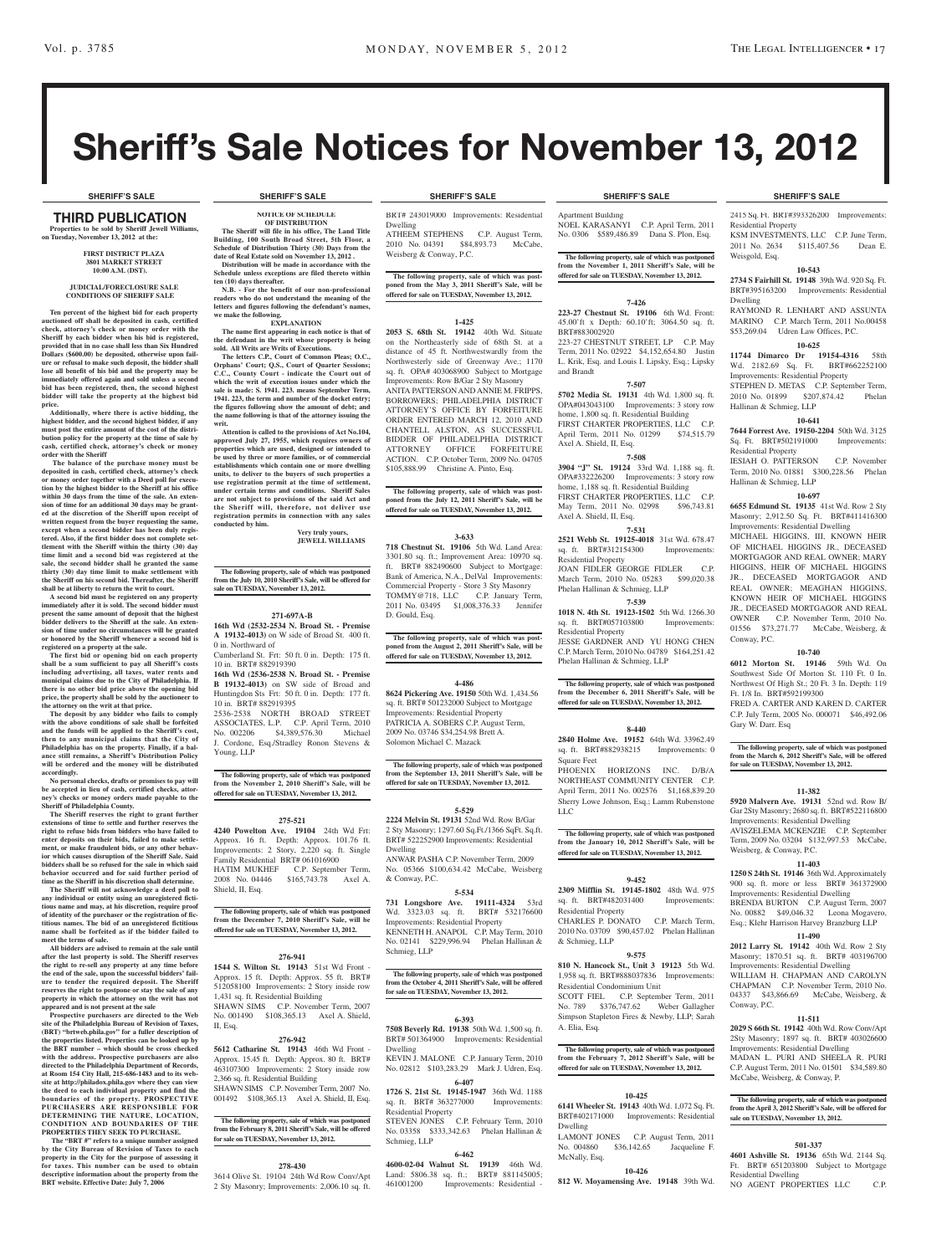# Sheriff's Sale Notices for November 13, 2012

#### thirD PUBLICATION **Properties to be sold by Sheriff Jewell Williams, on Tuesday, November 13, 2012 at the:**

#### **First District Plaza 3801 Market Street 10:00 A.M. (DST).**

#### **JUDICIAL/FORECLOSURE SALE CONDITIONS OF SHERIFF SALE**

**Ten percent of the highest bid for each property**  auctioned off shall be deposited in cash, certified **check, attorney's check or money order with the Sheriff by each bidder when his bid is registered, provided that in no case shall less than Six Hundred Dollars (\$600.00) be deposited, otherwise upon fail-ure or refusal to make such deposit, the bidder shall lose all benefit of his bid and the property may be immediately offered again and sold unless a second bid has been registered, then, the second highest bidder will take the property at the highest bid price.**

**Additionally, where there is active bidding, the highest bidder, and the second highest bidder, if any must post the entire amount of the cost of the distribution policy for the property at the time of sale by cash, certified check, attorney's check or money order with the Sheriff**

 **The balance of the purchase money must be deposited in cash, certified check, attorney's check or money order together with a Deed poll for execution by the highest bidder to the Sheriff at his office within 30 days from the time of the sale. An extension of time for an additional 30 days may be grant-ed at the discretion of the Sheriff upon receipt of written request from the buyer requesting the same, except when a second bidder has been duly registered. Also, if the first bidder does not complete settlement with the Sheriff within the thirty (30) day time limit and a second bid was registered at the sale, the second bidder shall be granted the same thirty (30) day time limit to make settlement with the Sheriff on his second bid. Thereafter, the Sheriff shall be at liberty to return the writ to court. A second bid must be registered on any property** 

**immediately after it is sold. The second bidder must present the same amount of deposit that the highest bidder delivers to the Sheriff at the sale. An extension of time under no circumstances will be granted or honored by the Sheriff whenever a second bid is registered on a property at the sale.** 

**The first bid or opening bid on each property shall be a sum sufficient to pay all Sheriff's costs including advertising, all taxes, water rents and municipal claims due to the City of Philadelphia. If there is no other bid price above the opening bid price, the property shall be sold by the auctioneer to the attorney on the writ at that price.**

**The deposit by any bidder who fails to comply with the above conditions of sale shall be forfeited and the funds will be applied to the Sheriff's cost, then to any municipal claims that the City of Philadelphia has on the property. Finally, if a balance still remains, a Sheriff's Distribution Policy will be ordered and the money will be distributed** 

**accordingly. No personal checks, drafts or promises to pay will be accepted in lieu of cash, certified checks, attorney's checks or money orders made payable to the Sheriff of Philadelphia County.**

**The Sheriff reserves the right to grant further extensions of time to settle and further reserves the right to refuse bids from bidders who have failed to enter deposits on their bids, failed to make settle-ment, or make fraudulent bids, or any other behavior which causes disruption of the Sheriff Sale. Said bidders shall be so refused for the sale in which said behavior occurred and for said further period of time as the Sheriff in his discretion shall determine. The Sheriff will not acknowledge a deed poll to** 

**any individual or entity using an unregistered fictitious name and may, at his discretion, require proof of identity of the purchaser or the registration of fictitious names. The bid of an unregistered fictitious name shall be forfeited as if the bidder failed to meet the terms of sale.**

**All bidders are advised to remain at the sale until after the last property is sold. The Sheriff reserves the right to re-sell any property at any time before the end of the sale, upon the successful bidders' failure to tender the required deposit. The Sheriff reserves the right to postpone or stay the sale of any property in which the attorney on the writ has not** 

**appeared and is not present at the sale Prospective purchasers are directed to the Web site of the Philadelphia Bureau of Revision of Taxes, (BRT) "brtweb.phila.gov" for a fuller description of the properties listed. Properties can be looked up by the BRT number – which should be cross checked with the address. Prospective purchasers are also directed to the Philadelphia Department of Records, at Room 154 City Hall, 215-686-1483 and to its website at http://philadox.phila.gov where they can view the deed to each individual property and find the boundaries of the property. PROSPECTIVE PURCHASERS ARE RESPONSIBLE FOR DETERMINING THE NATURE, LOCATION, CONDITION AND BOUNDARIES OF THE PROPERTIES THEY SEEK TO PURCHASE.**

**The "BRT #" refers to a unique number assigned by the City Bureau of Revision of Taxes to each property in the City for the purpose of assessing it for taxes. This number can be used to obtain descriptive information about the property from the BRT website. Effective Date: July 7, 2006**

# **SHERIFF'S SALE SHERIFF'S SALE SHERIFF'S SALE SHERIFF'S SALE SHERIFF'S SALE**

**NOTICE OF SCHEDULE OF DISTRIBUTION The Sheriff will file in his office, The Land Title Building, 100 South Broad Street, 5th Floor, a Schedule of Distribution Thirty (30) Days from the date of Real Estate sold on November 13, 2012 . Distribution will be made in accordance with the Schedule unless exceptions are filed thereto within** 

**N.B. - For the benefit of our non-professional readers who do not understand the meaning of the letters and figures following the defendant's names,** 

**EXPLANATION The name first appearing in each notice is that of the defendant in the writ whose property is being sold. All Writs are Writs of Executions. The letters C.P., Court of Common Pleas; O.C., Orphans' Court; Q.S., Court of Quarter Sessions; C.C., County Court - indicate the Court out of which the writ of execution issues under which the sale is made: S. 1941. 223. means September Term, 1941. 223, the term and number of the docket entry; the figures following show the amount of debt; and the name following is that of the attorney issuing the** 

**Attention is called to the provisions of Act No.104, approved July 27, 1955, which requires owners of properties which are used, designed or intended to be used by three or more families, or of commercial establishments which contain one or more dwelling units, to deliver to the buyers of such properties a use registration permit at the time of settlement, under certain terms and conditions. Sheriff Sales are not subject to provisions of the said Act and the Sheriff will, therefore, not deliver use registration permits in connection with any sales** 

**The following property, sale of which was postponed from the July 10, 2010 Sheriff's Sale, will be offered for** 

**271-697A-B 16th Wd (2532-2534 N. Broad St. - Premise A 19132-4013)** on W side of Broad St. 400 ft.

Cumberland St. Frt: 50 ft. 0 in. Depth: 175 ft.

**16th Wd (2536-2538 N. Broad St. - Premise B 19132-4013)** on SW side of Broad and Huntingdon Sts Frt: 50 ft. 0 in. Depth: 177 ft.

2536-2538 NORTH BROAD STREET ASSOCIATES, L.P. C.P. April Term, 2010<br>No. 002206 \$4,389,576.30 Michael  $$4,389,576.30$ J. Cordone, Esq./Stradley Ronon Stevens &

**The following property, sale of which was postponed from the November 2, 2010 Sheriff's Sale, will be offered for sale on TUESDAY, November 13, 2012.**

**275-521**

**276-941 1544 S. Wilton St. 19143** 51st Wd Front - Approx. 15 ft. Depth: Approx. 55 ft. BRT# 512058100 Improvements: 2 Story inside row

SHAWN SIMS C.P. November Term, 2007 No. 001490 \$108,365.13 Axel A. Shield,

**276-942 5612 Catharine St. 19143** 46th Wd Front - Approx. 15.45 ft. Depth: Approx. 80 ft. BRT# 463107300 Improvements: 2 Story inside row

SHAWN SIMS C.P. November Term, 2007 No. 001492 \$108,365.13 Axel A. Shield, II, Esq.

**The following property, sale of which was postponed from the February 8, 2011 Sheriff's Sale, will be offered for sale on TUESDAY, November 13, 2012.**

**278-430** 3614 Olive St. 19104 24th Wd Row Conv/Apt 2 Sty Masonry; Improvements: 2,006.10 sq. ft.

1,431 sq. ft. Residential Building

2,366 sq. ft. Residential Building

**sale on TUESDAY, November 13, 2012.**

**Very truly your jewell williams**

**ten (10) days thereafter.**

**we make the following.**

**writ.**

**conducted by him.**

0 in. Northward of

10 in. BRT# 882919390

10 in. BRT# 882919395

Young, LLP

Shield, II, Esq.

II, Esq.

BRT# 243019000 Improvements: Residential

Dwelling ATHEEM STEPHENS C.P. August Term, 2010 No. 04391 \$84,893.73 McCabe, Weisberg & Conway, P.C.

**The following property, sale of which was postponed from the May 3, 2011 Sheriff's Sale, will be offered for sale on TUESDAY, November 13, 2012.**

# **1-425**

**2053 S. 68th St. 19142** 40th Wd. Situate on the Northeasterly side of 68th St. at a distance of 45 ft. Northwestwardly from the Northwesterly side of Greenway Ave.; 1170 sq. ft. OPA# 403068900 Subject to Mortgage Improvements: Row B/Gar 2 Sty Masonry ANITA PATTERSONANDANNIE M. FRIPPS, BORROWERS; PHILADELPHIA DISTRICT ATTORNEY'S OFFICE BY FORFEITURE ORDER ENTERED MARCH 12, 2010 AND CHANTELL ALSTON, AS SUCCESSFUL BIDDER OF PHILADELPHIA DISTRICT ATTORNEY OFFICE FORFEITURE ACTION. C.P. October Term, 2009 No. 04705 \$105,888.99 Christine A. Pinto, Esq.

**The following property, sale of which was post-poned from the July 12, 2011 Sheriff's Sale, will be offered for sale on TUESDAY, November 13, 2012.**

### **3-633**

**718 Chestnut St. 19106** 5th Wd. Land Area: 3301.80 sq. ft.; Improvement Area: 10970 sq. ft. BRT# 882490600 Subject to Mortgage: Bank of America, N.A., DelVal Improvements: Commercial Property - Store 3 Sty Masonry TOMMY@718, LLC C.P. January Term, 2011 No. 03495 \$1,008,376.33 Jennifer D. Gould, Esq.

**The following property, sale of which was post-poned from the August 2, 2011 Sheriff's Sale, will be offered for sale on TUESDAY, November 13, 2012.**

### **4-486**

**8624 Pickering Ave. 19150** 50th Wd. 1,434.56 sq. ft. BRT# 501232000 Subject to Mortgage Improvements: Residential Property PATRICIA A. SOBERS C.P. August Term, 2009 No. 03746 \$34,254.98 Brett A. Solomon Michael C. Mazack

**The following property, sale of which was postponed from the September 13, 2011 Sheriff's Sale, will be offered for sale on TUESDAY, November 13, 2012.**

2 Sty Masonry; 1297.60 Sq.Ft./1366 SqFt. Sq.ft. BRT# 522252900 Improvements: Residential

No. 05366 \$100,634.42 McCabe, Weisberg

Wd. 3323.03 sq. ft. BRT# 532176600 KENNETH H. ANAPOL C.P. May Term, 2010 No. 02141 \$229,996.94 Phelan Hallinan &

### **The following property, sale of which was postponed from the October 4, 2011 Sheriff's Sale, will be offered for sale on TUESDAY, November 13, 2012.**

### **6-393**

**7508 Beverly Rd. 19138** 50th Wd. 1,500 sq. ft. BRT# 501364900 Improvements: Residential Dwelling KEVIN J. MALONE C.P. January Term, 2010 No. 02812 \$103,283.29 Mark J. Udren, Esq.

**6-407 1726 S. 21st St. 19145-1947** 36th Wd. 1188 sq. ft. BRT# 363277000 Improvements: Residential Property STEVEN JONES C.P. February Term, 2010 No. 03358 \$333,342.63 Phelan Hallinan &

### **6-462**

Schmieg, LLP

**4600-02-04 Walnut St. 19139** 46th Wd. Land: 5806.38 sq. ft.; BRT# 881145005; 461001200 Improvements: Residential -

Apartment Building NOEL KARASANYI C.P. April Term, 2011 No. 0306 \$589,486.89 Dana S. Plon, Esq.

#### **The following property, sale of which was postponed from the November 1, 2011 Sheriff's Sale, will be offered for sale on TUESDAY, November 13, 2012.**

# **7-426**

**223-27 Chestnut St. 19106** 6th Wd. Front: 45.00'ft x Depth: 60.10'ft; 3064.50 sq. ft. BRT#883002920 223-27 CHESTNUT STREET, LP C.P. May

Term, 2011 No. 02922 \$4,152,654.80 Justin L. Krik, Esq. and Louis I. Lipsky, Esq.; Lipsky and Brandt **7-507**

**5702 Media St. 19131** 4th Wd. 1,800 sq. ft. OPA#043043100 Improvements: 3 story row home, 1,800 sq. ft. Residential Building FIRST CHARTER PROPERTIES, LLC C.P. April Term, 2011 No. 01299 \$74,515.79 Axel A. Shield, II, Esq.

# **7-508**

**3904 "J" St. 19124** 33rd Wd. 1,188 sq. ft. OPA#332226200 Improvements: 3 story row home, 1,188 sq. ft. Residential Building FIRST CHARTER PROPERTIES, LLC C.P.<br>May Term. 2011 No. 02998 \$96.743.81 May Term, 2011 No. 02998 Axel A. Shield, II, Esq.

# **7-531**

**2521 Webb St. 19125-4018** 31st Wd. 678.47 sq. ft. BRT#312154300 Residential Property JOAN FIDLER GEORGE FIDLER C.P. March Term, 2010 No. 05283 \$99,020.38 Phelan Hallinan & Schmieg, LLP

# **7-539**

**1018 N. 4th St. 19123-1502** 5th Wd. 1266.30 sq. ft. BRT#057103800 Improvements: Residential Property JESSE GARDNER AND YU HONG CHEN C.P. March Term, 2010 No. 04789 \$164,251.42 Phelan Hallinan & Schmieg, LLP

**The following property, sale of which was postponed from the December 6, 2011 Sheriff's Sale, will be offered for sale on TUESDAY, November 13, 2012.**

#### **8-440**

**2840 Holme Ave. 19152** 64th Wd. 33962.49 sq. ft. BRT#882938215 Improvements: 0 Square Feet PHOENIX HORIZONS INC. D/B/A NORTHEAST COMMUNITY CENTER C.P. April Term, 2011 No. 002576 \$1,168,839.20 Sherry Lowe Johnson, Esq.; Lamm Rubenstone LLC

**The following property, sale of which was postponed from the January 10, 2012 Sheriff's Sale, will be offered for sale on TUESDAY, November 13, 2012.**

# **9-452**

**2309 Mifflin St. 19145-1802** 48th Wd. 975 sq. ft. BRT#482031400 Improvements: Residential Property CHARLES P. DONATO C.P. March Term, 2010 No. 03709 \$90,457.02 Phelan Hallinan & Schmieg, LLP

# **9-575**

**810 N. Hancock St., Unit 3 19123** 5th Wd. 1,958 sq. ft. BRT#888037836 Improvements: Residential Condominium Unit SCOTT FIEL C.P. September Term, 2011 No. 789 \$376,747.62 Weber Gallagher Simpson Stapleton Fires & Newby, LLP; Sarah A. Elia, Esq.

# The following property, sale of which was postpo **from the February 7, 2012 Sheriff's Sale, will be offered for sale on TUESDAY, November 13, 2012.**

# **10-425**

**6141 Wheeler St. 19143** 40th Wd. 1,072 Sq. Ft. BRT#402171000 Improvements: Residential Dwelling LAMONT JONES C.P. August Term, 2011 No. 004860 \$36,142.65 Jacqueline F.

# McNally, Esq. **10-426**

**812 W. Moyamensing Ave. 19148** 39th Wd.

# 2415 Sq. Ft. BRT#393326200 Improvements: Residential Property

KSM INVESTMENTS, LLC C.P. June Term, 2011 No. 2634 \$115,407.56 Dean E. Weisgold, Esq.

# **10-543**

**2734 S Fairhill St. 19148** 39th Wd. 920 Sq. Ft. BRT#395163200 Improvements: Residential Dwelling

RAYMOND R. LENHART AND ASSUNTA MARINO C.P. March Term, 2011 No.00458 \$53,269.04 Udren Law Offices, P.C.

# **10-625**

**11744 Dimarco Dr 19154-4316** 58th Wd. 2182.69 Sq. Ft. BRT#662252100 Improvements: Residential Property STEPHEN D. METAS C.P. September Term, 2010 No. 01899 \$207,874.42 Phelan

# Hallinan & Schmieg, LLP **10-641**

**7644 Forrest Ave. 19150-2204** 50th Wd. 3125 Sq. Ft. BRT#502191000 Improvements: Residential Property

# IESIAH O. PATTERSON C.P. November Term, 2010 No. 01881 \$300,228.56 Phelan Hallinan & Schmieg, LLP

# **10-697**

**6655 Edmund St. 19135** 41st Wd. Row 2 Sty Masonry; 2,912.50 Sq. Ft. BRT#411416300 Improvements: Residential Dwelling

MICHAEL HIGGINS, III, KNOWN HEIR OF MICHAEL HIGGINS JR., DECEASED MORTGAGOR AND REAL OWNER; MARY HIGGINS, HEIR OF MICHAEL HIGGINS JR., DECEASED MORTGAGOR AND REAL OWNER; MEAGHAN HIGGINS, KNOWN HEIR OF MICHAEL HIGGINS JR., DECEASED MORTGAGOR AND REAL OWNER C.P. November Term, 2010 No. 01556 \$73,271.77 McCabe, Weisberg, & Conway, P.C.

# **10-740**

**6012 Morton St. 19146** 59th Wd. On Southwest Side Of Morton St. 110 Ft. 0 In. Northwest Of High St.; 20 Ft. 3 In. Depth: 119 Ft. 1/8 In. BRT#592199300 FRED A. CARTER AND KAREN D. CARTER C.P. July Term, 2005 No. 000071 \$46,492.06 Gary W. Darr. Esq

# **The following property, sale of which was postponed from the March 6, 2012 Sheriff's Sale, will be offered for sale on TUESDAY, November 13, 2012.**

# **11-382**

**5920 Malvern Ave. 19131** 52nd wd. Row B/ Gar 2Sty Masonry; 2680 sq. ft. BRT#522116800 Improvements: Residential Dwelling AVISZELEMA MCKENZIE C.P. September Term, 2009 No. 03204 \$132,997.53 McCabe, Weisberg, & Conway, P.C.

# **11-403**

**1250 S 24th St. 19146** 36th Wd. Approximately 900 sq. ft. more or less BRT# 361372900 Improvements: Residential Dwelling BRENDA BURTON C.P. August Term, 2007 No. 00882 \$49,046.32 Leona Mogavero, Esq.; Klehr Harrison Harvey Branzburg LLP

# **11-490**

**2012 Larry St. 19142** 40th Wd. Row 2 Sty Masonry; 1870.51 sq. ft. BRT# 403196700 Improvements: Residential Dwelling WILLIAM H. CHAPMAN AND CAROLYN CHAPMAN C.P. November Term, 2010 No. 04337 \$43,866.69 McCabe, Weisberg, & Conway, P.C.

# **11-511**

**2029 S 66th St. 19142** 40th Wd. Row Conv/Apt 2Sty Masonry; 1897 sq. ft. BRT# 403026600 Improvements: Residential Dwelling MADAN L. PURI AND SHEELA R. PURI C.P. August Term, 2011 No. 01501 \$34,589.80 McCabe, Weisberg, & Conway, P.

# **The following property, sale of which was postponed from the April 3, 2012 Sheriff's Sale, will be offered for sale on TUESDAY, November 13, 2012.**

# **501-337**

**4601 Ashville St. 19136** 65th Wd. 2144 Sq. Ft. BRT# 651203800 Subject to Mortgage Residential Dwelling NO AGENT PROPERTIES LLC

#### **4240 Powelton Ave. 19104** 24th Wd Frt: Approx. 16 ft. Depth: Approx. 101.76 ft. Improvements: 2 Story, 2,220 sq. ft. Single Family Residential BRT# 061016900 HATIM MUKHEF C.P. September Term, 2008 No. 04446 \$165,743.78 Axel A. **The following property, sale of which was postponed from the December 7, 2010 Sheriff's Sale, will be offered for sale on TUESDAY, November 13, 2012. 5-529 2224 Melvin St. 19131** 52nd Wd. Row B/Gar Dwelling ANWAR PASHA C.P. November Term, 2009 & Conway, P.C. **5-534 731 Longshore Ave. 19111-4324** 53rd Improvements: Residential Property

Schmieg, LLP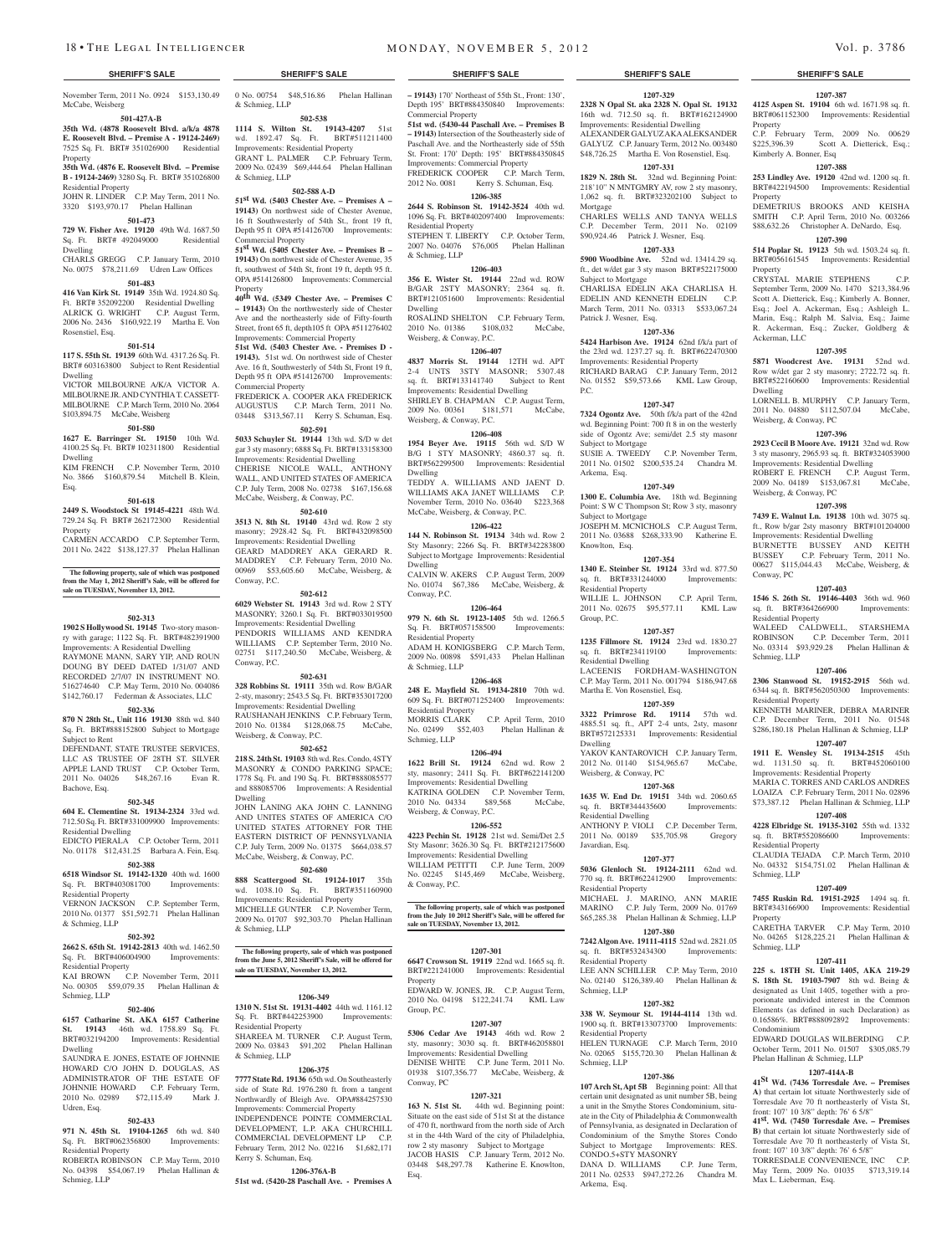November Term, 2011 No. 0924 \$153,130.49 0 No. 00754 \$48,516.86 Phelan Hallinan McCabe, Weisberg

# **501-427A-B**

**35th Wd. (4878 Roosevelt Blvd. a/k/a 4878 E. Roosevelt Blvd. – Premise A - 19124-2469)**  7525 Sq. Ft. BRT# 351026900 Residential Property

**35th Wd. (4876 E. Roosevelt Blvd. – Premise B - 19124-2469)** 3280 Sq. Ft. BRT# 351026800 Residential Property

JOHN R. LINDER C.P. May Term, 2011 No. 3320 \$193,970.17 Phelan Hallinan

# **501-473**

**729 W. Fisher Ave. 19120** 49th Wd. 1687.50 Sq. Ft. BRT# 492049000 Residential Dwelling

CHARLS GREGG C.P. January Term, 2010 No. 0075 \$78,211.69 Udren Law Offices

# **501-483**

**416 Van Kirk St. 19149** 35th Wd. 1924.80 Sq. Ft. BRT# 352092200 Residential Dwelling ALRICK G. WRIGHT C.P. August Term, 2006 No. 2436 \$160,922.19 Martha E. Von Rosenstiel, Esq.

### **501-514**

**117 S. 55th St. 19139** 60th Wd. 4317.26 Sq. Ft. BRT# 603163800 Subject to Rent Residential Dwelling

VICTOR MILBOURNE A/K/A VICTOR A. MILBOURNE JR. AND CYNTHIA T. CASSETT-MILBOURNE C.P. March Term, 2010 No. 2064 \$103,894.75 McCabe, Weisberg

# **501-580**

**1627 E. Barringer St. 19150** 10th Wd. 4100.25 Sq. Ft. BRT# 102311800 Residential Dwelling

KIM FRENCH C.P. November Term, 2010 No. 3866 \$160,879.54 Mitchell B. Klein, Esq.

### **501-618**

**2449 S. Woodstock St 19145-4221** 48th Wd. 729.24 Sq. Ft BRT# 262172300 Residential Property

CARMEN ACCARDO C.P. September Term, 2011 No. 2422 \$138,127.37 Phelan Hallinan

**The following property, sale of which was postponed from the May 1, 2012 Sheriff's Sale, will be offered for sale on TUESDAY, November 13, 2012.**

#### **502-313**

**1902 S Hollywood St. 19145** Two-story masonry with garage; 1122 Sq. Ft. BRT#482391900 Improvements: A Residential Dwelling RAYMONE MANN, SARY YIP, AND ROUN DOUNG BY DEED DATED 1/31/07 AND RECORDED 2/7/07 IN INSTRUMENT NO. 516274640 C.P. May Term, 2010 No. 004086 \$142,760.17 Federman & Associates, LLC

# **502-336**

**870 N 28th St., Unit 116 19130** 88th wd. 840 Sq. Ft. BRT#888152800 Subject to Mortgage Subject to Rent

DEFENDANT, STATE TRUSTEE SERVICES, LLC AS TRUSTEE OF 28TH ST. SILVER APPLE LAND TRUST C.P. October Term, 2011 No. 04026 \$48,267.16 Evan R. Bachove, Esq.

#### **502-345**

**604 E. Clementine St. 19134-2324** 33rd wd. 712.50 Sq. Ft. BRT#331009900 Improvements: Residential Dwelling EDICTO PIERALA C.P. October Term, 2011 No. 01178 \$12,431.25 Barbara A. Fein, Esq.

# **502-388**

**6518 Windsor St. 19142-1320** 40th wd. 1600 Sq. Ft. BRT#403081700 Improvements:

Residential Property VERNON JACKSON C.P. September Term, 2010 No. 01377 \$51,592.71 Phelan Hallinan & Schmieg, LLP

**502-392 2662 S. 65th St. 19142-2813** 40th wd. 1462.50 Sq. Ft. BRT#406004900 Improvements:

# Residential Property KAI BROWN C.P. November Term, 2011

No. 00305 \$59,079.35 Phelan Hallinan & Schmieg, LLP

# **502-406**

**6157 Catharine St. AKA 6157 Catherine St. 19143** 46th wd. 1758.89 Sq. Ft. BRT#032194200 Improvements: Residential Dwelling SAUNDRA E. JONES, ESTATE OF JOHNNIE

HOWARD C/O JOHN D. DOUGLAS, AS ADMINISTRATOR OF THE ESTATE OF JOHNNIE HOWARD C.P. February Term, 2010 No. 02989 \$72,115.49 Mark J. Udren, Esq.

# **502-433**

**971 N. 45th St. 19104-1265** 6th wd. 840 Sq. Ft. BRT#062356800 Residential Property

ROBERTA ROBINSON C.P. May Term, 2010 No. 04398 \$54,067.19 Phelan Hallinan & Schmieg, LLP

& Schmieg, LLP

**502-538 1114 S. Wilton St. 19143-4207** 51st wd. 1892.47 Sq. Ft. BRT#511211400 Improvements: Residential Property GRANT L. PALMER C.P. February Term, 2009 No. 02439 \$69,444.64 Phelan Hallinan & Schmieg, LLP

# **502-588 A-D**

**51st Wd. (5403 Chester Ave. – Premises A – 19143)** On northwest side of Chester Avenue, 16 ft Southwesterly of 54th St., front 19 ft, Depth 95 ft OPA #514126700 Improvements: Commercial Property

**51st Wd. (5405 Chester Ave. – Premises B – 19143)** On northwest side of Chester Avenue, 35 ft, southwest of 54th St, front 19 ft, depth 95 ft. OPA #514126800 Improvements: Commercial Property **40th Wd. (5349 Chester Ave. – Premises C**

**– 19143)** On the northwesterly side of Chester Ave and the northeasterly side of Fifty-fourth Street, front 65 ft, depth105 ft OPA #511276402 Improvements: Commercial Property

**51st Wd. (5403 Chester Ave. - Premises D - 19143).** 51st wd. On northwest side of Chester Ave. 16 ft, Southwesterly of 54th St, Front 19 ft, Depth 95 ft OPA #514126700 Improvements: Commercial Property FREDERICK A. COOPER AKA FREDERICK AUGUSTUS C.P. March Term, 2011 No.

03448 \$313,567.11 Kerry S. Schuman, Esq. **502-591 5033 Schuyler St. 19144** 13th wd. S/D w det gar 3 sty masonry; 6888 Sq. Ft. BRT#133158300 Improvements: Residential Dwelling CHERISE NICOLE WALL, ANTHO WALL, AND UNITED STATES OF AMERICA

C.P. July Term, 2008 No. 02738 \$167,156.68 McCabe, Weisberg, & Conway, P.C. **502-610**

**3513 N. 8th St. 19140** 43rd wd. Row 2 sty masonry; 2928.42 Sq. Ft. BRT#432098500 Improvements: Residential Dwelling GEARD MADDREY AKA GERARD R. MADDREY C.P. February Term, 2010 No. 00969 \$53,605.60 McCabe, Weisberg, &  $Convay$ , P.C.

**502-612**

**6029 Webster St. 19143** 3rd wd. Row 2 STY MASONRY; 3260.1 Sq. Ft. BRT#033019500 Improvements: Residential Dwelling PENDORIS WILLIAMS AND KENDRA WILLIAMS C.P. September Term, 2010 No. 02751 \$117,240.50 McCabe, Weisberg, & Conway, P.C.

# **502-631**

**328 Robbins St. 19111** 35th wd. Row B/GAR 2-sty, masonry; 2543.5 Sq. Ft. BRT#353017200 Improvements: Residential Dwelling RAUSHANAH JENKINS C.P. February Term, 2010 No. 01384 \$128,068.75 McCabe, Weisberg, & Conway, P.C.

# **502-652**

**218 S. 24th St. 19103** 8th wd. Res. Condo, 4STY MASONRY & CONDO PARKING SPACE; 1778 Sq. Ft. and 190 Sq. Ft. BRT#888085577 and 888085706 Improvements: A Residential Dwelling JOHN LANING AKA JOHN C. LANNING AND UNITES STATES OF AMERICA C/O UNITED STATES ATTORNEY FOR THE EASTERN DISTRICT OF PENNSYLVANIA

# C.P. July Term, 2009 No. 01375 \$664,038.57 McCabe, Weisberg, & Conway, P.C.

# **502-680**

**888 Scattergood St. 19124-1017** 35th wd. 1038.10 Sq. Ft. BRT#351160900 Improvements: Residential Property MICHELLE GUNTER C.P. November Term, 2009 No. 01707 \$92,303.70 Phelan Hallinan & Schmieg, LLP

**The following property, sale of which was postponed from the June 5, 2012 Sheriff's Sale, will be offered for sale on TUESDAY, November 13, 2012.**

### **1206-349**

**1310 N. 51st St. 19131-4402** 44th wd. 1161.12 Sq. Ft. BRT#442253900 Improvements: Residential Property SHAREEA M. TURNER C.P. August Term, 2009 No. 03843 \$91,202 Phelan Hallinan & Schmieg, LLP

### **1206-375**

**7777 State Rd. 19136** 65th wd. On Southeasterly side of State Rd. 1976.280 ft. from a tangent Northwardly of Bleigh Ave. OPA#884257530 Improvements: Commercial Property INDEPENDENCE POINTE COMMERCIAL DEVELOPMENT, L.P. AKA CHURCHILL COMMERCIAL DEVELOPMENT LP CP

February Term, 2012 No. 02216 \$1,682,171 Kerry S. Schuman, Esq. **1206-376A-B**

**51st wd. (5420-28 Paschall Ave. - Premises A**

# **SHERIFF'S SALE SHERIFF'S SALE SHERIFF'S SALE SHERIFF'S SALE SHERIFF'S SALE**

**1207-329 2328 N Opal St. aka 2328 N. Opal St. 19132**  16th wd. 712.50 sq. ft. BRT#162124900 Improvements: Residential Dwelling ALEXANDER GALYUZ AKAALEKSANDER GALYUZ C.P. January Term, 2012 No. 003480 \$48,726.25 Martha E. Von Rosenstiel, Esq. **1207-331 1829 N. 28th St.** 32nd wd. Beginning Point: 218'10" N MNTGMRY AV, row 2 sty masonry, 1,062 sq. ft. BRT#323202100 Subject to

**1207-387 4125 Aspen St. 19104** 6th wd. 1671.98 sq. ft. BRT#061152300 Improvements: Residential

C.P. February Term, 2009 No. 00629 \$225,396.39 Scott A. Dietterick, Esq.;

**1207-388 253 Lindley Ave. 19120** 42nd wd. 1200 sq. ft. BRT#422194500 Improvements: Residential

DEMETRIUS BROOKS AND KEISHA SMITH C.P. April Term, 2010 No. 003266 \$88,632.26 Christopher A. DeNardo, Esq. **1207-390 514 Poplar St. 19123** 5th wd. 1503.24 sq. ft. BRT#056161545 Improvements: Residential

**1207-395 5871 Woodcrest Ave. 19131** 52nd wd. Row w/det gar 2 sty masonry; 2722.72 sq. ft. BRT#522160600 Improvements: Residential

LORNELL B. MURPHY C.P. January Term, 2011 No. 04880 \$112,507.04 McCabe,

**1207-396 2923 Cecil B Moore Ave. 19121** 32nd wd. Row 3 sty masonry, 2965.93 sq. ft. BRT#324053900 Improvements: Residential Dwelling ROBERT E. FRENCH C.P. August Term, 2009 No. 04189 \$153,067.81 McCabe,

**1207-398 7439 E. Walnut Ln. 19138** 10th wd. 3075 sq. ft., Row b/gar 2sty masonry BRT#101204000 Improvements: Residential Dwelling BURNETTE BUSSEY AND KEITH BUSSEY C.P. February Term, 2011 No. 00627 \$115,044.43 McCabe, Weisberg, &

**1207-403 1546 S. 26th St. 19146-4403** 36th wd. 960 sq. ft. BRT#364266900 Improvements:

WALEED CALDWELL, STARSHEMA ROBINSON C.P. December Term, 2011 No. 03314 \$93,929.28 Phelan Hallinan &

**1207-406 2306 Stanwood St. 19152-2915** 56th wd. 6344 sq. ft. BRT#562050300 Improvements:

KENNETH MARINER, DEBRA MARINER C.P. December Term, 2011 No. 01548 \$286,180.18 Phelan Hallinan & Schmieg, LLP **1207-407 1911 E. Wensley St. 19134-2515** 45th wd. 1131.50 sq. ft. BRT#452060100 Improvements: Residential Property MARIA C. TORRES AND CARLOS ANDRES LOAIZA C.P. February Term, 2011 No. 02896 \$73,387.12 Phelan Hallinan & Schmieg, LLP **1207-408 4228 Elbridge St. 19135-3102** 55th wd. 1332 sq. ft. BRT#552086600 Improvements:

CLAUDIA TEJADA C.P. March Term, 2010 No. 04332 \$154,751.02 Phelan Hallinan &

**1207-409 7455 Ruskin Rd. 19151-2925** 1494 sq. ft. BRT#343166900 Improvements: Residential

CARETHA TARVER C.P. May Term, 2010 No. 04265 \$128,225.21 Phelan Hallinan &

**1207-411 225 s. 18TH St. Unit 1405, AKA 219-29 S. 18th St. 19103-7907** 8th wd. Being & designated as Unit 1405, together with a proporionate undivided interest in the Common Elements (as defined in such Declaration) as 0.16586%. BRT#888092892 Improvements:

EDWARD DOUGLAS WILBERDING C.P. October Term, 2011 No. 01507 \$305,085.79

**1207-414A-B 41St Wd. (7436 Torresdale Ave. – Premises A)** that certain lot situate Northwesterly side of Torresdale Ave 70 ft northeasterly of Vista St, front: 107' 10 3/8" depth: 76' 6 5/8" **41st. Wd. (7450 Torresdale Ave. – Premises B)** that certain lot situate Northwesterly side of Torresdale Ave 70 ft northeasterly of Vista St, front: 107' 10 3/8" depth: 76' 6 5/8" TORRESDALE CONVENIENCE, INC C.P. May Term, 2009 No. 01035 \$713,319.14

Phelan Hallinan & Schmieg, LLP

Max L. Lieberman, Esq.

CRYSTAL MARIE STEPHENS September Term, 2009 No. 1470 \$213,384.96 Scott A. Dietterick, Esq.; Kimberly A. Bonner, Esq.; Joel A. Ackerman, Esq.; Ashleigh L. Marin, Esq.; Ralph M. Salvia, Esq.; Jaime R. Ackerman, Esq.; Zucker, Goldberg &

Property

Property

Property

Ackerman, LLC

Weisberg, & Conway, PC

Weisberg, & Conway, PC

Conway, PC

Residential Property

Residential Property

Residential Property

Schmieg, LLP

Schmieg, LLP

Condominium

Property

Schmieg, LLP

Dwelling

Kimberly A. Bonner, Esq

CHARLES WELLS AND TANYA WELLS C.P. December Term, 2011 No. 02109 \$90,924.46 Patrick J. Wesner, Esq. **1207-333 5900 Woodbine Ave.** 52nd wd. 13414.29 sq. ft., det w/det gar 3 sty mason BRT#522175000

CHARLISA EDELIN AKA CHARLISA H. EDELIN AND KENNETH EDELIN C.P. March Term, 2011 No. 03313 \$533,067.24

**1207-336 5424 Harbison Ave. 19124** 62nd f/k/a part of the 23rd wd. 1237.27 sq. ft. BRT#622470300 Improvements: Residential Property RICHARD BARAG C.P. January Term, 2012 No. 01552 \$59,573.66 KML Law Group,

**1207-347 7324 Ogontz Ave.** 50th f/k/a part of the 42nd wd. Beginning Point: 700 ft 8 in on the westerly side of Ogontz Ave; semi/det 2.5 sty masonr

SUSIE A. TWEEDY C.P. November Term, 2011 No. 01502 \$200,535.24 Chandra M.

**1207-349 1300 E. Columbia Ave.** 18th wd. Beginning Point: S W C Thompson St; Row 3 sty, masonry

JOSEPH M. MCNICHOLS C.P. August Term, 2011 No. 03688 \$268,333.90 Katherine E.

**1207-354 1340 E. Steinber St. 19124** 33rd wd. 877.50 sq. ft. BRT#331244000 Improvements:

WILLIE L. JOHNSON C.P. April Term, 2011 No. 02675 \$95,577.11 KML Law

**1207-357 1235 Fillmore St. 19124** 23rd wd. 1830.27 sq. ft. BRT#234119100 Improvements:

LACEENIS FORDHAM-WASHINGTO C.P. May Term, 2011 No. 001794 \$186,947.68

**1207-359 3322 Primrose Rd. 19114** 57th wd. 4885.51 sq. ft., APT 2-4 unts, 2sty, masonr BRT#572125331 Improvements: Residential

YAKOV KANTAROVICH C.P. January Term, 2012 No. 01140 \$154,965.67 McCabe,

**1207-368 1635 W. End Dr. 19151** 34th wd. 2060.65 sq. ft. BRT#344435600 Improvements:

ANTHONY P. VIOLI C.P. December Term, 2011 No. 00189 \$35,705.98 Gregory

**1207-377 5036 Glenloch St. 19124-2111** 62nd wd. 770 sq. ft. BRT#622412900 Improvements:

MICHAEL J. MARINO, ANN MARIE MARINO C.P. July Term, 2009 No. 01769 \$65,285.38 Phelan Hallinan & Schmieg, LLP **1207-380 7242 Algon Ave. 19111-4115** 52nd wd. 2821.05 sq. ft. BRT#532434300 Improvements:

LEE ANN SCHILLER C.P. May Term, 2010 No. 02140 \$126,389.40 Phelan Hallinan &

**1207-382 338 W. Seymour St. 19144-4114** 13th wd. 1900 sq. ft. BRT#133073700 Improvements:

No. 02065 \$155,720.30 Phelan Hallinan &

**1207-386** 107 Arch St, Apt 5B Beginning point: All that certain unit designated as unit number 5B, being a unit in the Smythe Stores Condominium, situate in the City of Philadelphia & Commonwealth of Pennsylvania, as designated in Declaration of Condominium of the Smythe Stores Condo Subject to Mortgage Improvements: RES.

DANA D. WILLIAMS C.P. June Term, 2011 No. 02533 \$947,272.26 Chandra M.

C.P. March Term, 2010

Mortgage

P.C.

Subject to Mortgage

Patrick J. Wesner, Esq.

Subject to Mortgage

Subject to Mortgage

sq. ft. BRT#331244000 Residential Property

Knowlton, Esq.

Group, P.C.

Dwelling

Residential Dwelling

Martha E. Von Rosenstiel, Esq.

Weisberg, & Conway, PC

Residential Dwelling

Residential Property

Residential Property

Residential Property<br>HELEN TURNAGE

CONDO.5+STY MASONRY

Schmieg, LLP

Arkema, Esq.

Schmieg, LLP

Javardian, Esq.

Arkema, Esq.

**– 19143)** 170' Northeast of 55th St., Front: 130', Depth 195' BRT#884350840 Improvements: Commercial Property

**51st wd. (5430-44 Paschall Ave. – Premises B – 19143)** Intersection of the Southeasterly side of Paschall Ave. and the Northeasterly side of 55th St. Front: 170' Depth: 195' BRT#884350845 Improvements: Commercial Property

FREDERICK COOPER C.P. March Term, 2012 No. 0081 Kerry S. Schuman, Esq.

**1206-385 2644 S. Robinson St. 19142-3524** 40th wd. 1096 Sq. Ft. BRT#402097400 Improvements:

Residential Property STEPHEN T. LIBERTY C.P. October Term, 2007 No. 04076 \$76,005 Phelan Hallinan & Schmieg, LLP

# **1206-403**

**356 E. Wister St. 19144** 22nd wd. ROW B/GAR 2STY MASONRY; 2364 sq. ft. BRT#121051600 Improvements: Residential Dwelling ROSALIND SHELTON C.P. February Term,

2010 No. 01386 \$108,032 McCabe, Weisberg, & Conway, P.C. **1206-407**

**4837 Morris St. 19144** 12TH wd. APT 2-4 UNTS 3STY MASONR; 5307.48 sq. ft. BRT#133141740 Subject to Rent Improvements: Residential Dwelling SHIRLEY B. CHAPMAN C.P. August Term, 2009 No. 00361 \$181,571 McCabe, Weisberg, & Conway, P.C.

# **1206-408**

**1954 Beyer Ave. 19115** 56th wd. S/D W B/G 1 STY MASONRY; 4860.37 sq. ft. BRT#562299500 Improvements: Residential Dwelling TEDDY A. WILLIAMS AND JAENT D. WILLIAMS AKA JANET WILLIAMS C.P. November Term, 2010 No. 03640 \$223,368

# McCabe, Weisberg, & Conway, P.C. **1206-422**

**144 N. Robinson St. 19134** 34th wd. Row 2 Sty Masonry; 2266 Sq. Ft. BRT#342283800 Subject to Mortgage Improvements: Residential Dwelling CALVIN W. AKERS C.P. August Term, 2009 No. 01074 \$67,386 McCabe, Weisberg, & Conway, P.C.

**1206-464**

**979 N. 6th St. 19123-1405** 5th wd. 1266.5<br>Sq. Ft. BRT#057158500 Improvements: Sq. Ft. BRT#057158500 Residential Property ADAM H. KONIGSBERG C.P. March Term, 2009 No. 00898 \$591,433 Phelan Hallinan & Schmieg, LLP

# **1206-468**

**248 E. Mayfield St. 19134-2810** 70th wd. 609 Sq. Ft. BRT#071252400 Improvements: Residential Property MORRIS CLARK C.P. April Term, 2010 No. 02499 \$52,403 Phelan Hallinan & Schmieg, LLP

# **1206-494**

**1622 Brill St. 19124** 62nd wd. Row 2 sty, masonry; 2411 Sq. Ft. BRT#622141200 Improvements: Residential Dwelling KATRINA GOLDEN C.P. November Term, 2010 No. 04334 \$89,568 McCabe, Weisberg, & Conway, P.C. **1206-552**

**4223 Pechin St. 19128** 21st wd. Semi/Det 2.5

Sty Masonr; 3626.30 Sq. Ft. BRT#212175600 Improvements: Residential Dwelling WILLIAM PETITTI C.P. June Term, 2009

No. 02245 \$145,469 McCabe, Weisberg, & Conway, P.C.

# **The following property, sale of which was postponed from the July 10 2012 Sheriff's Sale, will be offered for sale on TUESDAY, November 13, 2012.**

# **1207-301**

**6647 Crowson St. 19119** 22nd wd. 1665 sq. ft. BRT#221241000 Improvements: Residential Property

EDWARD W. JONES, JR. C.P. August Term, 2010 No. 04198 \$122,241.74 KML Law Group, P.C.

#### **1207-307 5306 Cedar Ave 19143** 46th wd. Row 2

sty, masonry; 3030 sq. ft. BRT#462058801 Improvements: Residential Dwelling DENISE WHITE C.P. June Term, 2011 No. 01938 \$107,356.77 McCabe, Weisberg, & Conway, PC

#### **1207-321**

**163 N. 51st St.** 44th wd. Beginning point: Situate on the east side of 51st St at the distance of 470 ft, northward from the north side of Arch st in the 44th Ward of the city of Philadelphia, row 2 sty masonry Subject to Mortgage JACOB HASIS C.P. January Term, 2012 No. 03448 \$48,297.78 Katherine E. Knowlton, Esq.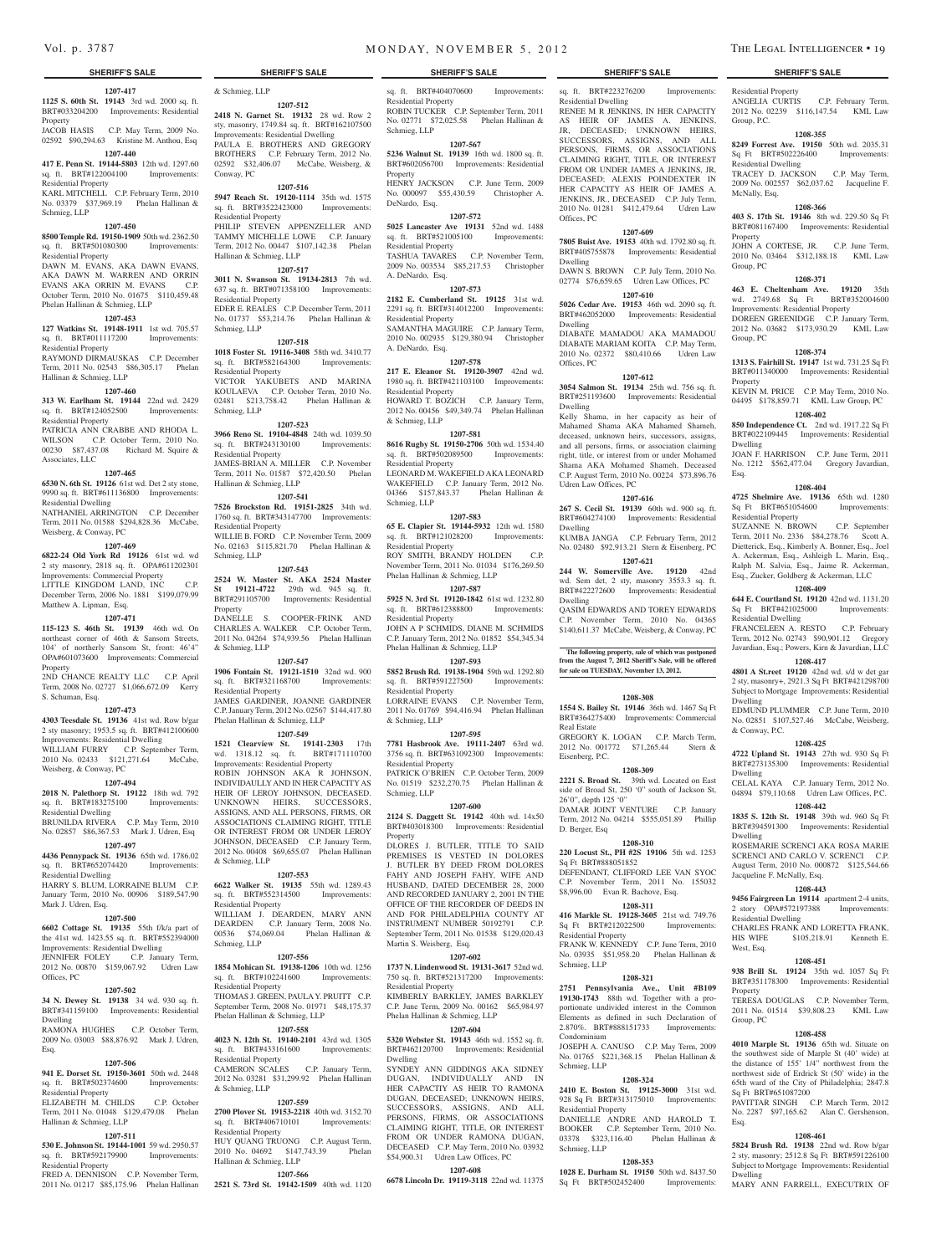### **1207-417**

& Schmieg, LLP

Conway, PC

Residential Property

Residential Property

Residential Property

Residential Property

Residential Property

Schmieg, LLP

& Schmieg, LLP

Residential Property

& Schmieg, LLP

Residential Property

Residential Property

Residential Property

Residential Property

Hallinan & Schmieg, LLP

& Schmieg, LLP

Schmieg, LLP

Phelan Hallinan & Schmieg, LLP **1207-549 1521 Clearview St. 19141-2303** 17th wd. 1318.12 sq. ft. BRT#171110700 Improvements: Residential Property ROBIN JOHNSON AKA R JOHNSON, INDIVIDAULLYAND IN HER CAPACITYAS HEIR OF LEROY JOHNSON, DECEASED. UNKNOWN HEIRS, SUCCESSORS, ASSIGNS, AND ALL PERSONS, FIRMS, OR ASSOCIATIONS CLAIMING RIGHT, TITLE OR INTEREST FROM OR UNDER LEROY JOHNSON, DECEASED C.P. January Term, 2012 No. 00408 \$69,655.07 Phelan Hallinan

Property

Hallinan & Schmieg, LLP

Schmieg, LLP

Schmieg, LLP

Hallinan & Schmieg, LLP

**1207-512 2418 N. Garnet St. 19132** 28 wd. Row 2 sty, masonry, 1749.84 sq. ft. BRT#162107500 Improvements: Residential Dwelling PAULA E. BROTHERS AND GREGO BROTHERS C.P. February Term, 2012 No. 02592 \$32,406.07 McCabe, Weisberg, &

**1207-516 5947 Reach St. 19120-1114** 35th wd. 1575 sq. ft. BRT#3522423000 Improvements:

PHILIP STEVEN APPENZELLER AND TAMMY MICHELLE LOWE C.P. January Term, 2012 No. 00447 \$107,142.38 Phelan

**1207-517 3011 N. Swanson St. 19134-2813** 7th wd. 637 sq. ft. BRT#071358100 Improvements:

EDER E. REALES C.P. December Term, 2011 No. 01737 \$53,214.76 Phelan Hallinan &

**1207-518 1018 Foster St. 19116-3408** 58th wd. 3410.77 sq. ft. BRT#582164300 Improvements:

VICTOR YAKUBETS AND MARINA KOULAEVA C.P. October Term, 2010 No. 02481 \$213,758.42 Phelan Hallinan &

**1207-523 3966 Reno St. 19104-4848** 24th wd. 1039.50 sq. ft. BRT#243130100 Improvements:

JAMES-BRIAN A. MILLER C.P. November Term, 2011 No. 01587 \$72,420.50 Phelan

**1207-541 7526 Brockston Rd. 19151-2825** 34th wd. 1760 sq. ft. BRT#343147700 Improvements:

WILLIE B. FORD C.P. November Term, 2009 No. 02163 \$115,821.70 Phelan Hallinan &

**1207-543 2524 W. Master St. AKA 2524 Master St 19121-4722** 29th wd. 945 sq. ft. BRT#291105700 Improvements: Residential

DANELLE S. COOPER-FRINK AND CHARLES A. WALKER C.P. October Term, 2011 No. 04264 \$74,939.56 Phelan Hallinan

**1207-547 1906 Fontain St. 19121-1510** 32nd wd. 900 sq. ft. BRT#321168700 Improvements:

JAMES GARDINER, JOANNE GARDINER C.P. January Term, 2012 No. 02567 \$144,417.80

**1207-553 6622 Walker St. 19135** 55th wd. 1289.43 sq. ft. BRT#552314500 Improvements:

WILLIAM J. DEARDEN, MARY ANN DEARDEN C.P. January Term, 2008 No. 00536 \$74,069.04 Phelan Hallinan &

**1207-556 1854 Mohican St. 19138-1206** 10th wd. 1256 sq. ft. BRT#102241600 Improvements:

THOMAS J. GREEN, PAULAY. PRUITT C.P. September Term, 2008 No. 01971 \$48,175.37

**1207-558**

sq. ft. BRT#433161600 Improvements:

CAMERON SCALES C.P. January Term, 2012 No. 03281 \$31,299.92 Phelan Hallinan

**1207-559 2700 Plover St. 19153-2218** 40th wd. 3152.70 sq. ft. BRT#406710101 Improvements:

HUY QUANG TRUONG C.P. August Term, 2010 No. 04692 \$147,743.39 Phelan

**1207-566 2521 S. 73rd St. 19142-1509** 40th wd. 1120

Phelan Hallinan & Schmieg, LLP

**1125 S. 60th St. 19143** 3rd wd. 2000 sq. ft. BRT#033204200 Improvements: Residential

Property JACOB HASIS C.P. May Term, 2009 No. 02592 \$90,294.63 Kristine M. Anthou, Esq

# **1207-440**

**417 E. Penn St. 19144-5803** 12th wd. 1297.60 sq. ft. BRT#122004100 Improvements:

Residential Property KARL MITCHELL C.P. February Term, 2010 No. 03379 \$37,969.19 Phelan Hallinan & Schmieg, LLP

# **1207-450**

**8500 Temple Rd. 19150-1909** 50th wd. 2362.50 sq. ft. BRT#501080300 Improvements:

Residential Property DAWN M. EVANS, AKA DAWN EVANS, AKA DAWN M. WARREN AND ORRIN EVANS AKA ORRIN M. EVANS C.P. October Term, 2010 No. 01675 \$110,459.48 Phelan Hallinan & Schmieg, LLP

#### **1207-453**

**127 Watkins St. 19148-1911** 1st wd. 705.57 sq. ft. BRT#011117200 Improvements: Residential Property RAYMOND DIRMAUSKAS C.P. December Term, 2011 No. 02543 \$86,305.17 Phelan

# Hallinan & Schmieg, LLP **1207-460**

**313 W. Earlham St. 19144** 22nd wd. 2429 sq. ft. BRT#124052500 Improvements:

Residential Property PATRICIA ANN CRABBE AND RHODA L. WILSON C.P. October Term, 2010 No. 00230 \$87,437.08 Richard M. Squire & Associates, LLC

# **1207-465**

**6530 N. 6th St. 19126** 61st wd. Det 2 sty stone, 9990 sq. ft. BRT#611136800 Improvements: Residential Dwelling

NATHANIEL ARRINGTON C.P. December Term, 2011 No. 01588 \$294,828.36 McCabe,

# Weisberg, & Conway, PC

**1207-469**

**6822-24 Old York Rd 19126** 61st wd. wd 2 sty masonry, 2818 sq. ft. OPA#611202301 Improvements: Commercial Property

LITTLE KINGDOM LAND, INC. December Term, 2006 No. 1881 \$199,079.99 Matthew A. Lipman, Esq.

# **1207-471**

**115-123 S. 46th St. 19139** 46th wd. On northeast corner of 46th & Sansom Streets, 104' of northerly Sansom St, front: 46'4" OPA#601073600 Improvements: Commercial Property

2ND CHANCE REALTY LLC C.P. April Term, 2008 No. 02727 \$1,066,672.09 Kerry S. Schuman, Esq.

# **1207-473**

**4303 Teesdale St. 19136** 41st wd. Row b/gar 2 sty masonry; 1953.5 sq. ft. BRT#412100600 Improvements: Residential Dwelling WILLIAM FURRY C.P. September Term, 2010 No. 02433 \$121,271.64 McCabe, Weisberg, & Conway, PC

### **1207-494**

**2018 N. Palethorp St. 19122** 18th wd. 792 sq. ft. BRT#183275100 Improvements: sq. ft. BRT#183275100 Residential Dwelling BRUNILDA RIVERA C.P. May Term, 2010

No. 02857 \$86,367.53 Mark J. Udren, Esq **1207-497**

# **4436 Pennypack St. 19136** 65th wd. 1786.02

sq. ft. BRT#652074420 Improvements: Residential Dwelling HARRY S. BLUM, LORRAINE BLUM C.P.

January Term, 2010 No. 00906 \$189,547.90 Mark J. Udren, Esq.

# **1207-500**

**6602 Cottage St. 19135** 55th f/k/a part of the 41st wd. 1423.55 sq. ft. BRT#552394000 Improvements: Residential Dwelling JENNIFER FOLEY C.P. January Term, 2012 No. 00870 \$159,067.92 Udren Law

# **1207-502**

Offices, PC

**34 N. Dewey St. 19138** 34 wd. 930 sq. ft. BRT#341159100 Improvements: Residential Dwelling RAMONA HUGHES C.P. October Term,

# 2009 No. 03003 \$88,876.92 Mark J. Udren, Esq. **1207-506**

**941 E. Dorset St. 19150-3601** 50th wd. 2448 sq. ft. BRT#502374600 Improvements: Residential Property

# ELIZABETH M. CHILDS C.P. October Term, 2011 No. 01048 \$129,479.08 Phelan Hallinan & Schmieg, LLP

# **1207-511**

**530 E. Johnson St. 19144-1001** 59 wd. 2950.57 sq. ft. BRT#592179900 Improvements: Residential Property

FRED A. DENNISON C.P. November Term, 2011 No. 01217 \$85,175.96 Phelan Hallinan

sq. ft. BRT#404070600 Improvements: Residential Property ROBIN TUCKER C.P. September Term, 2011 No. 02771 \$72,025.58 Phelan Hallinan & Schmieg, LLP

# **1207-567**

**5236 Walnut St. 19139** 16th wd. 1800 sq. ft. BRT#602056700 Improvements: Residential Property HENRY JACKSON C.P. June Term, 2009

No. 000097 \$55,430.59 Christopher A. DeNardo, Esq. **1207-572**

**5025 Lancaster Ave 19131** 52nd wd. 1488 sq. ft. BRT#521005100 Improvements: Residential Property TASHUA TAVARES C.P. November Term, 2009 No. 003534 \$85,217.53 Christopher A. DeNardo, Esq.

# **1207-573**

**2182 E. Cumberland St. 19125** 31st wd. 2291 sq. ft. BRT#314012200 Improvements: Residential Property SAMANTHA MAGUIRE C.P. January Term, 2010 No. 002935 \$129,380.94 Christopher A. DeNardo, Esq.

# **1207-578**

**217 E. Eleanor St. 19120-3907** 42nd wd. 1980 sq. ft. BRT#421103100 Improvements: Residential Property HOWARD T. BOZICH C.P. January Term, 2012 No. 00456 \$49,349.74 Phelan Hallinan & Schmieg, LLP

### **1207-581**

**8616 Rugby St. 19150-2706** 50th wd. 1534.40 sq. ft. BRT#502089500 Improvements:  $sq.$  ft. BRT#502089500 Residential Property LEONARD M. WAKEFIELD AKA LEONARD WAKEFIELD C.P. January Term, 2012 No. 04366 \$157,843.37 Phelan Hallinan & Schmieg, LLP

# **1207-583**

**65 E. Clapier St. 19144-5932** 12th wd. 1580 sq. ft. BRT#121028200 Improvements: Residential Property ROY SMITH, BRANDY HOLDEN C.P.

November Term, 2011 No. 01034 \$176,269.50 Phelan Hallinan & Schmieg, LLP **1207-587**

**5925 N. 3rd St. 19120-1842** 61st wd. 1232.80 sq. ft. BRT#612388800 Improvements: Residential Property JOHN A P SCHMIDS, DIANE M. SCHMIDS C.P. January Term, 2012 No. 01852 \$54,345.34 Phelan Hallinan & Schmieg, LLP

# **1207-593**

**5852 Brush Rd. 19138-1904** 59th wd. 1292.80 sq. ft. BRT#591227500 Improvements: Residential Property LORRAINE EVANS C.P. November Term, 2011 No. 01769 \$94,416.94 Phelan Hallinan & Schmieg, LLP

# **1207-595**

**7781 Hasbrook Ave. 19111-2407** 63rd wd. 3756 sq. ft. BRT#631092300 Improvements: Residential Property PATRICK O'BRIEN C.P. October Term, 2009

No. 01519 \$232,270.75 Phelan Hallinan & Schmieg, LLP

# **1207-600**

**2124 S. Daggett St. 19142** 40th wd. 14x50 BRT#403018300 Improvements: Residential Property DLORES J. BUTLER, TITLE TO SAID PREMISES IS VESTED IN DOLORES J. BUTLER BY DEED FROM DOLORES FAHY AND JOSEPH FAHY, WIFE AND

HUSBAND, DATED DECEMBER 28, 2000 AND RECORDED JANUARY 2, 2001 IN THE OFFICE OF THE RECORDER OF DEEDS IN AND FOR PHILADELPHIA COUNTY AT INSTRUMENT NUMBER 50192791 C.P. September Term, 2011 No. 01538 \$129,020.43 Martin S. Weisberg, Esq.

### **1207-602**

**1737 N. Lindenwood St. 19131-3617** 52nd wd. 750 sq. ft. BRT#521317200 Improvements: Residential Property

# KIMBERLY BARKLEY, JAMES BARKLEY C.P. June Term, 2009 No. 00162 \$65,984.97 Phelan Hallinan & Schmieg, LLP **1207-604**

**4023 N. 12th St. 19140-2101** 43rd wd. 1305 **5320 Webster St. 19143** 46th wd. 1552 sq. ft. BRT#462120700 Improvements: Residential Dwelling

> SYNDEY ANN GIDDINGS AKA SIDNEY DUGAN, INDIVIDUALLY AND IN HER CAPACTIY AS HEIR TO RAMONA DUGAN, DECEASED; UNKNOWN HEIRS, SUCCESSORS, ASSIGNS, AND ALL PERSONS, FIRMS, OR ASSOCIATIONS CLAIMING RIGHT, TITLE, OR INTEREST FROM OR UNDER RAMONA DUGAN, DECEASED C.P. May Term, 2010 No. 03932 \$54,900.31 Udren Law Offices, PC

# **1207-608**

## **6678 Lincoln Dr. 19119-3118** 22nd wd. 11375

**SHERIFF'S SALE SHERIFF'S SALE SHERIFF'S SALE SHERIFF'S SALE SHERIFF'S SALE**

Residential Property

Residential Dwelling

Group, P.C.

McNally, Esq.

Property

Group, PC

Group, PC

Property

Dwelling

Residential Property

Residential Dwelling

Dwelling

Dwelling

Dwelling

& Conway, P.C.

Esq.

ANGELIA CURTIS C.P. February Term, 2012 No. 02239 \$116,147.54 KML Law

**1208-355 8249 Forrest Ave. 19150** 50th wd. 2035.31 Sq Ft BRT#502226400 Improvements:

TRACEY D. JACKSON C.P. May Term, 2009 No. 002557 \$62,037.62 Jacqueline F.

**1208-366 403 S. 17th St. 19146** 8th wd. 229.50 Sq Ft BRT#081167400 Improvements: Residential

JOHN A CORTESE, JR. C.P. June Term, 2010 No. 03464 \$312,188.18 KML Law

**1208-371 463 E. Cheltenham Ave. 19120** 35th wd. 2749.68 Sq Ft BRT#352004600 Improvements: Residential Property DOREEN GREENIDGE C.P. January Term 2012 No. 03682 \$173,930.29 KML Law

**1208-374 1313 S. Fairhill St. 19147** 1st wd. 731.25 Sq Ft BRT#011340000 Improvements: Residential

KEVIN M. PRICE C.P. May Term, 2010 No. 04495 \$178,859.71 KML Law Group, PC **1208-402 850 Independence Ct.** 2nd wd. 1917.22 Sq Ft BRT#022109445 Improvements: Residential

JOAN F. HARRISON C.P. June Term, 2011 No. 1212 \$562,477.04 Gregory Javardian,

**1208-404 4725 Shelmire Ave. 19136** 65th wd. 1280 Sq Ft BRT#651054600 Improvements:

SUZANNE N. BROWN C.P. September Term, 2011 No. 2336 \$84,278.76 Scott A. Dietterick, Esq., Kimberly A. Bonner, Esq., Joel A. Ackerman, Esq., Ashleigh L. Marin, Esq., Ralph M. Salvia, Esq., Jaime R. Ackerman, Esq., Zucker, Goldberg & Ackerman, LLC **1208-409 644 E. Courtland St. 19120** 42nd wd. 1131.20 Sq Ft BRT#421025000 Improvements:

FRANCELEEN A. RESTO C.P. February Term, 2012 No. 02743 \$90,901.12 Gregory Javardian, Esq.; Powers, Kirn & Javardian, LLC **1208-417 4801 A St.reet 19120** 42nd wd. s/d w det gar 2 sty, masonry+, 2921.3 Sq Ft BRT#421298700 Subject to Mortgage Improvements: Residential

EDMUND PLUMMER C.P. June Term, 2010 No. 02851 \$107,527.46 McCabe, Weisberg,

**1208-425 4722 Upland St. 19143** 27th wd. 930 Sq Ft BRT#273135300 Improvements: Residential

CELAL KAYA C.P. January Term, 2012 No. 04894 \$79,110.68 Udren Law Offices, P.C. **1208-442 1835 S. 12th St. 19148** 39th wd. 960 Sq Ft BRT#394591300 Improvements: Residential

RO SEMARIE SCRENCI AKA ROSA MARIE SCRENCI AND CARLO V. SCRENCI C.P. August Term, 2010 No. 000872 \$125,544.66

**1208-443 9456 Fairgreen Ln 19114** apartment 2-4 units, 2 story OPA#572197388 Improvements:

CHARLES FRANK AND LORETTA FRANK, HIS WIFE \$105,218.91 Kenneth E.

**1208-451 938 Brill St. 19124** 35th wd. 1057 Sq Ft BRT#351178300 Improvements: Residential

TERESA DOUGLAS C.P. November Term, 2011 No. 01514 \$39,808.23 KML Law

**1208-458 4010 Marple St. 19136** 65th wd. Situate on the southwest side of Marple St (40' wide) at the distance of 155' 1/4" northwest from the northwest side of Erdrick St (50' wide) in the 65th ward of the City of Philadelphia; 2847.8

PAVITTAR SINGH C.P. March Term, 2012 No. 2287 \$97,165.62 Alan C. Gershenson,

**1208-461 5824 Brush Rd. 19138** 22nd wd. Row b/gar 2 sty, masonry; 2512.8 Sq Ft BRT#591226100 Subject to Mortgage Improvements: Residential

MARY ANN FARRELL, EXECUTRIX OF

Jacqueline F. McNally, Esq.

Residential Dwelling

West, Esq.

Property

Group, PC

Esq.

Dwelling

Sq Ft BRT#651087200

#### sq. ft. BRT#223276200 Improvements: Residential Dwelling RENEE M R JENKINS, IN HER CAPACITY AS HEIR OF JAMES A. JENKINS, JR, DECEASED; UNKNOWN HEIRS, SUCCESSORS, ASSIGNS, AND ALL PERSONS, FIRMS, OR ASSOCIATIONS CLAIMING RIGHT, TITLE, OR INTEREST FROM OR UNDER JAMES A JENKINS, JR, DECEASED; ALEXIS POINDEXTER IN HER CAPACITY AS HEIR OF JAMES A. JENKINS, JR., DECEASED C.P. July Term, 2010 No. 01281 \$412,479.64 Udren Law Offices, PC

### **1207-609 7805 Buist Ave. 19153** 40th wd. 1792.80 sq. ft.

BRT#405755878 Improvements: Residential Dwelling DAWN S. BROWN C.P. July Term, 2010 No.

02774 \$76,659.65 Udren Law Offices, PC **1207-610**

**5026 Cedar Ave. 19153** 46th wd. 2090 sq. ft. BRT#462052000 Improvements: Residential Dwelling DIABATE MAMADOU AKA MAMADOU DIABATE MARIAM KOITA C.P. May Term,

2010 No. 02372 \$80,410.66 Udren Law Offices, PC **1207-612**

# **3054 Salmon St. 19134** 25th wd. 756 sq. ft. BRT#251193600 Improvements: Residential Dwelling

Kelly Shama, in her capacity as heir of Mahamed Shama AKA Mahamed Shameh, deceased, unknown heirs, successors, assigns, and all persons, firms, or association claiming right, title, or interest from or under Mohamed Shama AKA Mohamed Shameh, Deceased C.P. August Term, 2010 No. 00224 \$73,896.76 Udren Law Offices, PC

# **1207-616**

**267 S. Cecil St. 19139** 60th wd. 900 sq. ft. BRT#604274100 Improvements: Residential Dwelling KUMBA JANGA C.P. February Term, 2012 No. 02480 \$92,913.21 Stern & Eisenberg, PC

**1207-621 244 W. Somerville Ave. 19120** 42nd wd. Sem det, 2 sty, masonry 3553.3 sq. ft. BRT#422272600 Improvements: Residential

Dwelling QASIM EDWARDS AND TOREY EDWARDS C.P. November Term, 2010 No. 04365 \$140,611.37 McCabe, Weisberg, & Conway, PC

**The following property, sale of which was postponed from the August 7, 2012 Sheriff's Sale, will be offered for sale on TUESDAY, November 13, 2012.**

# **1208-308**

**1554 S. Bailey St. 19146** 36th wd. 1467 Sq Ft BRT#364275400 Improvements: Commercial Real Estate GREGORY K. LOGAN C.P. March Term, 2012 No. 001772 \$71,265.44 Stern & Eisenberg, P.C.

# **1208-309**

**2221 S. Broad St.** 39th wd. Located on East side of Broad St, 250 '0" south of Jackson St, 26'0", depth 125 '0"

DAMAR JOINT VENTURE C.P. January Term, 2012 No. 04214 \$555,051.89 Phillip D. Berger, Esq

#### **1208-310 220 Locust St., PH #2S 19106** 5th wd. 1253

Sq Ft BRT#888051852 DEFENDANT, CLIFFORD LEE VAN SYOC C.P. November Term, 2011 No. 155032 \$8,996.00 Evan R. Bachove, Esq.

# **1208-311 416 Markle St. 19128-3605** 21st wd. 749.76 Sq Ft BRT#212022500 Improvements:

FRANK W. KENNEDY C.P. June Term, 2010 No. 03935 \$51,958.20 Phelan Hallinan &

**1208-321 2751 Pennsylvania Ave., Unit #B109 19130-1743** 88th wd. Together with a proportionate undivided interest in the Common Elements as defined in such Declaration of 2.870%. BRT#888151733 Improvements:

JOSEPH A. CANUSO C.P. May Term, 2009 No. 01765 \$221,368.15 Phelan Hallinan &

**1208-324 2410 E. Boston St. 19125-3000** 31st wd. 928 Sq Ft BRT#313175010 Improvements:

DANIELLE ANDRE AND HAROLD T. BOOKER C.P. September Term, 2010 No. 03378 \$323,116.40 Phelan Hallinan &

**1208-353 1028 E. Durham St. 19150** 50th wd. 8437.50 Sq Ft BRT#502452400 Improvements:

Residential Property

Schmieg, LLP

Condominium

Schmieg, LLP

Schmieg, LLP

Residential Property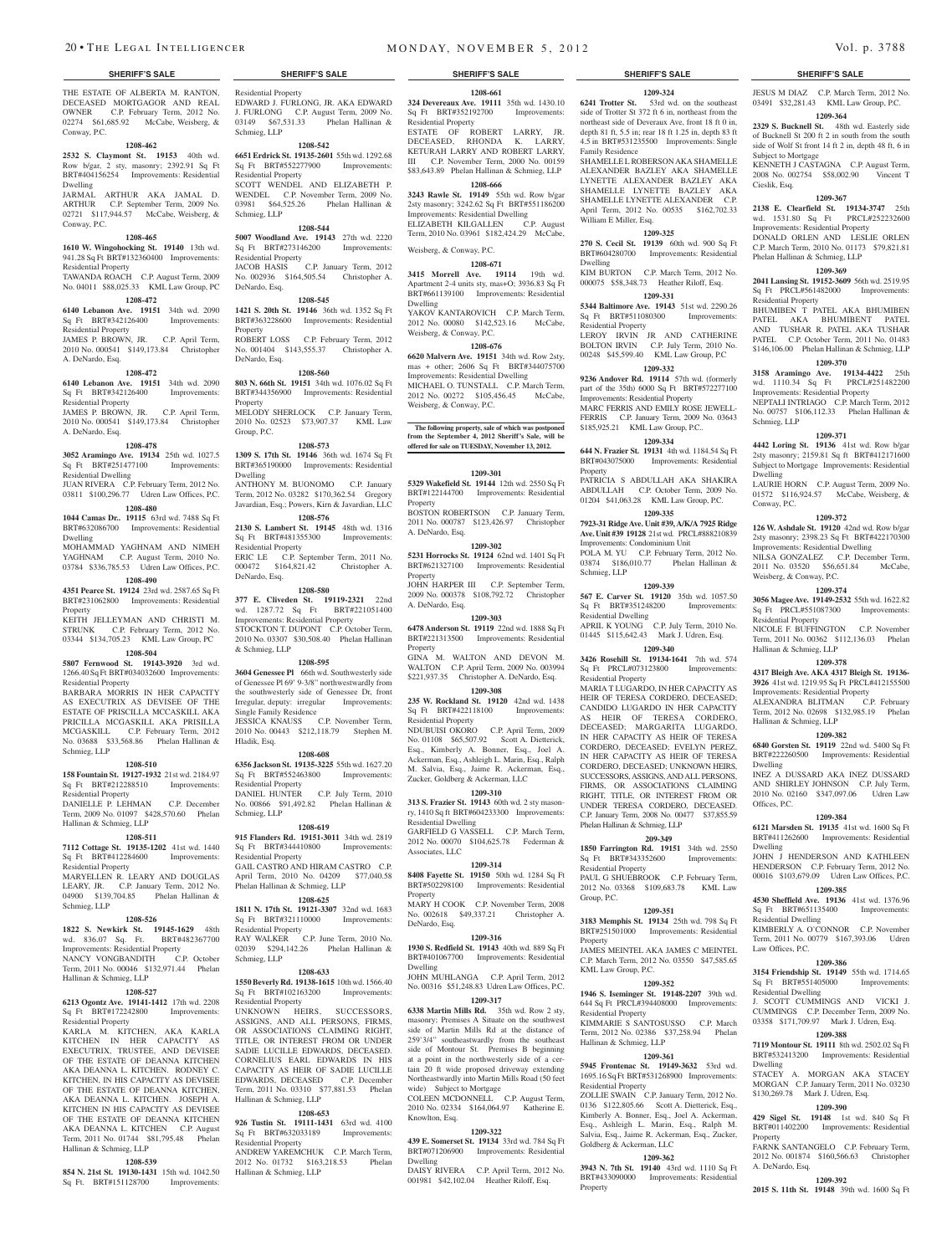THE ESTATE OF ALBERTA M. RANTON, DECEASED MORTGAGOR AND REAL OWNER C.P. February Term, 2012 No. 02274 \$61,685.92 McCabe, Weisberg, & Conway, P.C.

# **1208-462**

**2532 S. Claymont St. 19153** 40th wd. Row b/gar, 2 sty, masonry; 2392.91 Sq Ft BRT#404156254 Improvements: Residential Dwelling JARMAL ARTHUR AKA JAMAL D.

#### ARTHUR C.P. September Term, 2009 No. 02721 \$117,944.57 McCabe, Weisberg, & Schmieg, LLP

# **1208-465**

Conway, P.C.

**1610 W. Wingohocking St. 19140** 13th wd. 941.28 Sq Ft BRT#132360400 Improvements: Residential Property

# TAWANDA ROACH C.P. August Term, 2009 No. 04011 \$88,025.33 KML Law Group, PC

# **1208-472**

**6140 Lebanon Ave. 19151** 34th wd. 2090<br> **Sq** Ft BRT#342126400 Improvements: Sq Ft BRT#342126400 Residential Property

JAMES P. BROWN, JR. C.P. April Term, 2010 No. 000541 \$149,173.84 Christopher A. DeNardo, Esq.

# **1208-472**

**6140 Lebanon Ave. 19151** 34th wd. 2090 Sq Ft BRT#342126400 Improvements: Residential Property JAMES P. BROWN, JR. C.P. April Term, 2010 No. 000541 \$149,173.84 Christopher

# **1208-478**

A. DeNardo, Esq.

**3052 Aramingo Ave. 19134** 25th wd. 1027.5 Sq Ft BRT#251477100 Improvements: Residential Dwelling

JUAN RIVERA C.P. February Term, 2012 No. 03811 \$100,296.77 Udren Law Offices, P.C.

# **1208-480**

**1044 Camas Dr.. 19115** 63rd wd. 7488 Sq Ft BRT#632086700 Improvements: Residential Dwelling

MOHAMMAD YAGHNAM AND NIMEH YAGHNAM C.P. August Term, 2010 No. 03784 \$336,785.53 Udren Law Offices, P.C. **1208-490**

**4351 Pearce St. 19124** 23rd wd. 2587.65 Sq Ft BRT#231062800 Improvements: Residential Property

# KEITH JELLEYMAN AND CHRISTI M. STRUNK C.P. February Term, 2012 No.

03344 \$134,705.23 KML Law Group, PC **1208-504**

# **5807 Fernwood St. 19143-3920** 3rd wd.

1266.40 Sq Ft BRT#034032600 Improvements: Residential Property

BARBARA MORRIS IN HER CAPACITY AS EXECUTRIX AS DEVISEE OF THE ESTATE OF PRISCILLA MCCASKILL AKA PRICILLA MCGASKILL AKA PRISILLA MCGASKILL C.P. February Term, 2012 No. 03688 \$33,568.86 Phelan Hallinan & Schmieg, LLP

#### **1208-510**

**158 Fountain St. 19127-1932** 21st wd. 2184.97 Sq Ft BRT#212288510 Improvements: Residential Property DANIELLE P. LEHMAN C.P. December

Term, 2009 No. 01097 \$428,570.60 Phelan Hallinan & Schmieg, LLP **1208-511**

**7112 Cottage St. 19135-1202** 41st wd. 1440 Sq Ft BRT#412284600 Improvements: Residential Property MARYELLEN R. LEARY AND DOUGLAS

LEARY, JR. C.P. January Term, 2012 No. 04900 \$139,704.85 Phelan Hallinan & Schmieg, LLP

# **1208-526**

**1822 S. Newkirk St. 19145-1629** 48th wd. 836.07 Sq. Ft. BRT#482367700 Improvements: Residential Property<br>NANCY VONGBANDITH C.P. October NANCY VONGBANDITH Term, 2011 No. 00046 \$132,971.44 Phelan Hallinan & Schmieg, LLP

# **1208-527**

**6213 Ogontz Ave. 19141-1412** 17th wd. 2208 Sq Ft BRT#172242800 Improvements: Residential Property

KARLA M. KITCHEN, AKA KARLA KITCHEN IN HER CAPACITY AS EXECUTRIX, TRUSTEE, AND DEVISE OF THE ESTATE OF DEANNA KITCHEN AKA DEANNA L. KITCHEN. RODNEY C. KITCHEN, IN HIS CAPACITY AS DEVISEE OF THE ESTATE OF DEANNA KITCHEN, AKA DEANNA L. KITCHEN. JOSEPH A. KITCHEN IN HIS CAPACITY AS DEVISEE OF THE ESTATE OF DEANNA KITCHEN AKA DEANNA L. KITCHEN C.P. August Term, 2011 No. 01744 \$81,795.48 Phelan Hallinan & Schmieg, LLP

# **1208-539**

**854 N. 21st St. 19130-1431** 15th wd. 1042.50 Sq Ft. BRT#151128700 Improvements:

# **SHERIFF'S SALE SHERIFF'S SALE SHERIFF'S SALE SHERIFF'S SALE SHERIFF'S SALE**

Residential Property EDWARD J. FURLONG, JR. AKA EDWARD J. FURLONG C.P. August Term, 2009 No. 03149 \$67,531.33 Phelan Hallinan & Schmieg, LLP

### **1208-542 6651 Erdrick St. 19135-2601** 55th wd. 1292.68 Sq Ft BRT#552277900 Improvements:

Residential Property SCOTT WENDEL AND ELIZABETH P. WENDEL C.P. November Term, 2009 No. 03981 \$64,525.26 Phelan Hallinan &

**1208-544 5007 Woodland Ave. 19143** 27th wd. 2220 Sq Ft BRT#273146200 Improvements: Residential Property JACOB HASIS C.P. January Term, 2012

No. 002936 \$164,505.54 Christopher A. DeNardo, Esq. **1208-545**

**1421 S. 20th St. 19146** 36th wd. 1352 Sq Ft BRT#363228600 Improvements: Residential Property ROBERT LOSS C.P. February Term, 2012 No. 001404 \$143,555.37 Christopher A. DeNardo, Esq.

### **1208-560**

**803 N. 66th St. 19151** 34th wd. 1076.02 Sq Ft BRT#344356900 Improvements: Residential Property MELODY SHERLOCK C.P. January Term, 2010 No. 02523 \$73,907.37 KML Law Group, P.C.

# **1208-573**

**1309 S. 17th St. 19146** 36th wd. 1674 Sq Ft BRT#365190000 Improvements: Residential Dwelling ANTHONY M. BUONOMO C.P. January Term, 2012 No. 03282 \$170,362.54 Gregory Javardian, Esq.; Powers, Kirn & Javardian, LLC

# **1208-576**

**2130 S. Lambert St. 19145** 48th wd. 1316 Sq Ft BRT#481355300 Improvements: Residential Property ERIC LE C.P. September Term, 2011 No. 000472 \$164,821.42 Christopher A. DeNardo, Esq.

#### **1208-580**

**377 E. Cliveden St. 19119-2321** 22nd wd. 1287.72 Sq Ft BRT#221051400 Improvements: Residential Property STOCKTON T. DUPONT C.P. October Term, 2010 No. 03307 \$30,508.40 Phelan Hallinan & Schmieg, LLP

# **1208-595**

**3604 Genessee Pl** 66th wd. Southwesterly side of Genessee Pl 69' 9-3/8" northwestwardly from the southwesterly side of Genessee Dr, front Irregular, deputy: irregular Improvements:

Single Family Residence JESSICA KNAUSS C.P. November Term, 2010 No. 00443 \$212,118.79 Stephen M. Hladik, Esq.

#### **1208-608**

**6356 Jackson St. 19135-3225** 55th wd. 1627.20 Sq Ft BRT#552463800 Residential Property DANIEL HUNTER C.P. July Term, 2010 No. 00866 \$91,492.82 Phelan Hallinan & Schmieg, LLP

# **1208-619**

**915 Flanders Rd. 19151-3011** 34th wd. 2819 Sq Ft BRT#344410800 Improvements: Residential Property GAIL CASTRO AND HIRAM CASTRO C.P.

April Term, 2010 No. 04209 \$77,040.58 Phelan Hallinan & Schmieg, LLP **1208-625**

**1811 N. 17th St. 19121-3307** 32nd wd. 1683 Sq Ft BRT#321110000 Improvements: Residential Property RAY WALKER C.P. June Term, 2010 No.

02039 \$294,142.26 Phelan Hallinan & Schmieg, LLP **1208-633**

# **1550 Beverly Rd. 19138-1615** 10th wd. 1566.40

Sq Ft BRT#102163200 Improvements: Residential Property UNKNOWN HEIRS, SUCCESSORS, ASSIGNS, AND ALL PERSONS, FIRMS, OR ASSOCIATIONS CLAIMING RIGHT, TITLE, OR INTEREST FROM OR UN SADIE LUCILLE EDWARDS, DECEASED. CORNELIUS EARL EDWARDS IN HIS CAPACITY AS HEIR OF SADIE LUCILLE EDWARDS, DECEASED C.P. December Term, 2011 No. 03310 \$77,881.53 Phelan Hallinan & Schmieg, LLP

# **1208-653**

**926 Tustin St. 19111-1431** 63rd wd. 4100 Sq Ft BRT#632033189 Improvements: Residential Property

ANDREW YAREMCHUK C.P. March Term, 2012 No. 01732 \$163,218.53 Phelan Hallinan & Schmieg, LLP

**1209-324** side of Trotter St 372 ft 6 in, northeast from the northeast side of Deveraux Ave, front 18 ft 0 in, depth 81 ft, 5.5 in; rear 18 ft 1.25 in, depth 83 ft 4.5 in BRT#531235500 Improvements: Single

JESUS M DIAZ C.P. March Term, 2012 No. 03491 \$32,281.43 KML Law Group, P.C. **1209-364 2329 S. Bucknell St.** 48th wd. Easterly side of Bucknell St 200 ft 2 in south from the south side of Wolf St front 14 ft 2 in, depth 48 ft, 6 in

KENNETH J CASTAGNA C.P. August Term, 2008 No. 002754 \$58,002.90 Vincent T

**1209-367 2138 E. Clearfield St. 19134-3747** 25th wd. 1531.80 Sq Ft PRCL#252232600 Improvements: Residential Property DONALD ORLEN AND LESLIE ORLEN C.P. March Term, 2010 No. 01173 \$79,821.81

**1209-369 2041 Lansing St. 19152-3609** 56th wd. 2519.95 Sq Ft PRCL#561482000 Improvements:

BHUMIBEN T PATEL AKA BHUMIBEN PATEL AKA BHUMIBENT PATEL AND TUSHAR R. PATEL AKA TUSHAR PATEL C.P. October Term, 2011 No. 01483 \$146,106.00 Phelan Hallinan & Schmieg, LLP **1209-370 3158 Aramingo Ave. 19134-4422** 25th wd. 1110.34 Sq Ft PRCL#251482200 Improvements: Residential Property NEPTALI INTRIAGO C.P. March Term, 2012 No. 00757 \$106,112.33 Phelan Hallinan &

**1209-371 4442 Loring St. 19136** 41st wd. Row b/gar 2sty masonry; 2159.81 Sq ft BRT#412171600 Subject to Mortgage Improvements: Residential

LAURIE HORN C.P. August Term, 2009 No. 01572 \$116,924.57 McCabe, Weisberg, &

**1209-372 126 W. Ashdale St. 19120** 42nd wd. Row b/gar 2sty masonry; 2398.23 Sq Ft BRT#422170300 Improvements: Residential Dwelling NILSA GONZALEZ C.P. December Term, 2011 No. 03520 \$56,651.84 McCabe,

**1209-374 3056 Magee Ave. 19149-2532** 55th wd. 1622.82 Sq Ft PRCL#551087300 Improvements:

NICOLE F. BUFFINGTON C.P. November Term, 2011 No. 00362 \$112,136.03 Phelan

**1209-378 4317 Bleigh Ave. AKA 4317 Bleigh St. 19136- 3926** 41st wd. 1219.95 Sq Ft PRCL#412155500 Improvements: Residential Property ALEXANDRA BLITMAN C.P. February Term, 2012 No. 02698 \$132,985.19 Phelan

**1209-382 6840 Gorsten St. 19119** 22nd wd. 5400 Sq Ft BRT#222260500 Improvements: Residential

INEZ A DUSSARD AKA INEZ DUSSARD AND SHIRLEY JOHNSON C.P. July Term, 2010 No. 02160 \$347,097.06 Udren Law

**1209-384 6121 Marsden St. 19135** 41st wd. 1600 Sq Ft BRT#411262600 Improvements: Residential

JOHN J HENDERSON AND KATHLEEN HENDERSON C.P. February Term, 2012 No. 00016 \$103,679.09 Udren Law Offices, P.C. **1209-385 4530 Sheffield Ave. 19136** 41st wd. 1376.96<br>Sq. Ft. BRT#651135400 Improvements:

KIMBERLY A. O'CONNOR C.P. November Term, 2011 No. 00779 \$167,393.06 Udren

**1209-386 3154 Friendship St. 19149** 55th wd. 1714.65 Sq Ft BRT#551405000 Improvements:

J. SCOTT CUMMINGS AND VICKI J. CUMMINGS C.P. December Term, 2009 No. 03358 \$171,709.97 Mark J. Udren, Esq. **1209-388**

BRT#532413200 Improvements: Residential

STACEY A. MORGAN AKA STACEY MORGAN C.P. January Term, 2011 No. 03230

**1209-390 429 Sigel St. 19148** 1st wd. 840 Sq Ft BRT#011402200 Improvements: Residential

FARNK SANTANGELO C.P. February Term, 2012 No. 001874 \$160,566.63 Christopher

**1209-392 2015 S. 11th St. 19148** 39th wd. 1600 Sq Ft

\$130,269.78 Mark J. Udren, Esq.

*ar St. 19111* 8th wd. 2502.02 Sq Ft

Phelan Hallinan & Schmieg, LLP

Residential Property

Schmieg, LLP

Dwelling

Conway, P.C.

Weisberg, & Conway, P.C.

Residential Property

Hallinan & Schmieg, LLP

Hallinan & Schmieg, LLP

Sq Ft BRT#651135400 Residential Dwelling

Law Offices, P.C.

Residential Dwelling

Dwelling

Property

A. DeNardo, Esq.

Dwelling

Offices, P.C.

Dwelling

Subject to Mortgage

Cieslik, Esq.

SHAMELLE L ROBERSONAKA SHAMELLE ALEXANDER BAZLEY AKA SHAMELLE LYNETTE ALEXANDER BAZLEY AKA SHAMELLE LYNETTE BAZLEY AKA SHAMELLE LYNETTE ALEXANDER C.P. April Term, 2012 No. 00535 \$162,702.33

**1209-325 270 S. Cecil St. 19139** 60th wd. 900 Sq Ft BRT#604280700 Improvements: Residential

KIM BURTON C.P. March Term, 2012 No. 000075 \$58,348.73 Heather Riloff, Esq. **1209-331 5344 Baltimore Ave. 19143** 51st wd. 2290.26 Sq Ft BRT#511080300 Improvements:

LEROY IRVIN JR AND CATHERINE BOLTON IRVIN C.P. July Term, 2010 No. 00248 \$45,599.40 KML Law Group, P.C **1209-332 9236 Andover Rd. 19114** 57th wd. (formerly part of the 35th) 6000 Sq Ft BRT#572277100

MARC FERRIS AND EMILY ROSE JEWELL-FERRIS C.P. January Term, 2009 No. 03643 \$185,925.21 KML Law Group, P.C.. **1209-334 644 N. Frazier St. 19131** 4th wd. 1184.54 Sq Ft BRT#043075000 Improvements: Residential

PATRICIA S ABDULLAH AKA SHAKIRA ABDULLAH C.P. October Term, 2009 No. 01204 \$41,063.28 KML Law Group, P.C. **1209-335 7923-31 Ridge Ave. Unit #39, A/K/A 7925 Ridge Ave. Unit #39 19128** 21st wd. PRCL#888210839

POLA M. YU C.P. February Term, 2012 No. 03874 \$186,010.77 Phelan Hallinan &

**1209-339 567 E. Carver St. 19120** 35th wd. 1057.50 Sq Ft BRT#351248200 Improvements:

APRIL K YOUNG C.P. July Term, 2010 No. 01445 \$115,642.43 Mark J. Udren, Esq. **1209-340 3426 Rosehill St. 19134-1641** 7th wd. 574 Sq Ft PRCL#073123800 Improvements:

MARIA T LUGARDO, IN HER CAPACITY AS HEIR OF TERESA CORDERO, DECEASED; CANDIDO LUGARDO IN HER CAPACITY AS HEIR OF TERESA CORDERO, DECEASED: MARGARITA LUGARDO IN HER CAPACITY AS HEIR OF TERESA CORDERO, DECEASED; EVELYN PEREZ, IN HER CAPACITY AS HEIR OF TERESA CORDERO, DECEASED; UNKNOWN HEIRS, SUCCESSORS, ASSIGNS, ANDALL PERSONS, FIRMS, OR ASSOCIATIONS CLAIMING RIGHT, TITLE, OR INTEREST FROM OR UNDER TERESA CORDERO, DECEASED. C.P. January Term, 2008 No. 00477 \$37,855.59

**Improvements: Residential Property** 

Improvements: Condominium Unit

Family Residence

William E Miller, Esq.

Residential Property

Dwelling

Property

Schmieg, LLP

Residential Dwelling

Residential Property

Phelan Hallinan & Schmieg, LLP

Sq Ft BRT#343352600 Residential Property

KML Law Group, P.C.

Residential Property

Residential Property

Property

Goldberg & Ackerman, LLC

Group, P.C.

Property

**209-349 1850 Farrington Rd. 19151** 34th wd. 2550

PAUL G SHUEBROOK C.P. February Term, 2012 No. 03368 \$109,683.78 KML Law

**1209-351 3183 Memphis St. 19134** 25th wd. 798 Sq Ft BRT#251501000 Improvements: Residential

JAMES MEINTEL AKA JAMES C MEINTEL C.P. March Term, 2012 No. 03550 \$47,585.65

**1209-352 1946 S. Iseminger St. 19148-2207** 39th wd. 644 Sq Ft PRCL#394408000 Improvements:

KIMMARIE S SANTOSUSSO C.P. March Term, 2012 No. 02386 \$37,258.94 Phelan Hallinan & Schmieg, LLP **1209-361 5945 Frontenac St. 19149-3632** 53rd wd. 1695.16 Sq Ft BRT#531268900 Improvements:

ZOLLIE SWAIN C.P. January Term, 2012 No. 0136 \$122,805.66 Scott A. Dietterick, Esq., Kimberly A. Bonner, Esq., Joel A. Ackerman, Esq., Ashleigh L. Marin, Esq., Ralph M. Salvia, Esq., Jaime R. Ackerman, Esq., Zucker,

**1209-362 3943 N. 7th St. 19140** 43rd wd. 1110 Sq Ft BRT#433090000 Improvements: Residential

**1208-661 324 Devereaux Ave. 19111** 35th wd. 1430.10 **6241 Trotter St.** 53rd wd. on the southeast Sq Ft BRT#352192700 Improvements: Residential Property

ESTATE OF ROBERT LARRY, JR. DECEASED, RHONDA K. LARRY, KETURAH LARRY AND ROBERT LARRY, III C.P. November Term, 2000 No. 00159 \$83,643.89 Phelan Hallinan & Schmieg, LLP

# **1208-666**

**3243 Rawle St. 19149** 55th wd. Row b/gar 2sty masonry; 3242.62 Sq Ft BRT#551186200 Improvements: Residential Dwelling ELIZABETH KILGALLEN Term, 2010 No. 03961 \$182,424.29 McCabe,

Weisberg, & Conway, P.C.

# **1208-671**

**3415 Morrell Ave. 19114** 19th wd. Apartment 2-4 units sty, mas+O; 3936.83 Sq Ft BRT#661139100 Improvements: Residential Dwelling

YAKOV KANTAROVICH C.P. March Term, 2012 No. 00080 \$142,523.16 McCabe, Weisberg, & Conway, P.C.

# **1208-676**

**6620 Malvern Ave. 19151** 34th wd. Row 2sty, mas + other; 2606 Sq Ft BRT#344075700 Improvements: Residential Dwelling MICHAEL O. TUNSTALL C.P. March Term, 2012 No. 00272 \$105,456.45 McCabe, Weisberg, & Conway, P.C.

**The following property, sale of which was postponed from the September 4, 2012 Sheriff's Sale, will be offered for sale on TUESDAY, November 13, 2012.**

# **1209-301**

**5329 Wakefield St. 19144** 12th wd. 2550 Sq Ft BRT#122144700 Improvements: Residential Property BOSTON ROBERTSON C.P. January Term,

2011 No. 000787 \$123,426.97 Christopher A. DeNardo, Esq. **1209-302**

**5231 Horrocks St. 19124** 62nd wd. 1401 Sq Ft BRT#621327100 Improvements: Residential Property

JOHN HARPER III C.P. September Term, 2009 No. 000378 \$108,792.72 Christopher A. DeNardo, Esq.

#### **1209-303**

**6478 Anderson St. 19119** 22nd wd. 1888 Sq Ft BRT#221313500 Improvements: Residential Property

GINA M. WALTON AND DEVON M. WALTON C.P. April Term, 2009 No. 003994 \$221,937.35 Christopher A. DeNardo, Esq.

# **1209-308 235 W. Rockland St. 19120** 42nd wd. 1438 Sq Ft BRT#422118100 Improvements:

Residential Property NDUBUISI OKORO C.P. April Term, 2009 No. 01108 \$65,507.92 Scott A. Dietterick, Esq., Kimberly A. Bonner, Esq., Joel A. Ackerman, Esq., Ashleigh L. Marin, Esq., Ralph M. Salvia, Esq., Jaime R. Ackerman, Esq., Zucker, Goldberg & Ackerman, LLC

# **1209-310**

**313 S. Frazier St. 19143** 60th wd. 2 sty masonry, 1410 Sq ft BRT#604233300 Improvements: Residential Dwelling GARFIELD G VASSELL C.P. March Term 2012 No. 00070 \$104,625.78 Federman &

Associates, LLC **1209-314 8408 Fayette St. 19150** 50th wd. 1284 Sq Ft

BRT#502298100 Improvements: Residential Property MARY H COOK C.P. November Term, 2008 No. 002618 \$49,337.21 Christopher A.

**1209-316 1930 S. Redfield St. 19143** 40th wd. 889 Sq Ft BRT#401067700 Improvements: Residential

JOHN MUHLANGA C.P. April Term, 2012 No. 00316 \$51,248.83 Udren Law Offices, P.C. **1209-317 6338 Martin Mills Rd.** 35th wd. Row 2 sty, masonry; Premises A Situate on the southwest side of Martin Mills Rd at the distance of 259'3/4" southeastwardly from the southeast side of Montour St. Premises B beginning at a point in the northwesterly side of a certain 20 ft wide proposed driveway extending Northeastwardly into Martin Mills Road (50 feet

COLEEN MCDONNELL C.P. August Term, 2010 No. 02334 \$164,064.97 Katherine E.

**1209-322 439 E. Somerset St. 19134** 33rd wd. 784 Sq Ft BRT#071206900 Improvements: Residential

DAISY RIVERA C.P. April Term, 2012 No. 001981 \$42,102.04 Heather Riloff, Esq.

wide) Subject to Mortgage

Knowlton, Esq.

Dwelling

DeNardo, Esq.

Dwelling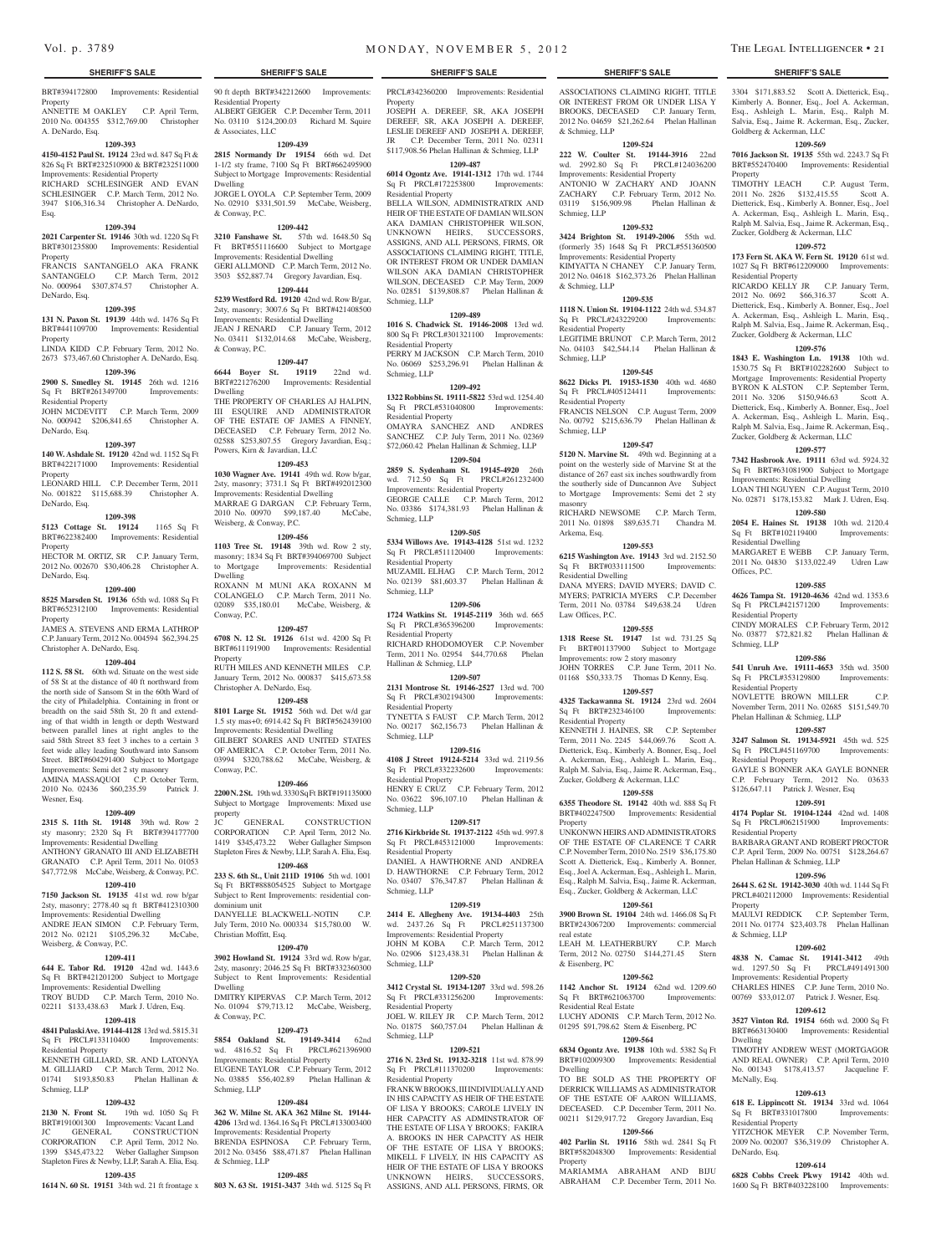BRT#394172800 Improvements: Residential Property ANNETTE M OAKLEY C.P. April Term,

2010 No. 004355 \$312,769.00 Christopher A. DeNardo, Esq.

# **1209-393**

# **4150-4152 Paul St. 19124** 23rd wd. 847 Sq Ft & 826 Sq Ft BRT#232510900 & BRT#232511000 Improvements: Residential Property

RICHARD SCHLESINGER AND EVAN SCHLESINGER C.P. March Term, 2012 No. 3947 \$106,316.34 Christopher A. DeNardo, Esq.

### **1209-394**

**2021 Carpenter St. 19146** 30th wd. 1220 Sq Ft BRT#301235800 Improvements: Residential Property

FRANCIS SANTANGELO AKA FRANK SANTANGELO C.P. March Term, 2012 No. 000964 \$307,874.57 Christopher A. DeNardo, Esq.

#### **1209-395**

**131 N. Paxon St. 19139** 44th wd. 1476 Sq Ft BRT#441109700 Improvements: Residential Property

LINDA KIDD C.P. February Term, 2012 No. 2673 \$73,467.60 Christopher A. DeNardo, Esq. **1209-396**

**2900 S. Smedley St. 19145** 26th wd. 1216 Sq Ft BRT#261349700 Improvements: Residential Property JOHN MCDEVITT C.P. March Term, 2009 No. 000942 \$206,841.65 Christopher A.

#### **1209-397**

DeNardo, Esq.

**140 W. Ashdale St. 19120** 42nd wd. 1152 Sq Ft BRT#422171000 Improvements: Residential Property

# LEONARD HILL C.P. December Term, 2011 No. 001822 \$115,688.39 Christopher A. DeNardo, Esq.

# **1209-398**

**5123 Cottage St. 19124** 1165 Sq Ft

BRT#622382400 Improvements: Residential Property HECTOR M. ORTIZ, SR C.P. January Term, 2012 No. 002670 \$30,406.28 Christopher A.

DeNardo, Esq. **1209-400**

**8525 Marsden St. 19136** 65th wd. 1088 Sq Ft BRT#652312100 Improvements: Residential Property JAMES A. STEVENS AND ERMA LATHROP

C.P. January Term, 2012 No. 004594 \$62,394.25 Christopher A. DeNardo, Esq.

# **1209-404**

**112 S. 58 St.** 60th wd. Situate on the west side of 58 St at the distance of 40 ft northward from the north side of Sansom St in the 60th Ward of the city of Philadelphia. Containing in front or breadth on the said 58th St, 20 ft and extending of that width in length or depth Westward between parallel lines at right angles to the said 58th Street 83 feet 3 inches to a certain 3 feet wide alley leading Southward into Sansom Street. BRT#604291400 Subject to Mortgage Improvements: Semi det 2 sty masonry AMINA MASSAQUOI C.P. October Term, 2010 No. 02436 \$60,235.59 Patrick J. Wesner, Esq.

# **1209-409**

**2315 S. 11th St. 19148** 39th wd. Row 2 sty masonry; 2320 Sq Ft BRT#394177700 Improvements: Residential Dwelling ANTHONY GRANATO III AND ELIZABETH

# GRANATO C.P. April Term, 2011 No. 01053 \$47,772.98 McCabe, Weisberg, & Conway, P.C. **1209-410**

**7150 Jackson St. 19135** 41st wd. row b/gar 2sty, masonry; 2778.40 sq ft BRT#412310300 Improvements: Residential Dwelling ANDRE JEAN SIMON C.P. February Term, 2012 No. 02121 \$105,296.32 McCabe,

# Weisberg, & Conway, P.C. **1209-411**

**644 E. Tabor Rd. 19120** 42nd wd. 1443.6 Sq Ft BRT#421201200 Subject to Mortgage Improvements: Residential Dwelling TROY BUDD C.P. March Term, 2010 No. 02211 \$133,438.63 Mark J. Udren, Esq.

# **1209-418**

**4841 Pulaski Ave. 19144-4128** 13rd wd. 5815.31 Sq Ft PRCL#133110400 Improvements: Residential Property

KENNETH GILLIARD, SR. AND LATONYA M. GILLIARD C.P. March Term, 2012 No.<br>01741 \$193.850.83 Phelan Hallinan & Phelan Hallinan & Schmieg, LLP

# **1209-432**

**2130 N. Front St.** 19th wd. 1050 Sq Ft BRT#191001300 Improvements: Vacant Land JC GENERAL CONSTRUCTION CORPORATION C.P. April Term, 2012 No. 1399 \$345,473.22 Weber Gallagher Simpson Stapleton Fires & Newby, LLP, Sarah A. Elia, Esq.

# **1209-435**

**1614 N. 60 St. 19151** 34th wd. 21 ft frontage x

# **SHERIFF'S SALE SHERIFF'S SALE SHERIFF'S SALE SHERIFF'S SALE SHERIFF'S SALE**

90 ft depth BRT#342212600 Improvements:

ALBERT GEIGER C.P. December Term, 2011 No. 03110 \$124,200.03 Richard M. Squire

**1209-439 2815 Normandy Dr 19154** 66th wd. Det 1-1/2 sty frame, 7100 Sq Ft BRT#662495900 Subject to Mortgage Improvements: Residential

JORGE L OYOLA C.P. September Term, 2009 No. 02910 \$331,501.59 McCabe, Weisberg,

**1209-442 3210 Fanshawe St.** 57th wd. 1648.50 Sq Ft BRT#551116600 Subject to Mortgage Improvements: Residential Dwelling GERI ALLMOND C.P. March Term, 2012 No. 3503 \$52,887.74 Gregory Javardian, Esq. **1209-444 5239 Westford Rd. 19120** 42nd wd. Row B/gar, 2sty, masonry; 3007.6 Sq Ft BRT#421408500 Improvements: Residential Dwelling JEAN J RENARD C.P. January Term, 2012 No. 03411 \$132,014.68 McCabe, Weisberg,

**1209-447 6644 Boyer St. 19119** 22nd wd. BRT#221276200 Improvements: Residential

THE PROPERTY OF CHARLES AJ HALPIN, III ESQUIRE AND ADMINISTRATOR OF THE ESTATE OF JAMES A FINNEY, DECEASED C.P. February Term, 2012 No. 02588 \$253,807.55 Gregory Javardian, Esq.;

**1209-453 1030 Wagner Ave. 19141** 49th wd. Row b/gar, 2sty, masonry; 3731.1 Sq Ft BRT#492012300 Improvements: Residential Dwelling MARRAE G DARGAN C.P. February Term, 2010 No. 00970 \$99,187.40 McCabe,

**1209-456 1103 Tree St. 19148** 39th wd. Row 2 sty, masonry; 1834 Sq Ft BRT#394069700 Subject to Mortgage Improvements: Residential

ROXANN M MUNI AKA ROXANN M COLANGELO C.P. March Term, 2011 No. 02089 \$35,180.01 McCabe, Weisberg, &

**1209-457 6708 N. 12 St. 19126** 61st wd. 4200 Sq Ft BRT#611191900 Improvements: Residential

RUTH MILES AND KENNETH MILES C.P. January Term, 2012 No. 000837 \$415,673.58

**1209-458 8101 Large St. 19152** 56th wd. Det w/d gar 1.5 sty mas+0; 6914.42 Sq Ft BRT#562439100 Improvements: Residential Dwelling GILBERT SOARES AND UNITED STATES OF AMERICA C.P. October Term, 2011 No. 03994 \$320,788.62 McCabe, Weisberg, &

**1209-466 2200 N. 2 St.** 19th wd. 3330 Sq Ft BRT#191135000 Subject to Mortgage Improvements: Mixed use

JC GENERAL CONSTRUCTIO CORPORATION C.P. April Term, 2012 No. 1419 \$345,473.22 Weber Gallagher Simpson Stapleton Fires & Newby, LLP, Sarah A. Elia, Esq. **1209-468 233 S. 6th St., Unit 211D 19106** 5th wd. 1001 Sq Ft BRT#888054525 Subject to Mortgage Subject to Rent Improvements: residential con-

DANYELLE BLACKWELL-NOTIN C.P. July Term, 2010 No. 000334 \$15,780.00 W.

**1209-470 3902 Howland St. 19124** 33rd wd. Row b/gar, 2sty, masonry; 2046.25 Sq Ft BRT#332360300 Subject to Rent Improvements: Residential

DMITRY KIPERVAS C.P. March Term, 2012 No. 01094 \$79,713.12 McCabe, Weisberg,

**1209-473 5854 Oakland St. 19149-3414** 62nd wd. 4816.52 Sq Ft PRCL#621396900 Improvements: Residential Property EUGENE TAYLOR C.P. February Term, 2012 No. 03885 \$56,402.89 Phelan Hallinan &

**1209-484 362 W. Milne St. AKA 362 Milne St. 19144- 4206** 13rd wd. 1364.16 Sq Ft PRCL#133003400 Improvements: Residential Property BRENDA ESPINOSA C.P. February Term, 2012 No. 03456 \$88,471.87 Phelan Hallinan

**1209-485 803 N. 63 St. 19151-3437** 34th wd. 5125 Sq Ft

Christopher A. DeNardo, Esq.

Powers, Kirn & Javardian, LLC

Weisberg, & Conway, P.C.

Dwelling

Conway, P.C.

Property

Conway, P.C.

property

dominium unit

Dwelling

& Conway, P.C.

Schmieg, LLP

& Schmieg, LLP

Christian Moffitt, Esq.

Residential Property

& Associates, LLC

Dwelling

& Conway, P.C.

& Conway, P.C.

Dwelling

PRCL#342360200 Improvements: Residential

Property JOSEPH A. DEREEF, SR, AKA JOSEPH DEREEF, SR, AKA JOSEPH A. DEREEF, LESLIE DEREEF AND JOSEPH A. DEREEF, JR C.P. December Term, 2011 No. 02311 \$117,908.56 Phelan Hallinan & Schmieg, LLP

# **1209-487**

**6014 Ogontz Ave. 19141-1312** 17th wd. 1744 Sq Ft PRCL#172253800 Improvements: Residential Property BELLA WILSON, ADMINISTRATRIX A HEIR OF THE ESTATE OF DAMIAN WILSON AKA DAMIAN CHRISTOPHER WILSON, UNKNOWN HEIRS, SUCCESSORS, ASSIGNS, AND ALL PERSONS, FIRMS, OR ASSOCIATIONS CLAIMING RIGHT, TITLE, OR INTEREST FROM OR UNDER DAMIAN WILSON AKA DAMIAN CHRISTOPHER WILSON, DECEASED C.P. May Term, 2009 No. 02851 \$139,808.87 Phelan Hallinan & Schmieg, LLP

### **1209-489**

**1016 S. Chadwick St. 19146-2008** 13rd wd. 800 Sq Ft PRCL#301321100 Improvements: Residential Property PERRY M JACKSON C.P. March Term, 2010 No. 06069 \$253,296.91 Phelan Hallinan & Schmieg, LLP

# **1209-492**

**1322 Robbins St. 19111-5822** 53rd wd. 1254.40 Sq Ft PRCL#531040800 Improvements: Residential Property OMAYRA SANCHEZ AND ANDRES SANCHEZ C.P. July Term, 2011 No. 02369 \$72,060.42 Phelan Hallinan & Schmieg, LLP

# **1209-504**

**2859 S. Sydenham St. 19145-4920** 26th wd. 712.50 Sq Ft PRCL#261232400 Improvements: Residential Property GEORGE CALLE C.P. March Term, 2012 No. 03386 \$174,381.93 Phelan Hallinan & Schmieg, LLP

# **1209-505**

**5334 Willows Ave. 19143-4128** 51st wd. 1232 Sq Ft PRCL#511120400 Improvements: Residential Property MUZAMIL ELHAG C.P. March Term, 2012 No. 02139 \$81,603.37 Phelan Hallinan & Schmieg, LLP

# **1209-506**

**1724 Watkins St. 19145-2119** 36th wd. 665 Sq Ft PRCL#365396200 Improvements: Residential Property RICHARD RHODOMOYER C.P. November Term, 2011 No. 02954 \$44,770.68 Phelan Hallinan & Schmieg, LLP

# **1209-507**

**2131 Montrose St. 19146-2527** 13rd wd. 700 Sq Ft PRCL#302194300 Improvements: Residential Property TYNETTA S FAUST C.P. March Term, 2012 No. 00217 \$62,156.73 Phelan Hallinan & Schmieg, LLP

# **1209-516**

**4108 J Street 19124-5214** 33rd wd. 2119.56 Sq Ft PRCL#332232600 Improvements: Residential Property HENRY E CRUZ C.P. February Term, 2012 No. 03622 \$96,107.10 Phelan Hallinan & Schmieg, LLP

# **1209-517**

**2716 Kirkbride St. 19137-2122** 45th wd. 997.8 Sq Ft PRCL#453121000 Improvements: Residential Property DANIEL A HAWTHORNE AND ANDREA

D. HAWTHORNE C.P. February Term, 2012 No. 03407 \$76,347.87 Phelan Hallinan & Schmieg, LLP

# **1209-519**

**2414 E. Allegheny Ave. 19134-4403** 25th wd. 2437.26 Sq Ft PRCL#251137300 Improvements: Residential Property JOHN M KOBA C.P. March Term, 2012 No. 02906 \$123,438.31 Phelan Hallinan & Schmieg, LLP

#### **1209-520**

**3412 Crystal St. 19134-1207** 33rd wd. 598.26 Sq Ft PRCL#331256200 Improvements: Residential Property

JOEL W. RILEY JR C.P. March Term, 2012 No. 01875 \$60,757.04 Phelan Hallinan & Schmieg, LLP

### **1209-521**

**2716 N. 23rd St. 19132-3218** 11st wd. 878.99 Sq Ft PRCL#111370200 Improvements: Residential Property

FRANK W BROOKS, III INDIVIDUALLYAND IN HIS CAPACITY AS HEIR OF THE ESTATE OF LISA Y BROOKS; CAROLE LIVELY IN HER CAPACITY AS ADMINSTRATOR OF THE ESTATE OF LISA Y BROOKS; FAKIRA A. BROOKS IN HER CAPACITY AS HEIR OF THE ESTATE OF LISA Y BROOKS; MIKELL F LIVELY, IN HIS CAPACITY AS HEIR OF THE ESTATE OF LISA Y BROOKS UNKNOWN HEIRS, SUCCESSORS, ASSIGNS, AND ALL PERSONS, FIRMS, OR

3304 \$171,883.52 Scott A. Dietterick, Esq., Kimberly A. Bonner, Esq., Joel A. Ackerman, Esq., Ashleigh L. Marin, Esq., Ralph M. Salvia, Esq., Jaime R. Ackerman, Esq., Zucker,

**1209-569 7016 Jackson St. 19135** 55th wd. 2243.7 Sq Ft BRT#552470400 Improvements: Residential

TIMOTHY LEACH C.P. August Term, 2011 No. 2826 \$132,415.55 Scott A. Dietterick, Esq., Kimberly A. Bonner, Esq., Joel A. Ackerman, Esq., Ashleigh L. Marin, Esq., Ralph M. Salvia, Esq., Jaime R. Ackerman, Esq., Zucker, Goldberg & Ackerman, LLC **1209-572 173 Fern St. AKA W. Fern St. 19120** 61st wd. 1027 Sq Ft BRT#612209000 Improvements:

RICARDO KELLY JR C.P. January Term, 2012 No. 0692 \$66,316.37 Scott A. Dietterick, Esq., Kimberly A. Bonner, Esq., Joel A. Ackerman, Esq., Ashleigh L. Marin, Esq., Ralph M. Salvia, Esq., Jaime R. Ackerman, Esq., Zucker, Goldberg & Ackerman, LLC **1209-576 1843 E. Washington Ln. 19138** 10th wd. 1530.75 Sq Ft BRT#102282600 Subject to Mortgage Improvements: Residential Property BYRON K ALSTON C.P. September Term,<br>2011 No. 3206 \$150,946.63 Scott A.

Dietterick, Esq., Kimberly A. Bonner, Esq., Joel A. Ackerman, Esq., Ashleigh L. Marin, Esq., Ralph M. Salvia, Esq., Jaime R. Ackerman, Esq., Zucker, Goldberg & Ackerman, LLC **1209-577 7342 Hasbrook Ave. 19111** 63rd wd. 5924.32 Sq Ft BRT#631081900 Subject to Mortgage Improvements: Residential Dwelling LOAN THI NGUYEN C.P. August Term, 2010 No. 02871 \$178,153.82 Mark J. Udren, Esq. **1209-580 2054 E. Haines St. 19138** 10th wd. 2120.4 Sq Ft BRT#102119400 Improvements:

MARGARET E WEBB C.P. January Term, 2011 No. 04830 \$133,022.49 Udren Law

**1209-585 4626 Tampa St. 19120-4636** 42nd wd. 1353.6 Sq Ft PRCL#421571200 Improvements:

CINDY MORALES C.P. February Term, 2012 No. 03877 \$72,821.82 Phelan Hallinan &

**1209-586 541 Unruh Ave. 19111-4653** 35th wd. 3500 Sq Ft PRCL#353129800 Improvements:

NOVLETTE BROWN MILLER C.P. November Term, 2011 No. 02685 \$151,549.70

**1209-587 3247 Salmon St. 19134-5921** 45th wd. 525 Sq Ft PRCL#451169700 Improvements:

GAYLE S BONNER AKA GAYLE BONNER C.P. February Term, 2012 No. 03633 \$126,647.11 Patrick J. Wesner, Esq **1209-591 4174 Poplar St. 19104-1244** 42nd wd. 1408 Sq Ft PRCL#062151900 Improvements:

BARBARA GRANT AND ROBERT PROCTOR C.P. April Term, 2009 No. 00751 \$128,264.67

**1209-596 2644 S. 62 St. 19142-3030** 40th wd. 1144 Sq Ft PRCL#402112000 Improvements: Residential

MAULVI REDDICK C.P. September Term, 2011 No. 01774 \$23,403.78 Phelan Hallinan

**1209-602 4838 N. Camac St. 19141-3412** 49th wd. 1297.50 Sq Ft PRCL#491491300 Improvements: Residential Property CHARLES HINES C.P. June Term, 2010 No. 00769 \$33,012.07 Patrick J. Wesner, Esq. **1209-612 3527 Vinton Rd. 19154** 66th wd. 2000 Sq Ft BRT#663130400 Improvements: Residential

TIMOTHY ANDREW WEST (MORTGAGO AND REAL OWNER) C.P. April Term, 2010<br>No. 001343 \$178,413.57 Jacqueline F.

**1209-613 618 E. Lippincott St. 19134** 33rd wd. 1064 Sq Ft BRT#331017800 Improvements:

YITZCHOK MEYER C.P. November Term, 2009 No. 002007 \$36,319.09 Christopher A.

**1209-614 6828 Cobbs Creek Pkwy 19142** 40th wd. 1600 Sq Ft BRT#403228100 Improvements:

No. 001343 \$178,413.57

Goldberg & Ackerman, LLC

Residential Property

2011 No. 3206 \$150,946.63

Residential Dwelling

Residential Property

Residential Property

Residential Property

Residential Property

Property

Dwelling

McNally, Esq.

Residential Property

DeNardo, Esq.

& Schmieg, LLP

Phelan Hallinan & Schmieg, LLP

Phelan Hallinan & Schmieg, LLP

Schmieg, LLP

Offices, P.C.

Property

ASSOCIATIONS CLAIMING RIGHT, TITLE OR INTEREST FROM OR UNDER LISA Y BROOKS, DECEASED C.P. January Term, 2012 No. 04659 \$21,262.64 Phelan Hallinan & Schmieg, LLP

# **1209-524**

**222 W. Coulter St. 19144-3916** 22nd wd. 2992.80 Sq Ft PRCL#124036200 Improvements: Residential Property ANTONIO W ZACHARY AND JO ZACHARY C.P. February Term, 2012 No. 03119 \$156,909.98 Phelan Hallinan & Schmieg, LLP

# **1209-532**

**3424 Brighton St. 19149-2006** 55th wd. (formerly 35) 1648 Sq Ft PRCL#551360500 Improvements: Residential Property KIMYATTA N CHANEY C.P. January Term, 2012 No. 04618 \$162,373.26 Phelan Hallinan & Schmieg, LLP

# **1209-535**

**1118 N. Union St. 19104-1122** 24th wd. 534.87 Sq Ft PRCL#243229200 Improvements: Residential Property LEGITIME BRUNOT C.P. March Term, 2012 No. 04103 \$42,544.14 Phelan Hallinan & Schmieg, LLP

# **1209-545**

**8622 Dicks Pl. 19153-1530** 40th wd. 4680 Sq Ft PRCL#405124411 Improvements: Residential Property FRANCIS NELSON C.P. August Term, 2009 No. 00792 \$215,636.79 Phelan Hallinan & Schmieg, LLP

# **1209-547**

**5120 N. Marvine St.** 49th wd. Beginning at a point on the westerly side of Marvine St at the distance of 267 east six inches southwardly from the southerly side of Duncannon Ave Subject to Mortgage Improvements: Semi det 2 sty masonry RICHARD NEWSOME C.P. March Term,

2011 No. 01898 \$89,635.71 Chandra M. Arkema, Esq. **1209-553**

# **6215 Washington Ave. 19143** 3rd wd. 2152.50

Sq Ft BRT#033111500 Improvements: Residential Dwelling DANA MYERS; DAVID MYERS; DAVID C. MYERS; PATRICIA MYERS C.P. December Term, 2011 No. 03784 \$49,638.24 Udren Law Offices, P.C.

# **1209-555**

**1318 Reese St. 19147** 1st wd. 731.25 Sq Ft BRT#01137900 Subject to Mortgage Improvements: row 2 story masonry JOHN TORRES C.P. June Term, 2011 No. 01168 \$50,333.75 Thomas D Kenny, Esq.

**1209-557 4325 Tackawanna St. 19124** 23rd wd. 2604 Sq Ft BRT#232346100 Improvements:

Residential Property KENNETH J. HAINES, SR C.P. September Term, 2011 No. 2245 \$44,069.76 Scott A. Dietterick, Esq., Kimberly A. Bonner, Esq., Joel A. Ackerman, Esq., Ashleigh L. Marin, Esq., Ralph M. Salvia, Esq., Jaime R. Ackerman, Esq., Zucker, Goldberg & Ackerman, LLC

### **1209-558**

**6355 Theodore St. 19142** 40th wd. 888 Sq Ft BRT#402247500 Improvements: Residential Property UNKONWN HEIRS ANDADMINISTRATORS

OF THE ESTATE OF CLARENCE T CARR C.P. November Term, 2010 No. 2519 \$36,175.80 Scott A. Dietterick, Esq., Kimberly A. Bonner, Esq., Joel A. Ackerman, Esq., Ashleigh L. Marin, Esq., Ralph M. Salvia, Esq., Jaime R. Ackerman, Esq., Zucker, Goldberg & Ackerman, LLC

# **1209-561**

**3900 Brown St. 19104** 24th wd. 1466.08 Sq Ft BRT#243067200 Improvements: commercial real estate

LEAH M. LEATHERBURY C.P. March Term, 2012 No. 02750 \$144,271.45 Stern & Eisenberg, PC

# **1209-562**

**1142 Anchor St. 19124** 62nd wd. 1209.60<br>Sq Ft BRT#621063700 Improvements: Sq Ft BRT#621063700 Residential Real Estate

LUCHY ADONIS C.P. March Term, 2012 No. 01295 \$91,798.62 Stern & Eisenberg, PC **1209-564**

#### **6834 Ogontz Ave. 19138** 10th wd. 5382 Sq Ft Improvements: Residential Dwelling TO BE SOLD AS THE PROPERTY OF

DERRICK WILLIAMS AS ADMINISTRATOR OF THE ESTATE OF AARON WILLIAMS, DECEASED. C.P. December Term, 2011 No. 00211 \$129,917.72 Gregory Javardian, Esq **1209-566 402 Parlin St. 19116** 58th wd. 2841 Sq Ft BRT#582048300 Improvements: Residential

MARIAMMA ABRAHAM AND BIJU ABRAHAM C.P. December Term, 2011 No.

Property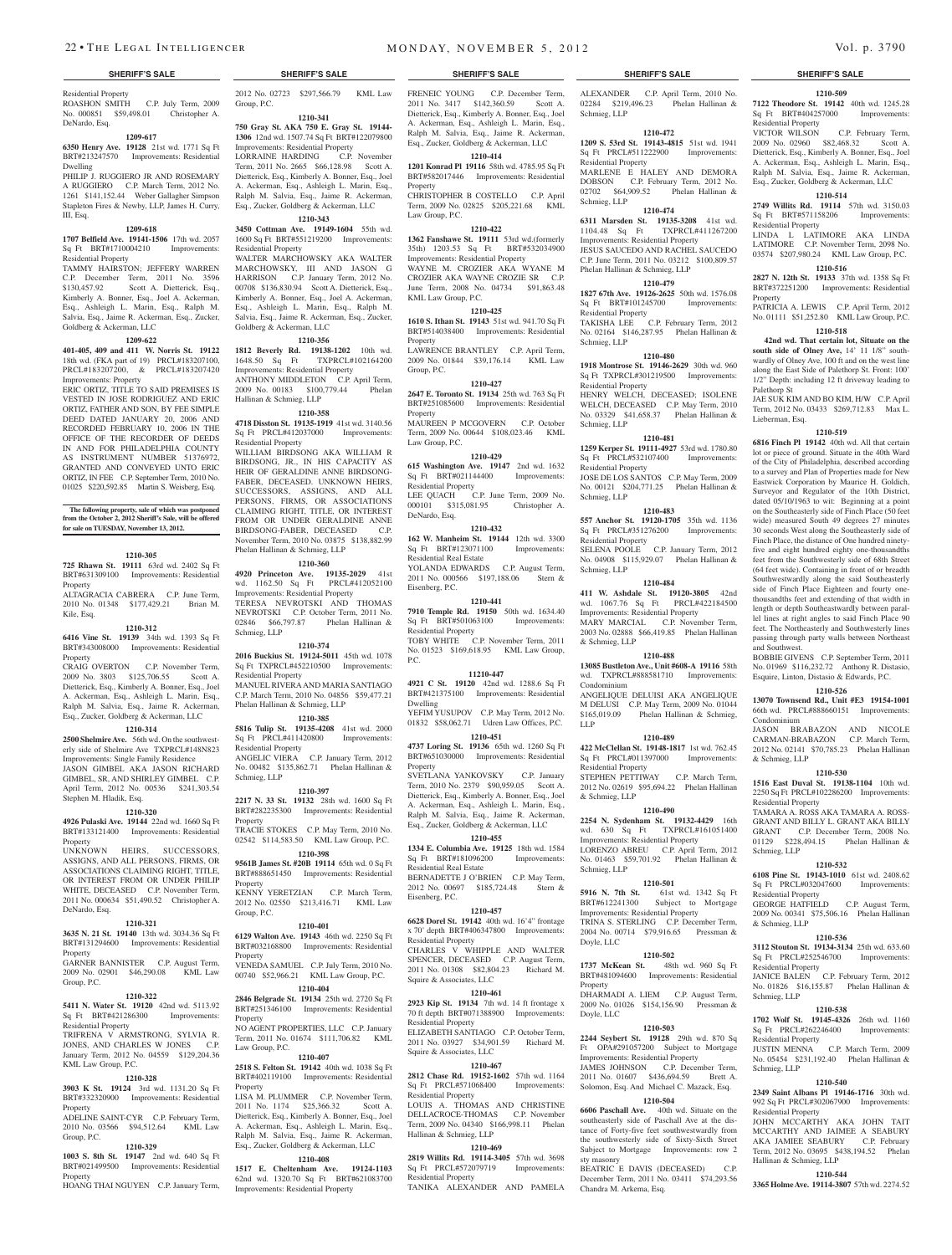Residential Property ROASHON SMITH C.P. July Term, 2009 No. 000851 \$59,498.01 Christopher A. DeNardo, Esq.

### **1209-617**

**6350 Henry Ave. 19128** 21st wd. 1771 Sq Ft BRT#213247570 Improvements: Residential Dwelling

PHILIP J. RUGGIERO JR AND ROSEMARY A RUGGIERO C.P. March Term, 2012 No. 1261 \$141,152.44 Weber Gallagher Simpson Stapleton Fires & Newby, LLP, James H. Curry, III, Esq.

# **1209-618**

**1707 Belfield Ave. 19141-1506** 17th wd. 2057 Sq Ft BRT#1710004210 Improvements: Residential Property

TAMMY HAIRSTON; JEFFERY WARREN C.P. December Term, 2011 No. 3596 \$130,457.92 Scott A. Dietterick, Esq., Kimberly A. Bonner, Esq., Joel A. Ackerman, Esq., Ashleigh L. Marin, Esq., Ralph M. Salvia, Esq., Jaime R. Ackerman, Esq., Zucker, Goldberg & Ackerman, LLC

#### **1209-622**

**401-405, 409 and 411 W. Norris St. 19122**  18th wd. (FKA part of 19) PRCL#183207100, PRCL#183207200, & PRCL#183207420 Improvements: Property

ERIC ORTIZ, TITLE TO SAID PREMISES IS VESTED IN JOSE RODRIGUEZ AND ERIC ORTIZ, FATHER AND SON, BY FEE SIMPLE DEED DATED JANUARY 20, 2006 AND RECORDED FEBRUARY 10, 2006 IN THE OFFICE OF THE RECORDER OF DEEDS IN AND FOR PHILADELPHIA COUNTY AS INSTRUMENT NUMBER 51376972, GRANTED AND CONVEYED UNTO ERIC ORTIZ, IN FEE C.P. September Term, 2010 No. 01025 \$220,592.85 Martin S. Weisberg, Esq.

**The following property, sale of which was postponed from the October 2, 2012 Sheriff's Sale, will be offered for sale on TUESDAY, November 13, 2012.**

#### **1210-305**

**725 Rhawn St. 19111** 63rd wd. 2402 Sq Ft BRT#631309100 Improvements: Residential Property

ALTAGRACIA CABRERA C.P. June Term, 2010 No. 01348 \$177,429.21 Brian M. Kile, Esq.

# **1210-312**

**6416 Vine St. 19139** 34th wd. 1393 Sq Ft BRT#343008000 Improvements: Residential Property

CRAIG OVERTON C.P. November Term, 2009 No. 3803 \$125,706.55 Scott A. Dietterick, Esq., Kimberly A. Bonner, Esq., Joel A. Ackerman, Esq., Ashleigh L. Marin, Esq., Ralph M. Salvia, Esq., Jaime R. Ackerman, Esq., Zucker, Goldberg & Ackerman, LLC

# **1210-314**

**2500 Shelmire Ave.** 56th wd. On the southwesterly side of Shelmire Ave TXPRCL#148N823 Improvements: Single Family Residence JASON GIMBEL AKA JASON RICHARD GIMBEL, SR, AND SHIRLEY GIMBEL C.P. April Term, 2012 No. 00536 \$241,303.54 Stephen M. Hladik, Esq.

**1210-320**

**4926 Pulaski Ave. 19144** 22nd wd. 1660 Sq Ft BRT#133121400 Improvements: Residential Property

UNKNOWN HEIRS, SUCCESSORS, ASSIGNS, AND ALL PERSONS, FIRMS, OR ASSOCIATIONS CLAIMING RIGHT, TITLE OR INTEREST FROM OR UNDER PHILIP WHITE, DECEASED C.P. November Term, 2011 No. 000634 \$51,490.52 Christopher A. DeNardo, Esq.

# **1210-321**

**3635 N. 21 St. 19140** 13th wd. 3034.36 Sq Ft BRT#131294600 Improvements: Residential Property

GARNER BANNISTER C.P. August Term, 2009 No. 02901 \$46,290.08 KML Law Group, P.C.

#### **1210-322**

**5411 N. Water St. 19120** 42nd wd. 5113.92 Sq Ft BRT#421286300 Improvements: Residential Property

# TRIFRENA V ARMSTRONG, SYLVIA R. JONES, AND CHARLES W JONES January Term, 2012 No. 04559 \$129,204.36

KML Law Group, P.C. **1210-328 3903 K St. 19124** 3rd wd. 1131.20 Sq Ft

BRT#332320900 Improvements: Residential Property ADELINE SAINT-CYR C.P. February Term,

2010 No. 03566 \$94,512.64 KML Law Group, P.C. **1210-329 1003 S. 8th St. 19147** 2nd wd. 640 Sq Ft

BRT#021499500 Improvements: Residential Property HOANG THAI NGUYEN C.P. January Term,

2012 No. 02723 \$297,566.79 KML Law Group, P.C. **1210-341**

**750 Gray St. AKA 750 E. Gray St. 19144- 1306** 12nd wd. 1507.74 Sq Ft BRT#122079800 Improvements: Residential Property<br>LORRAINE HARDING C.P. November LORRAINE HARDING Term, 2011 No. 2665 \$66,128.98 Scott A. Dietterick, Esq., Kimberly A. Bonner, Esq., Joel A. Ackerman, Esq., Ashleigh L. Marin, Esq., Ralph M. Salvia, Esq., Jaime R. Ackerman, Esq., Zucker, Goldberg & Ackerman, LLC

**1210-343 3450 Cottman Ave. 19149-1604** 55th wd. 1600 Sq Ft BRT#551219200 Improvements: Residential Property WALTER MARCHOWSKY AKA WALTER

MARCHOWSKY, III AND JASON G HARRISON C.P. January Term, 2012 No. 00708 \$136,830.94 Scott A. Dietterick, Esq., Kimberly A. Bonner, Esq., Joel A. Ackerman, Esq., Ashleigh L. Marin, Esq., Ralph M. Salvia, Esq., Jaime R. Ackerman, Esq., Zucker, Goldberg & Ackerman, LLC

# **1210-356**

**1812 Beverly Rd. 19138-1202** 10th wd. 1648.50 Sq Ft TXPRCL#102164200 Improvements: Residential Property ANTHONY MIDDLETON C.P. April Term, 2009 No. 00183 \$100,779.44 Phelan Hallinan & Schmieg, LLP

# **1210-358**

**4718 Disston St. 19135-1919** 41st wd. 3140.56 Sq Ft PRCL#412037000 Improvements: Residential Property WILLIAM BIRDSONG AKA WILLIAM R BIRDSONG, JR., IN HIS CAPACITY AS HEIR OF GERALDINE ANNE BIRDSONG-FABER, DECEASED. UNKNOWN HEIRS, SUCCESSORS, ASSIGNS, AND ALL PERSONS, FIRMS, OR ASSOCIATIONS CLAIMING RIGHT, TITLE, OR INTEREST FROM OR UNDER GERALDINE ANNE BIRDSONG-FABER, DECEASED C.P. November Term, 2010 No. 03875 \$138,882.99

Phelan Hallinan & Schmieg, LLP **1210-360**

**4920 Princeton Ave. 19135-2029** 41st wd. 1162.50 Sq Ft PRCL#412052100 Improvements: Residential Property TERESA NEVROTSKI AND THOMAS NEVROTSKI C.P. October Term, 2011 No. 02846 \$66,797.87 Phelan Hallinan & Schmieg, LLP

**1210-374 2016 Buckius St. 19124-5011** 45th wd. 1078 Sq Ft TXPRCL#452210500 Improvements: Residential Property MANUEL RIVERAAND MARIA SANTIAGO C.P. March Term, 2010 No. 04856 \$59,477.21 Phelan Hallinan & Schmieg, LLP

# **1210-385**

**5816 Tulip St. 19135-4208** 41st wd. 2000 Sq Ft PRCL#411420800 Improvements: Residential Property ANGELIC VIERA C.P. January Term, 2012 No. 00482 \$135,862.71 Phelan Hallinan &

# Schmieg, LLP **1210-397**

**2217 N. 33 St. 19132** 28th wd. 1600 Sq Ft BRT#282235300 Improvements: Residential Property TRACIE STOKES C.P. May Term, 2010 No. 02542 \$114,583.50 KML Law Group, P.C.

**1210-398 9561B James St. #20B 19114** 65th wd. 0 Sq Ft BRT#888651450 Improvements: Residential Property

KENNY YERETZIAN C.P. March Term, 2012 No. 02550 \$213,416.71 KML Law Group, P.C.

# **1210-401**

**6129 Walton Ave. 19143** 46th wd. 2250 Sq Ft BRT#032168800 Improvements: Residential **Property** VENEDA SAMUEL C.P. July Term, 2010 No. 00740 \$52,966.21 KML Law Group, P.C.

# **1210-404**

**2846 Belgrade St. 19134** 25th wd. 2720 Sq Ft BRT#251346100 Improvements: Residential Property NO AGENT PROPERTIES, LLC C.P. January Term, 2011 No. 01674 \$111,706.82 KML

Law Group, P.C. **1210-407 2518 S. Felton St. 19142** 40th wd. 1038 Sq Ft

BRT#402119100 Improvements: Residential Property LISA M. PLUMMER C.P. November Term

2011 No. 1174 \$25,366.32 Scott A. Dietterick, Esq., Kimberly A. Bonner, Esq., Joel A. Ackerman, Esq., Ashleigh L. Marin, Esq., Ralph M. Salvia, Esq., Jaime R. Ackerman, Esq., Zucker, Goldberg & Ackerman, LLC

# **1210-408**

**1517 E. Cheltenham Ave. 19124-1103**  62nd wd. 1320.70 Sq Ft BRT#621083700 Improvements: Residential Property

FRENEIC YOUNG C.P. December Term, 2011 No. 3417 \$142,360.59 Scott A. Dietterick, Esq., Kimberly A. Bonner, Esq., Joel A. Ackerman, Esq., Ashleigh L. Marin, Esq., Ralph M. Salvia, Esq., Jaime R. Ackerman, Esq., Zucker, Goldberg & Ackerman, LLC

# **1210-414**

**1201 Konrad Pl 19116** 58th wd. 4785.95 Sq Ft BRT#582017446 Improvements: Residential Property CHRISTOPHER B COSTELLO C.P. April Term, 2009 No. 02825 \$205,221.68 KML Law Group, P.C.

### **1210-422**

**1362 Fanshawe St. 19111** 53rd wd.(formerly 35th) 1203.53 Sq Ft BRT#532034900 Improvements: Residential Property WAYNE M. CROZIER AKA WYANE M CROZIER AKA WAYNE CROZIE SR C.P. June Term, 2008 No. 04734 \$91,863.48 KML Law Group, P.C.

**1210-425 1610 S. Ithan St. 19143** 51st wd. 941.70 Sq Ft BRT#514038400 Improvements: Residential

**Property** LAWRENCE BRANTLEY C.P. April Term, 2009 No. 01844 \$39,176.14 KML Law Group, P.C.

# **1210-427**

**2647 E. Toronto St. 19134** 25th wd. 763 Sq Ft BRT#251085600 Improvements: Residential **Property** MAUREEN P MCGOVERN C.P. October

Term, 2009 No. 00644 \$108,023.46 KML Law Group, P.C.

# **1210-429**

**615 Washington Ave. 19147** 2nd wd. 1632 Sq Ft BRT#021144400 Improvements: Residential Property<br>LEE QUACH C.I C.P. June Term, 2009 No.

000101 \$315,081.95 Christopher A. DeNardo, Esq. **1210-432**

**162 W. Manheim St. 19144** 12th wd. 3300 Sq Ft BRT#123071100 Improvements: Residential Real Estate YOLANDA EDWARDS C.P. August Term, 2011 No. 000566 \$197,188.06 Stern & Eisenberg, P.C.

#### **1210-441**

**7910 Temple Rd. 19150** 50th wd. 1634.40<br>
Sq Ft BRT#501063100 Improvements: Sq Ft BRT#501063100 Residential Property TOBY WHITE C.P. November Term, 2011 No. 01523 \$169,618.95 KML Law Group,

P.C. **11210-447**

**4921 C St. 19120** 42nd wd. 1288.6 Sq Ft BRT#421375100 Improvements: Residential Dwelling YEFIM YUSUPOV C.P. May Term, 2012 No. 01832 \$58,062.71 Udren Law Offices, P.C.

# **1210-451**

**4737 Loring St. 19136** 65th wd. 1260 Sq Ft BRT#651030000 Improvements: Residential Property SVETLANA YANKOVSKY C.P. January

Term, 2010 No. 2379 \$90,959.05 Scott A. Dietterick, Esq., Kimberly A. Bonner, Esq., Joel A. Ackerman, Esq., Ashleigh L. Marin, Esq., Ralph M. Salvia, Esq., Jaime R. Ackerman, Esq., Zucker, Goldberg & Ackerman, LLC

# **1210-455**

**1334 E. Columbia Ave. 19125** 18th wd. 1584 Sq Ft BRT#181096200 Improvements: Residential Real Estate BERNADETTE J O'BRIEN C.P. May Term, 2012 No. 00697 \$185,724.48 Stern & Eisenberg, P.C.

# **1210-457**

**6628 Dorel St. 19142** 40th wd. 16'4" frontage x 70' depth BRT#406347800 Improvements: Residential Property CHARLES V WHIPPLE AND WALTER SPENCER, DECEASED C.P. August Term, 2011 No. 01308 \$82,804.23 Richard M.

# **1210-461**

Squire & Associates, LLC

**2923 Kip St. 19134** 7th wd. 14 ft frontage x 70 ft depth BRT#071388900 Improvements: Residential Property ELIZABETH SANTIAGO C.P. October Term,

2011 No. 03927 \$34,901.59 Richard M. Squire & Associates, LLC

# **1210-467**

**2812 Chase Rd. 19152-1602** 57th wd. 1164 Sq Ft PRCL#571068400 Improvements: Residential Property LOUIS A. THOMAS AND CHRISTINE

DELLACROCE-THOMAS C.P. November Term, 2009 No. 04340 \$166,998.11 Phelan Hallinan & Schmieg, LLP

### **1210-469**

**2819 Willits Rd. 19114-3405** 57th wd. 3698 Sq Ft PRCL#572079719 Improvements: Residential Property

TANIKA ALEXANDER AND PAMELA

# **SHERIFF'S SALE SHERIFF'S SALE SHERIFF'S SALE SHERIFF'S SALE SHERIFF'S SALE**

ALEXANDER C.P. April Term, 2010 No. 02284 \$219,496.23 Phelan Hallinan & **7122 Theodore St. 19142** 40th wd. 1245.28 Schmieg, LLP

Sq Ft PRCL#511222900 Improvements:

MARLENE E HALEY AND DEMORA DOBSON C.P. February Term, 2012 No. 02702 \$64,909.52 Phelan Hallinan &

**1210-474 6311 Marsden St. 19135-3208** 41st wd.<br>1104.48 Sq Ft TXPRCL#411267200

**1210-479 1827 67th Ave. 19126-2625** 50th wd. 1576.08 Sq Ft BRT#101245700 Improvements:

TAKISHA LEE C.P. February Term, 2012 No. 02164 \$146,287.95 Phelan Hallinan &

**1210-480 1918 Montrose St. 19146-2629** 30th wd. 960 Sq Ft TXPRCL#301219500 Improvements:

HENRY WELCH, DECEASED; ISOLENE WELCH, DECEASED C.P. May Term, 2010 No. 03329 \$41,658.37 Phelan Hallinan &

**1210-481 1259 Kerper St. 19111-4927** 53rd wd. 1780.80 Sq Ft PRCL#532107400 Improvements:

JOSE DE LOS SANTOS C.P. May Term, 2009 No. 00121 \$204,771.25 Phelan Hallinan &

**1210-483 557 Anchor St. 19120-1705** 35th wd. 1136 Sq Ft PRCL#351276200 Improvements:

SELENA POOLE C.P. January Term, 2012 No. 04908 \$115,929.07 Phelan Hallinan &

**1210-484 411 W. Ashdale St. 19120-3805** 42nd wd. 1067.76 Sq Ft PRCL#422184500 Improvements: Residential Property MARY MARCIAL C.P. November Term, 2003 No. 02888 \$66,419.85 Phelan Hallinan

**1210-488 13085 Bustleton Ave., Unit #608-A 19116** 58th wd. TXPRCL#888581710 Improvements:

ANGELIQUE DELUISI AKA ANGELIQUE M DELUSI C.P. May Term, 2009 No. 01044 \$165,019.09 Phelan Hallinan & Schmieg,

**1210-489 422 McClellan St. 19148-1817** 1st wd. 762.45 Sq Ft PRCL#011397000 Improvements:

STEPHEN PETTIWAY C.P. March Term, 2012 No. 02619 \$95,694.22 Phelan Hallinan

**5916 N. 7th St.** 61st wd. 1342 Sq Ft BRT#612241300 Subject to Mortgage Improvements: Residential Property TRINA S. STERLING C.P. December Term, 2004 No. 00714 \$79,916.65 Pressman &

**1210-502 1737 McKean St.** 48th wd. 960 Sq Ft BRT#481094600 Improvements: Residential

DHARMADI A. LIEM C.P. August Term, 2009 No. 01026 \$154,156.90 Pressman &

**1210-503 2244 Seybert St. 19128** 29th wd. 870 Sq Ft OPA#291057200 Subject to Mortgage Improvements: Residential Property JAMES JOHNSON C.P. December Term, 2011 No. 01607 \$436,694.59 Brett A. Solomon, Esq. And Michael C. Mazack, Esq. **1210-504 6606 Paschall Ave.** 40th wd. Situate on the southeasterly side of Paschall Ave at the distance of Forty-five feet southwestwardly from the southwesterly side of Sixty-Sixth Street Subject to Mortgage Improvements: row 2

BEATRIC E DAVIS (DECEASED) C.P. December Term, 2011 No. 03411 \$74,293.56

**1210-501**<br>**1.** 61st wd. 1342 Sq Ft

**1210-490 2254 N. Sydenham St. 19132-4429** 16th wd. 630 Sq Ft TXPRCL#161051400 Improvements: Residential Property LORENZO ABREU C.P. April Term, 2012 No. 01463 \$59,701.92 Phelan Hallinan &

Improvements: Residential Property JESUS SAUCEDO AND RACHEL SAUCEDO C.P. June Term, 2011 No. 03212 \$100,809.57

Phelan Hallinan & Schmieg, LLP

Residential Property

Residential Property

Residential Property

Residential Property

Schmieg, LLP

Schmieg, LLP

Schmieg, LLP

& Schmieg, LLP

Condominium

Residential Property

& Schmieg, LLP

Schmieg, LLP

Doyle, LLC

Property

Doyle, LLC

sty masonry

Chandra M. Arkema, Esq.

LLP

Schmieg, LLP

TXPRCL#411267200

**1210-509** Sq Ft BRT#404257000 Improvements:

VICTOR WILSON C.P. February Term, 2009 No. 02960 \$82,468.32 Scott A. Dietterick, Esq., Kimberly A. Bonner, Esq., Joel A. Ackerman, Esq., Ashleigh L. Marin, Esq., Ralph M. Salvia, Esq., Jaime R. Ackerman, Esq., Zucker, Goldberg & Ackerman, LLC **1210-514 2749 Willits Rd. 19114** 57th wd. 3150.03 Sq Ft BRT#571158206 Improvements:

LINDA L LATIMORE AKA LIN LATIMORE C.P. November Term, 2098 No. 03574 \$207,980.24 KML Law Group, P.C. **1210-516 2827 N. 12th St. 19133** 37th wd. 1358 Sq Ft BRT#372251200 Improvements: Residential

PATRICIA A. LEWIS C.P. April Term, 2012 No. 01111 \$51,252.80 KML Law Group, P.C. **1210-518 42nd wd. That certain lot, Situate on the south side of Olney Ave,** 14' 11 1/8" southwardly of Olney Ave, 100 ft and on the west line along the East Side of Palethorp St. Front: 100' 1/2" Depth: including 12 ft driveway leading to

JAE SUK KIM AND BO KIM, H/W C.P. April Term, 2012 No. 03433 \$269,712.83 Max L.

**1210-519 6816 Finch Pl 19142** 40th wd. All that certain lot or piece of ground. Situate in the 40th Ward of the City of Philadelphia, described according to a survey and Plan of Properties made for New Eastwick Corporation by Maurice H. Goldich, Surveyor and Regulator of the 10th District, dated 05/10/1963 to wit: Beginning at a point on the Southeasterly side of Finch Place (50 feet wide) measured South 49 degrees 27 minutes 30 seconds West along the Southeasterly side of Finch Place, the distance of One hundred ninetyfive and eight hundred eighty one-thousandths feet from the Southwesterly side of 68th Street (64 feet wide). Containing in front of or breadth Southwestwardly along the said Southeasterly side of Finch Place Eighteen and fourty onethousandths feet and extending of that width in length or depth Southeastwardly between parallel lines at right angles to said Finch Place 90 feet. The Northeasterly and Southwesterly lines passing through party walls between Northeast

BOBBIE GIVENS C.P. September Term, 2011 No. 01969 \$116,232.72 Anthony R. Distasio, Esquire, Linton, Distasio & Edwards, P.C. **1210-526 13070 Townsend Rd., Unit #E3 19154-1001**  66th wd. PRCL#888660151 Improvements:

JASON BRABAZON AND NICOLE CARMAN-BRABAZON C.P. March Term, 2012 No. 02141 \$70,785.23 Phelan Hallinan

**1210-530 1516 East Duval St. 19138-1104** 10th wd. 2250 Sq Ft PRCL#102286200 Improvements:

TAMARA A. ROSS AKA TAMARA A. ROSS-GRANT AND BILLY L. GRANT AKA BILLY GRANT C.P. December Term, 2008 No. 01129 \$228,494.15 Phelan Hallinan &

**1210-532 6108 Pine St. 19143-1010** 61st wd. 2408.62 Sq Ft PRCL#032047600 Improvements:

GEORGE HATFIELD C.P. August Term, 2009 No. 00341 \$75,506.16 Phelan Hallinan

**1210-536 3112 Stouton St. 19134-3134** 25th wd. 633.60 Sq Ft PRCL#252546700 Improvements:

JANICE BALEN C.P. February Term, 2012 No. 01826 \$16,155.87 Phelan Hallinan &

**1210-538 1702 Wolf St. 19145-4326** 26th wd. 1160 Sq Ft PRCL#262246400 Improvements:

JUSTIN MENNA C.P. March Term, 2009 No. 05454 \$231,192.40 Phelan Hallinan &

**1210-540 2349 Saint Albans Pl 19146-1716** 30th wd. 992 Sq Ft PRCL#302067900 Improvements:

JOHN MCCARTHY AKA JOHN TAIT MCCARTHY AND JAIMEE A SEABURY AKA JAMIEE SEABURY C.P. February Term, 2012 No. 03695 \$438,194.52 Phelan

Residential Property

Residential Property

Property

Palethorp St

Lieberman, Esq.

and Southwest.

Condominium

& Schmieg, LLP

Residential Property

Schmieg, LLP

Residential Property

Residential Property

Residential Property

Residential Property

Hallinan & Schmieg, LLP **1210-544 3365 Holme Ave. 19114-3807** 57th wd. 2274.52

Schmieg, LLP

Schmieg, LLP

& Schmieg, LLP

# **1210-472 1209 S. 53rd St. 19143-4815** 51st wd. 1941

Residential Property

Schmieg, LLP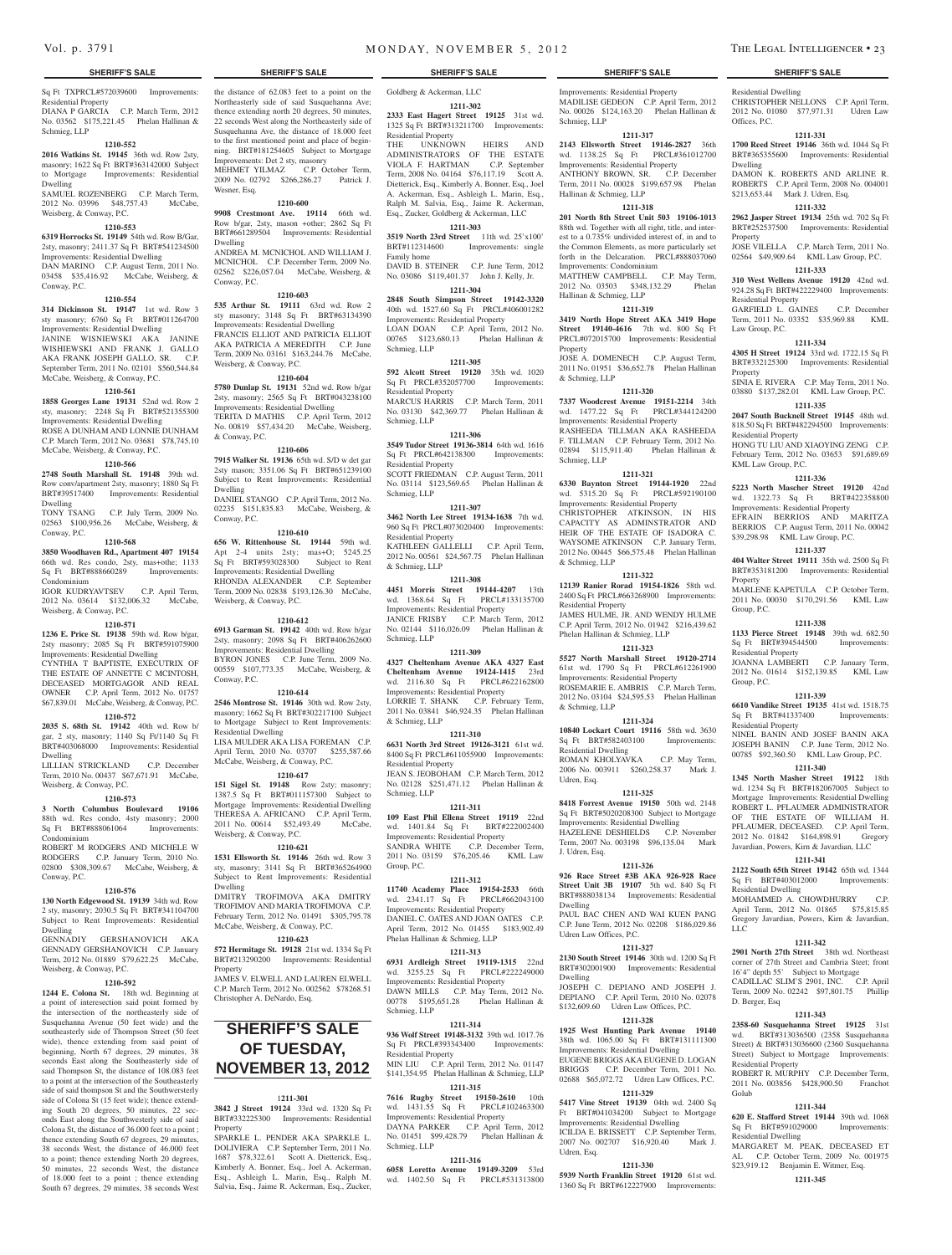Sq Ft TXPRCL#572039600 Improvements: Residential Property DIANA P GARCIA C.P. March Term, 2012 No. 03562 \$175,221.45 Phelan Hallinan & Schmieg, LLP

# **1210-552**

**2016 Watkins St. 19145** 36th wd. Row 2sty, masonry; 1622 Sq Ft BRT#363142000 Subject<br>to Mortgage Improvements: Residential Improvements: Residential Dwelling SAMUEL ROZENBERG C.P. March Term,

#### 2012 No. 03996 \$48,757.43 McCabe, Weisberg, & Conway, P.C.

#### **1210-553**

**6319 Horrocks St. 19149** 54th wd. Row B/Gar, 2sty, masonry; 2411.37 Sq Ft BRT#541234500 Improvements: Residential Dwelling DAN MARINO C.P. August Term, 2011 No. 03458 \$35,416.92 McCabe, Weisberg, & Conway, P.C.

### **1210-554**

**314 Dickinson St. 19147** 1st wd. Row 3 sty masonry; 6760 Sq Ft BRT#011264700 Improvements: Residential Dwelling JANINE WISNIEWSKI AKA JANINE WISHIEWSKI AND FRANK J. GALLO AKA FRANK JOSEPH GALLO, SR. C.P. September Term, 2011 No. 02101 \$560,544.84 McCabe, Weisberg, & Conway, P.C.

# **1210-561**

**1858 Georges Lane 19131** 52nd wd. Row 2 sty, masonry; 2248 Sq Ft BRT#521355300 Improvements: Residential Dwelling ROSE A DUNHAM AND LONNIE DUNHAM C.P. March Term, 2012 No. 03681 \$78,745.10 McCabe, Weisberg, & Conway, P.C.

# **1210-566**

**2748 South Marshall St. 19148** 39th wd. Row conv/apartment 2sty, masonry; 1880 Sq Ft BRT#39517400 Improvements: Residential Dwelling

TONY TSANG C.P. July Term, 2009 No. 02563 \$100,956.26 McCabe, Weisberg, & Conway, P.C.

#### **1210-568**

**3850 Woodhaven Rd., Apartment 407 19154**  66th wd. Res condo, 2sty, mas+othe; 1133<br>Sq Ft BRT#888660289 Improvements: Sq Ft BRT#888660289 Condominium

IGOR KUDRYAVTSEV C.P. April Term, 2012 No. 03614 \$132,006.32 McCabe, Weisberg, & Conway, P.C.

# **1210-571**

**1236 E. Price St. 19138** 59th wd. Row b/gar, 2sty masonry; 2085 Sq Ft BRT#591075900 Improvements: Residential Dwelling CYNTHIA T BAPTISTE, EXECUTRIX OF THE ESTATE OF ANNETTE C MCINTOSH, DECEASED MORTGAGOR AND REAL

OWNER C.P. April Term, 2012 No. 01757 \$67,839.01 McCabe, Weisberg, & Conway, P.C. **1210-572**

**2035 S. 68th St. 19142** 40th wd. Row b/ gar, 2 sty, masonry; 1140 Sq Ft/1140 Sq Ft BRT#403068000 Improvements: Residential Dwelling

LILLIAN STRICKLAND C.P. December Term, 2010 No. 00437 \$67,671.91 McCabe, Weisberg, & Conway, P.C.

#### **1210-573**

**3 North Columbus Boulevard 19106**  88th wd. Res condo, 4sty masonry; 2000 Sq Ft BRT#888061064 Improvements: Condominium

ROBERT M RODGERS AND MICHELE W RODGERS C.P. January Term, 2010 No. 02800 \$308,309.67 McCabe, Weisberg, & Conway, P.C.

# **1210-576**

**130 North Edgewood St. 19139** 34th wd. Row 2 sty, masonry; 2030.5 Sq Ft BRT#341104700 Subject to Rent Improvements: Residential Dwelling

GENNADIY GERSHANOVICH AKA GENNADY GERSHANOVICH C.P. January Term, 2012 No. 01889 \$79,622.25 McCabe, Weisberg, & Conway, P.C.

# **1210-592**

**1244 E. Colona St.** 18th wd. Beginning at a point of interesection said point formed by the intersection of the northeasterly side of Susquehanna Avenue (50 feet wide) and the southeasterly side of Thompson Street (50 feet wide), thence extending from said point of beginning, North 67 degrees, 29 minutes, 38 seconds East along the Southeasterly side of said Thompson St, the distance of 108.083 feet to a point at the intersection of the Southeasterly side of said thompson St and the Southwersterly side of Colona St (15 feet wide); thence extending South 20 degrees, 50 minutes, 22 seconds East along the Southwesterly side of said Colona St, the distance of 36.000 feet to a point ; thence extending South 67 degrees, 29 minutes, 38 seconds West, the distance of 46.000 feet to a point; thence extending North 20 degrees, 50 minutes, 22 seconds West, the distance of 18.000 feet to a point ; thence extending South 67 degrees, 29 minutes, 38 seconds West

the distance of 62.083 feet to a point on the Northeasterly side of said Susquehanna Ave; thence extending north 20 degrees, 50 minutes, 22 seconds West along the Northeasterly side of Susquehanna Ave, the distance of 18.000 feet to the first mentioned point and place of beginning. BRT#181254605 Subject to Mortgage Improvements: Det 2 sty, masonry

MEHMET YILMAZ C.P. October Term, 2009 No. 02792 \$266,286.27 Patrick J. Wesner, Esq.

# **1210-600**

**9908 Crestmont Ave. 19114** 66th wd. Row b/gar, 2sty, mason +other; 2862 Sq Ft BRT#661289504 Improvements: Residential Dwelling ANDREA M. MCNICHOL AND WILLIAM J. MCNICHOL C.P. December Term, 2009 No. 02562 \$226,057.04 McCabe, Weisberg, & Conway, P.C.

**1210-603**

**535 Arthur St. 19111** 63rd wd. Row 2 sty masonry; 3148 Sq Ft BRT#63134390 Improvements: Residential Dwelling FRANCIS ELLIOT AND PATRICIA ELLIOT AKA PATRICIA A MEREDITH C.P. June Term, 2009 No. 03161 \$163,244.76 McCabe, Weisberg, & Conway, P.C.

# **1210-604**

**5780 Dunlap St. 19131** 52nd wd. Row b/gar 2sty, masonry; 2565 Sq Ft BRT#043238100 Improvements: Residential Dwelling TERITA D MATHIS C.P. April Term, 2012 No. 00819 \$57,434.20 McCabe, Weisberg, & Conway, P.C.

# **1210-606**

**7915 Walker St. 19136** 65th wd. S/D w det gar 2sty mason; 3351.06 Sq Ft BRT#651239100 Subject to Rent Improvements: Residential Dwelling DANIEL STANGO C.P. April Term, 2012 No. 02235 \$151,835.83 McCabe, Weisberg, &

Conway, P.C. **1210-610**

**656 W. Rittenhouse St. 19144** 59th wd. Apt 2-4 units 2sty; mas+O; 5245.25 Sq Ft BRT#593028300 Subject to Rent Improvements: Residential Dwelling RHONDA ALEXANDER C.P. September Term, 2009 No. 02838 \$193,126.30 McCabe, Weisberg, & Conway, P.C.

**1210-612**

**6913 Garman St. 19142** 40th wd. Row b/gar 2sty, masonry; 2098 Sq Ft BRT#406262600 Improvements: Residential Dwelling BYRON JONES C.P. June Term, 2009 No. 00559 \$107,773.35 McCabe, Weisberg, & Conway, P.C.

# **1210-614**

**2546 Montrose St. 19146** 30th wd. Row 2sty, masonry; 1662 Sq Ft BRT#302217100 Subject to Mortgage Subject to Rent Improvements: Residential Dwelling LISA MULDER AKA LISA FOREMAN C.P. April Term, 2010 No. 03707 \$255,587.66

McCabe, Weisberg, & Conway, P.C. **1210-617**

**151 Sigel St. 19148** Row 2sty; masonry; 1387.5 Sq Ft BRT#011157300 Subject to

Mortgage Improvements: Residential Dwelling THERESA A. AFRICANO C.P. April Term, 2011 No. 00614 \$52,493.49 McCabe, Weisberg, & Conway, P.C.

# **1210-621**

**1531 Ellsworth St. 19146** 26th wd. Row 3 sty, masonry; 3141 Sq Ft BRT#365264900 Subject to Rent Improvements: Residential Dwelling DMITRY TROFIMOVA AKA DMITRY TROFIMOV AND MARIA TROFIMOVA C.P. February Term, 2012 No. 01491 \$305,795.78 McCabe, Weisberg, & Conway, P.C.

# **1210-623**

**572 Hermitage St. 19128** 21st wd. 1334 Sq Ft BRT#213290200 Improvements: Residential Property

JAMES V. ELWELL AND LAUREN ELWELL C.P. March Term, 2012 No. 002562 \$78268.51 Christopher A. DeNardo, Esq.

# **SHERIFF'S SALE OF TUESDAY, NOVEMBER 13, 2012**

### 1**211-301**

**3842 J Street 19124** 33rd wd. 1320 Sq Ft BRT#332225300 Improvements: Residential Property

SPARKLE L. PENDER AKA SPARKLE L. DOLIVIERA C.P. September Term, 2011 No. 1687 \$78,322.61 Scott A. Dietterick, Esq., Kimberly A. Bonner, Esq., Joel A. Ackerman, Esq., Ashleigh L. Marin, Esq., Ralph M. Salvia, Esq., Jaime R. Ackerman, Esq., Zucker,

Goldberg & Ackerman, LLC

# **1211-302**

**2333 East Hagert Street 19125** 31st wd. 1325 Sq Ft BRT#313211700 Improvements: Residential Property THE UNKNOWN HEIRS AND

ADMINISTRATORS OF THE ESTATE VIOLA F. HARTMAN C.P. September Term, 2008 No. 04164 \$76,117.19 Scott A. Dietterick, Esq., Kimberly A. Bonner, Esq., Joel A. Ackerman, Esq., Ashleigh L. Marin, Esq., Ralph M. Salvia, Esq., Jaime R. Ackerman, Esq., Zucker, Goldberg & Ackerman, LLC

# **1211-303**

**3519 North 23rd Street** 11th wd. 25'x100' BRT#112314600 Improvements: single Family home DAVID B. STEINER C.P. June Term, 2012 No. 03086 \$119,401.37 John J. Kelly, Jr.

# **1211-304**

**2848 South Simpson Street 19142-3320**  40th wd. 1527.60 Sq Ft PRCL#406001282 Improvements: Residential Property LOAN DOAN C.P. April Term, 2012 No. 00765 \$123,680.13 Phelan Hallinan & Schmieg, LLP

# **1211-305**

**592 Alcott Street 19120** 35th wd. 1020 Sq Ft PRCL#352057700 Improvements: Residential Property MARCUS HARRIS C.P. March Term, 2011 No. 03130 \$42,369.77 Phelan Hallinan & Schmieg, LLP

# **1211-306**

**3549 Tudor Street 19136-3814** 64th wd. 1616 Sq Ft PRCL#642138300 Improvements: Residential Property SCOTT FRIEDMAN C.P. August Term, 2011

No. 03114 \$123,569.65 Phelan Hallinan & Schmieg, LLP **1211-307**

**3462 North Lee Street 19134-1638** 7th wd. 960 Sq Ft PRCL#073020400 Improvements: Residential Property KATHLEEN GALLELLI C.P. April Term,

2012 No. 00561 \$24,567.75 Phelan Hallinan & Schmieg, LLP **1211-308**

**4451 Morris Street 19144-4207** 13th wd. 1368.64 Sq Ft PRCL#133135700 Improvements: Residential Property JANICE FRISBY C.P. March Term, 2012 No. 02144 \$116,026.09 Phelan Hallinan & Schmieg, LLP

# **1211-309**

**4327 Cheltenham Avenue AKA 4327 East Cheltenham Avenue 19124-1415** 23rd wd. 2116.80 Sq Ft PRCL#622162800 Improvements: Residential Property LORRIE T. SHANK C.P. February Term, 2011 No. 03841 \$46,924.35 Phelan Hallinan & Schmieg, LLP

# **1211-310**

**6631 North 3rd Street 19126-3121** 61st wd. 8400 Sq Ft PRCL#611055900 Improvements: Residential Property JEAN S. JEOBOHAM C.P. March Term, 2012 No. 02128 \$251,471.12 Phelan Hallinan & Schmieg, LLP

# **1211-311**

**109 East Phil Ellena Street 19119** 22nd wd. 1401.84 Sq Ft BRT#222002400 Improvements: Residential Property SANDRA WHITE C.P. December Term, 2011 No. 03159 \$76,205.46 KML Law Group, P.C.

#### **1211-312**

**11740 Academy Place 19154-2533** 66th wd. 2341.17 Sq Ft PRCL#662043100 Improvements: Residential Property DANIEL C. OATES AND JOAN OATES C.P. April Term, 2012 No. 01455 \$183,902.49 Phelan Hallinan & Schmieg, LLP

# **1211-313**

**6931 Ardleigh Street 19119-1315** 22nd wd. 3255.25 Sq Ft PRCL#222249000 Improvements: Residential Property DAWN MILLS C.P. May Term, 2012 No. 00778 \$195,651.28 Phelan Hallinan & Schmieg, LLP

# **1211-314**

**936 Wolf Street 19148-3132** 39th wd. 1017.76 Ft PRCL#393343400 Improvements: Residential Property MIN LIU C.P. April Term, 2012 No. 01147 \$141,354.95 Phelan Hallinan & Schmieg, LLP

# **1211-315 7616 Rugby Street 19150-2610** 10th wd. 1431.55 Sq Ft PRCL#102463300 Improvements: Residential Property

DAYNA PARKER C.P. April Term, 2012 No. 01451 \$99,428.79 Phelan Hallinan & Schmieg, LLP

# **1211-316**

**6058 Loretto Avenue 19149-3209** 53rd wd. 1402.50 Sq Ft PRCL#531313800

# **SHERIFF'S SALE SHERIFF'S SALE SHERIFF'S SALE SHERIFF'S SALE SHERIFF'S SALE**

Improvements: Residential Property MADILISE GEDEON C.P. April Term, 2012 No. 00026 \$124,163.20 Phelan Hallinan & Schmieg, LLP

Residential Dwelling

Offices, P.C.

Dwelling

Property

Residential Property

Law Group, P.C.

Residential Property

KML Law Group, P.C.

Property

Property

Group, P.C.

Group, P.C.

Residential Property

Residential Property

Residential Dwelling

LLC

D. Berger, Esq

Residential Property

Sq Ft BRT#591029000 Residential Dwelling

Golub

CHRISTOPHER NELLONS C.P. April Term, 2012 No. 01080 \$77,971.31 Udren Law

**1211-331 1700 Reed Street 19146** 36th wd. 1044 Sq Ft BRT#365355600 Improvements: Residential

DAMON K. ROBERTS AND ARLINE R. ROBERTS C.P. April Term, 2008 No. 004001 \$213,653.44 Mark J. Udren, Esq. **1211-332 2962 Jasper Street 19134** 25th wd. 702 Sq Ft BRT#252537500 Improvements: Residential

JOSE VILELLA C.P. March Term, 2011 No. 02564 \$49,909.64 KML Law Group, P.C. **1211-333 310 West Wellens Avenue 19120** 42nd wd. 924.28 Sq Ft BRT#422229400 Improvements:

GARFIELD L. GAINES C.P. December Term, 2011 No. 03352 \$35,969.88 KML

**1211-334 4305 H Street 19124** 33rd wd. 1722.15 Sq Ft BRT#332125300 Improvements: Residential

SINIA E. RIVERA C.P. May Term, 2011 No. 03880 \$137,282.01 KML Law Group, P.C. **1211-335 2047 South Bucknell Street 19145** 48th wd. 818.50 Sq Ft BRT#482294500 Improvements:

HONG TU LIU AND XIAOYING ZENG C.P. February Term, 2012 No. 03653 \$91,689.69

**1211-336 5223 North Mascher Street 19120** 42nd wd. 1322.73 Sq Ft BRT#422358800 Improvements: Residential Property EFRAIN BERRIOS AND MARITZA BERRIOS C.P. August Term, 2011 No. 00042 \$39,298.98 KML Law Group, P.C. **1211-337 404 Walter Street 19111** 35th wd. 2500 Sq Ft BRT#353181200 Improvements: Residential

MARLENE KAPETULA C.P. October Term, 2011 No. 00030 \$170,291.56 KML Law

**1211-338 1133 Pierce Street 19148** 39th wd. 682.50 Sq Ft BRT#394544500 Improvements:

JOANNA LAMBERTI C.P. January Term, 2012 No. 01614 \$152,139.85 KML Law

**1211-339 6610 Vandike Street 19135** 41st wd. 1518.75 Sq Ft BRT#41337400 Improvements:

NINEL BANIN AND JOSEF BANIN AKA JOSEPH BANIN C.P. June Term, 2012 No. 00785 \$92,360.50 KML Law Group, P.C. **1211-340 1345 North Masher Street 19122** 18th wd. 1234 Sq Ft BRT#182067005 Subject to Mortgage Improvements: Residential Dwelling ROBERT L. PFLAUMER ADMINISTRATOR OF THE ESTATE OF WILLIAM H. PFLAUMER, DECEASED. C.P. April Term, 2012 No. 01842 \$164,898.91 Gregory Javardian, Powers, Kirn & Javardian, LLC **1211-341 2122 South 65th Street 19142** 65th wd. 1344 Sq Ft BRT#403012000 Improvements:

MOHAMMED A. CHOWDHURRY C.P. April Term, 2012 No. 01865 \$75,815.85 Gregory Javardian, Powers, Kirn & Javardian,

**1211-342 2901 North 27th Street** 38th wd. Northeast corner of 27th Street and Cambria Steet; front 16'4" depth 55' Subject to Mortgage CADILLAC SLIM'S 2901, INC. C.P. April Term, 2009 No. 02242 \$97,801.75 Phillip

**1211-343 2358-60 Susquehanna Street 19125** 31st wd. BRT#313036500 (2358 Susquehanna Street) & BRT#313036600 (2360 Susquehanna Street) Subject to Mortgage Improvements:

ROBERT R. MURPHY C.P. December Term, 2011 No. 003856 \$428,900.50 Franchot

**1211-344 620 E. Stafford Street 19144** 39th wd. 1068

MARGARET M. PEAK, DECEASED ET AL C.P. October Term, 2009 No. 001975 \$23,919.12 Benjamin E. Witmer, Esq. **1211-345**

# **1211-317**

**2143 Ellsworth Street 19146-2827** 36th wd. 1138.25 Sq Ft PRCL#361012700 Improvements: Residential Property ANTHONY BROWN, SR. C.P. December Term, 2011 No. 00028 \$199,657.98 Phelan Hallinan & Schmieg, LLP

# **1211-318**

Hallinan & Schmieg, LLP

Property

& Schmieg, LLP

Schmieg, LLP

& Schmieg, LLP

Residential Property

& Schmieg, LLP

Residential Dwelling

Udren, Esq.

J. Udren, Esq.

Dwelling

Dwelling

Udren, Esq.

Udren Law Offices, P.C.

**201 North 8th Street Unit 503 19106-1013**  88th wd. Together with all right, title, and interest to a 0.735% undivided interest of, in and to the Common Elements, as more particularly set forth in the Delcaration. PRCL#888037060 Improvements: Condominium MATTHEW CAMPBELL C.P. May Term, 2012 No. 03503 \$348,132.29 Phelan

**1211-319 3419 North Hope Street AKA 3419 Hope Street 19140-4616** 7th wd. 800 Sq Ft PRCL#072015700 Improvements: Residential

JOSE A. DOMENECH C.P. August Term, 2011 No. 01951 \$36,652.78 Phelan Hallinan

**1211-320 7337 Woodcrest Avenue 19151-2214** 34th wd. 1477.22 Sq Ft PRCL#344124200 Improvements: Residential Property RASHEEDA TILLMAN AKA RASHEEDA F. TILLMAN C.P. February Term, 2012 No. 02894 \$115,911.40 Phelan Hallinan &

**1211-321 6330 Baynton Street 19144-1920** 22nd wd. 5315.20 Sq Ft PRCL#592190100 Improvements: Residential Property CHRISTOPHER ATKINSON, IN HIS CAPACITY AS ADMINSTRATOR AND HEIR OF THE ESTATE OF ISADORA C. WAYSOME ATKINSON C.P. January Term, 2012 No. 00445 \$66,575.48 Phelan Hallinan

**1211-322 12139 Ranier Rorad 19154-1826** 58th wd. 2400 Sq Ft PRCL#663268900 Improvements:

JAMES HULME, JR. AND WENDY HULM C.P. April Term, 2012 No. 01942 \$216,439.62

**1211-323 5527 North Marshall Street 19120-2714**  61st wd. 1790 Sq Ft PRCL#612261900 Improvements: Residential Property ROSEMARIE E. AMBRIS C.P. March Term, 2012 No. 03104 \$24,595.53 Phelan Hallinan

**1211-324 10840 Lockart Court 19116** 58th wd. 3630 Sq Ft BRT#582403100 Improvements:

ROMAN KHOLYAVKA C.P. May Term, 2006 No. 003911 \$260,258.37 Mark J.

**1211-325 8418 Forrest Avenue 19150** 50th wd. 2148 Sq Ft BRT#5020208300 Subject to Mortgage Improvements: Residential Dwelling HAZELENE DESHIELDS C.P. November Term, 2007 No. 003198 \$96,135.04 Mark

**1211-326 926 Race Street #3B AKA 926-928 Race Street Unit 3B 19107** 5th wd. 840 Sq Ft BRT#888038134 Improvements: Residential

PAUL BAC CHEN AND WAI KUEN PANG C.P. June Term, 2012 No. 02208 \$186,029.86

**1211-327 2130 South Street 19146** 30th wd. 1200 Sq Ft BRT#302001900 Improvements: Residential

JOSEPH C. DEPIANO AND JOSEPH J. DEPIANO C.P. April Term, 2010 No. 02078 \$132,609.60 Udren Law Offices, P.C. **1211-328 1925 West Hunting Park Avenue 19140**  38th wd. 1065.00 Sq Ft BRT#131111300 Improvements: Residential Dwelling EUGENE BRIGGS AKA EUGENE D. LOGAN BRIGGS C.P. December Term, 2011 No. 02688 \$65,072.72 Udren Law Offices, P.C. **1211-329 5417 Vine Street 19139** 04th wd. 2400 Sq Ft BRT#041034200 Subject to Mortgage Improvements: Residential Dwelling ICILDA E. BRISSETT C.P. September Term, 2007 No. 002707 \$16,920.40 Mark J.

**1211-330 5939 North Franklin Street 19120** 61st wd. 1360 Sq Ft BRT#612227900 Improvements:

Phelan Hallinan & Schmieg, LLP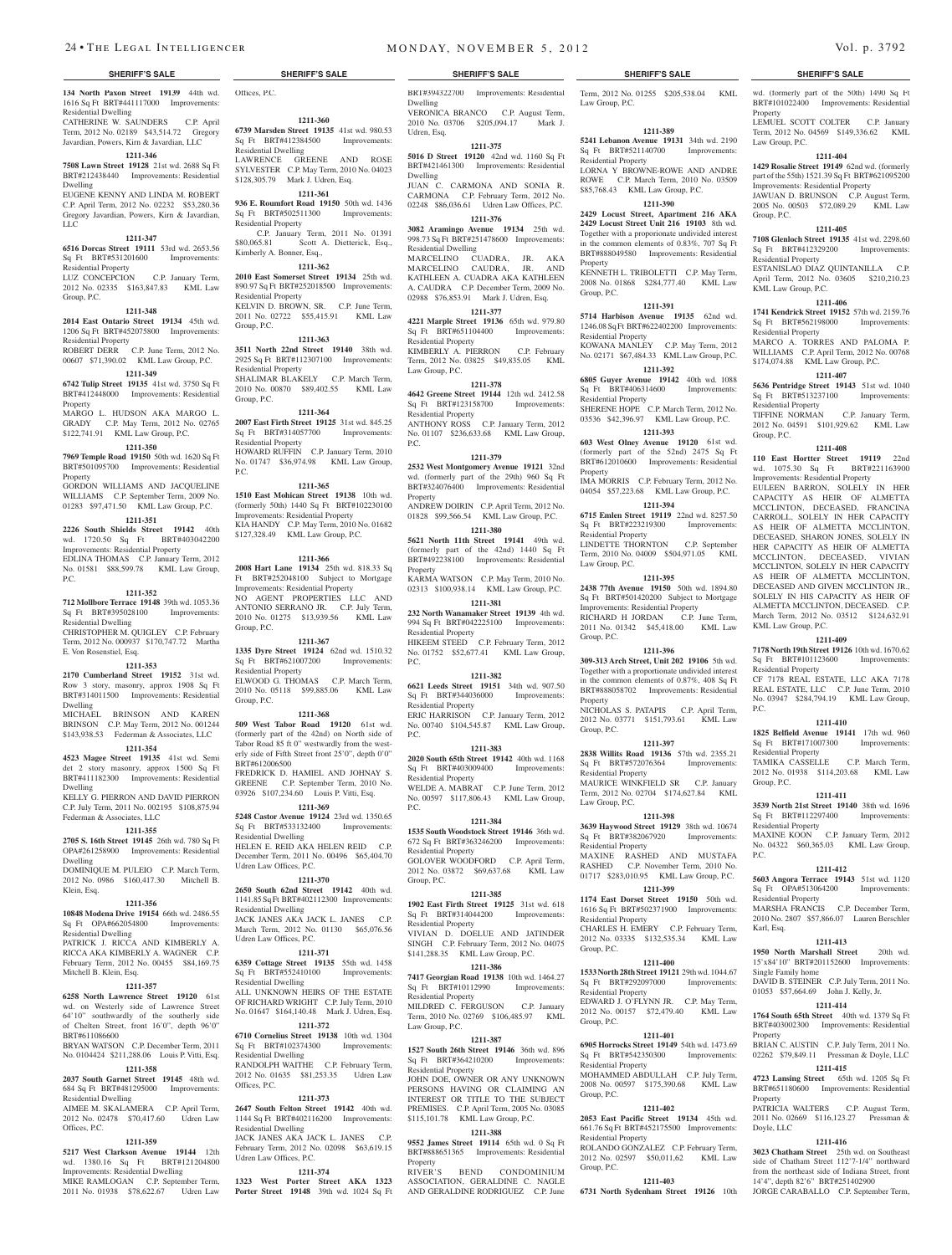**134 North Paxon Street 19139** 44th wd. Offices, P.C. 1616 Sq Ft BRT#441117000 Improvements: Residential Dwelling

CATHERINE W. SAUNDERS C.P. April Term, 2012 No. 02189 \$43,514.72 Gregory Javardian, Powers, Kirn & Javardian, LLC

# **1211-346**

LLC

**7508 Lawn Street 19128** 21st wd. 2688 Sq Ft BRT#212438440 Improvements: Residential Dwelling EUGENE KENNY AND LINDA M. ROBERT

C.P. April Term, 2012 No. 02232 \$53,280.36 Gregory Javardian, Powers, Kirn & Javardian,

# **1211-347**

**6516 Dorcas Street 19111** 53rd wd. 2653.56<br>
Sq Ft BRT#531201600 Improvements: Sq Ft BRT#531201600 Residential Property

# LUZ CONCEPCION C.P. January Term, 2012 No. 02335 \$163,847.83 KML Law Group, P.C.

# **1211-348**

**2014 East Ontario Street 19134** 45th wd. 1206 Sq Ft BRT#452075800 Improvements: Residential Property

ROBERT DERR C.P. June Term, 2012 No. 00607 \$71,390.02 KML Law Group, P.C.

# **1211-349**

**6742 Tulip Street 19135** 41st wd. 3750 Sq Ft BRT#412448000 Improvements: Residential Property

MARGO L. HUDSON AKA MARGO L. GRADY C.P. May Term, 2012 No. 02765 \$122,741.91 KML Law Group, P.C.

# **1211-350**

**7969 Temple Road 19150** 50th wd. 1620 Sq Ft BRT#501095700 Improvements: Residential Property

GORDON WILLIAMS AND JACQUELINE WILLIAMS C.P. September Term, 2009 No. 01283 \$97,471.50 KML Law Group, P.C. **1211-351**

# **2226 South Shields Street 19142** 40th

wd. 1720.50 Sq Ft BRT#403042200 Improvements: Residential Property EDLINA THOMAS C.P. January Term, 2012

No. 01581 \$88,599.78 KML Law Group, P.C.

# **1211-352**

**712 Mollbore Terrace 19148** 39th wd. 1053.36 Sq Ft BRT#395028100 Improvements: Residential Dwelling CHRISTOPHER M. QUIGLEY C.P. February Term, 2012 No. 000937 \$170,747.72 Martha E. Von Rosenstiel, Esq.

#### **1211-353**

**2170 Cumberland Street 19152** 31st wd. Row 3 story, masonry, approx 1908 Sq Ft BRT#314011500 Improvements: Residential Dwelling

MICHAEL BRINSON AND KAREN BRINSON C.P. May Term, 2012 No. 001244 \$143,938.53 Federman & Associates, LLC

# **1211-354**

**4523 Magee Street 19135** 41st wd. Semi det 2 story masonry, approx 1500 Sq Ft BRT#411182300 Improvements: Residential Dwelling KELLY G. PIERRON AND DAVID PIERRON

C.P. July Term, 2011 No. 002195 \$108,875.94 Federman & Associates, LLC **1211-355**

# **2705 S. 16th Street 19145** 26th wd. 780 Sq Ft

OPA#261258900 Improvements: Residential Dwelling

DOMINIQUE M. PULEIO C.P. March Term, 2012 No. 0986 \$160,417.30 Mitchell B. Klein, Esq.

#### **1211-356**

**10848 Modena Drive 19154** 66th wd. 2486.55 Sq Ft OPA#662054800 Improvements: Residential Dwelling

PATRICK J. RICCA AND KIMBERLY A. RICCA AKA KIMBERLY A. WAGNER C.P. February Term, 2012 No. 00455 \$84,169.75 Mitchell B. Klein, Esq.

### **1211-357**

**6258 North Lawrence Street 19120** 61st wd. on Westerly side of Lawrence Street 64'10" southwardly of the southerly side of Chelten Street, front 16'0", depth 96'0" BRT#611086600

ATSON C.P. December Term, 2011 No. 0104424 \$211,288.06 Louis P. Vitti, Esq.

### **1211-358 2037 South Garnet Street 19145** 48th wd. 684 Sq Ft BRT#481295000 Improvements:

Residential Dwelling AIMEE M. SKALAMERA C.P. April Term,

2012 No. 02478 \$70,417.60 Udren Law Offices, P.C.

# **1211-359**

**5217 West Clarkson Avenue 19144** 12th wd. 1380.16 Sq Ft BRT#121204800 Improvements: Residential Dwelling MIKE RAMLOGAN C.P. September Term, 2011 No. 01938 \$78,622.67 Udren Law

# **1211-360**

**6739 Marsden Street 19135** 41st wd. 980.53 Sq Ft BRT#412384500 Improvements: Residential Dwelling LAWRENCE GREENE AND ROSE SYLVESTER C.P. May Term, 2010 No. 04023 \$128,305.79 Mark J. Udren, Esq.

# **1211-361 936 E. Roumfort Road 19150** 50th wd. 1436

Sq Ft BRT#502511300 Improvements: Residential Property C.P. January Term, 2011 No. 01391 \$80,065.81 Scott A. Dietterick, Esq., Kimberly A. Bonner, Esq.,

# **1211-362**

**2010 East Somerset Street 19134** 25th wd. 890.97 Sq Ft BRT#252018500 Improvements: Residential Property KELVIN D. BROWN, SR. C.P. June Term, 2011 No. 02722 \$55,415.91 KML Law Group, P.C.

### **1211-363**

**3511 North 22nd Street 19140** 38th wd. 2925 Sq Ft BRT#112307100 Improvements: Residential Property SHALIMAR BLAKELY C.P. March Term, 2010 No. 00870 \$89,402.55 KML Law Group, P.C.

### **1211-364**

**2007 East Firth Street 19125** 31st wd. 845.25 Sq Ft BRT#314057700 Residential Property HOWARD RUFFIN C.P. January Term, 2010 No. 01747 \$36,974.98 KML Law Group, P.C.

### **1211-365**

**1510 East Mohican Street 19138** 10th wd. (formerly 50th) 1440 Sq Ft BRT#102230100 Improvements: Residential Property KIA HANDY C.P. May Term, 2010 No. 01682 \$127,328.49 KML Law Group, P.C.

**1211-366**

### **2008 Hart Lane 19134** 25th wd. 818.33 Sq Ft BRT#252048100 Subject to Mortgage Improvements: Residential Property NO AGENT PROPERTIES LLC AND ANTONIO SERRANO JR. C.P. July Term, 2010 No. 01275 \$13,939.56 KML Law Group, P.C.

**1211-367 1335 Dyre Street 19124** 62nd wd. 1510.32 Sq Ft BRT#621007200 Improvements: Residential Property ELWOOD G. THOMAS C.P. March Term, 2010 No. 05118 \$99,885.06 KML Law Group, P.C.

# **1211-368**

**509 West Tabor Road 19120** 61st wd. (formerly part of the 42nd) on North side of Tabor Road 85 ft 0" westwardly from the westerly side of Fifth Street front 25'0", depth 0'0" BRT#612006500 FREDRICK D. HAMIEL AND JOHNAY S.

GREENE C.P. September Term, 2010 No. 03926 \$107,234.60 Louis P. Vitti, Esq. **1211-369 5248 Castor Avenue 19124** 23rd wd. 1350.65 Sq Ft BRT#533132400 Improvements:

Residential Dwelling HELEN E. REID AKA HELEN REID CP. December Term, 2011 No. 00496 \$65,404.70 Udren Law Offices, P.C. **1211-370**

**2650 South 62nd Street 19142** 40th wd. 1141.85 Sq Ft BRT#402112300 Improvements: Residential Dwelling JACK JANES AKA JACK L. JANES C.P. March Term, 2012 No. 01130 \$65,076.56 Udren Law Offices, P.C.

### **1211-371 6359 Cottage Street 19135** 55th wd. 1458

Sq Ft BRT#552410100 Improvements: Residential Dwelling ALL UNKNOWN HEIRS OF THE ESTATE OF RICHARD WRIGHT C.P. July Term, 2010

No. 01647 \$164,140.48 Mark J. Udren, Esq. **1211-372 6710 Cornelius Street 19138** 10th wd. 1304

BRT#102374300 Improvements Residential Dwelling RANDOLPH WAITHE C.P. February Term, 2012 No. 01635 \$81,253.35 Udren Law Offices, P.C.

# **1211-373**

**2647 South Felton Street 19142** 40th wd. 1144 Sq Ft BRT#402116200 Improvements: Residential Dwelling JACK JANES AKA JACK L. JANES C.P. February Term, 2012 No. 02098 \$63,619.15 Udren Law Offices, P.C.

# **1211-374**

**1323 West Porter Street AKA 1323 Porter Street 19148** 39th wd. 1024 Sq Ft

# **SHERIFF'S SALE SHERIFF'S SALE SHERIFF'S SALE SHERIFF'S SALE SHERIFF'S SALE**

BRT#394322700 Improvements: Residential Term, 2012 No. 01255 \$205,538.04 KML

Law Group, P.C.

Residential Property

Property

Group, P.C.

Residential Property

Residential Property

Residential Property

Law Group, P.C.

Group, P.C.

Property

Group, P.C.

Residential Property

Law Group, P.C.

Residential Property

Residential Property

Residential Property

Residential Property

Residential Property

Group, P.C.

Group, P.C.

Group, P.C.

Group, P.C.

Property

**1211-389 5241 Lebanon Avenue 19131** 34th wd. 2190 Sq Ft BRT#521140700 Improvements: wd. (formerly part of the 50th) 1490 Sq Ft BRT#101022400 Improvements: Residential

LEMUEL SCOTT COLTER C.P. January Term, 2012 No. 04569 \$149,336.62 KML

**1211-404 1429 Rosalie Street 19149** 62nd wd. (formerly part of the 55th) 1521.39 Sq Ft BRT#621095200 Improvements: Residential Property JAWUAN D. BRUNSON C.P. August Term, 2005 No. 00503 \$72,089.29 KML Law

**1211-405 7108 Glenloch Street 19135** 41st wd. 2298.60 Sq Ft BRT#412329200 Improvements:

ESTANISLAO DIAZ QUINTANILLA C.P. April Term, 2012 No. 03605 \$210,210.23

**1211-406 1741 Kendrick Street 19152** 57th wd. 2159.76 Sq Ft BRT#562198000 Improvements:

MARCO A. TORRES AND PALOMA P. WILLIAMS C.P. April Term, 2012 No. 00768 \$174,074.88 KML Law Group, P.C. **1211-407 5636 Pentridge Street 19143** 51st wd. 1040 Sq Ft BRT#513237100 Improvements:

TIFFINE NORMAN C.P. January Term, 2012 No. 04591 \$101,929.62 KML Law

**1211-408 110 East Hortter Street 19119** 22nd wd. 1075.30 Sq Ft BRT#221163900 Improvements: Residential Property EULEEN BARRON, SOLELY IN HER CAPACITY AS HEIR OF ALMETTA MCCLINTON, DECEASED, FRANCINA CARROLL, SOLELY IN HER CAPACITY AS HEIR OF ALMETTA MCCLINTON, DECEASED, SHARON JONES, SOLELY IN HER CAPACITY AS HEIR OF ALMETTA MCCLINTON, DECEASED, VIVIA MCCLINTON, SOLELY IN HER CAPACITY AS HEIR OF ALMETTA MCCLINTON, DECEASED AND GIVEN MCCLINTON JR., SOLELY IN HIS CAPACITY AS HEIR OF ALMETTA MCCLINTON, DECEASED. C.P. March Term, 2012 No. 03512 \$124,632.91

Property

Law Group, P.C.

Group, P.C.

Residential Property

KML Law Group, P.C.

Residential Property

Residential Property

KML Law Group, P.C.

Residential Property

Residential Property

Residential Property

Residential Property

Single Family home

Karl, Esq.

Property

Property

Doyle, LLC

Group, P.C.

P.C.

P.C.

**1211-409 7178 North 19th Street 19126** 10th wd. 1670.62 Sq Ft BRT#101123600 Improvements:

CF 7178 REAL ESTATE, LLC AKA 7178 REAL ESTATE, LLC C.P. June Term, 2010 No. 03947 \$284,794.19 KML Law Group,

**1211-410 1825 Belfield Avenue 19141** 17th wd. 960 Sq Ft BRT#171007300 Improvements:

TAMIKA CASSELLE C.P. March Term, 2012 No. 01938 \$114,203.68 KML Law

**1211-411 3539 North 21st Street 19140** 38th wd. 1696 Sq Ft BRT#112297400 Improvements:

MAXINE KOON C.P. January Term, 2012 No. 04322 \$60,365.03 KML Law Group,

**1211-412 5603 Angora Terrace 19143** 51st wd. 1120 Sq Ft OPA#513064200 Improvements:

MARSHA FRANCIS C.P. December Term, 2010 No. 2807 \$57,866.07 Lauren Berschler

**1211-413** 1950 North Marshall Street 20th wd. 15'x84'10" BRT#201152600 Improvements:

DAVID B. STEINER C.P. July Term, 2011 No. 01053 \$57,664.69 John J. Kelly, Jr. **1211-414 1764 South 65th Street 40th wd. 1379 Sq Ft** BRT#403002300 Improvements: Residential

02262 \$79,849.11 Pressman & Doyle, LLC **1211-415 4723 Lansing Street** 65th wd. 1205 Sq Ft BRT#651180600 Improvements: Residential

PATRICIA WALTERS C.P. August Term, 2011 No. 02669 \$116,123.27 Pressman &

**1211-416 3023 Chatham Street** 25th wd. on Southeast side of Chatham Street 112'7-1/4" northward from the northeast side of Indiana Street, front 14'4", depth 82'6" BRT#251402900 JORGE CARABALLO C.P. September Term,

 $BRIAN C. AUSTIN C.P. July Tei$ 

Group, P.C.

LORNA Y BROWNE-ROWE AND ANDRE ROWE C.P. March Term, 2010 No. 03509 \$85,768.43 KML Law Group, P.C. **1211-390 2429 Locust Street, Apartment 216 AKA 2429 Locust Street Unit 216 19103** 8th wd. Together with a proporionate undivided interest in the common elements of 0.83%, 707 Sq Ft BRT#888049580 Improvements: Residential

KENNETH L. TRIBOLETTI C.P. May Term, 2008 No. 01868 \$284,777.40 KML Law

**1211-391 5714 Harbison Avenue 19135** 62nd wd. 1246.08 Sq Ft BRT#622402200 Improvements:

KOWANA MANLEY C.P. May Term, 2012 No. 02171 \$67,484.33 KML Law Group, P.C. **1211-392 6805 Guyer Avenue 19142** 40th wd. 1088 Sq Ft BRT#406314600 Improvements:

SHERENE HOPE C.P. March Term, 2012 No. 03536 \$42,396.97 KML Law Group, P.C. **1211-393 603 West Olney Avenue 19120** 61st wd. (formerly part of the 52nd) 2475 Sq Ft BRT#612010600 Improvements: Residential

IMA MORRIS C.P. February Term, 2012 No. 04054 \$57,223.68 KML Law Group, P.C. **1211-394 6715 Emlen Street 19119** 22nd wd. 8257.50 Sq Ft BRT#223219300 Improvements:

LINDETTE THORNTON C.P. September Term, 2010 No. 04009 \$504,971.05 KML

**1211-395 2438 77th Avenue 19150** 50th wd. 1894.80 Sq Ft BRT#501420200 Subject to Mortgage Improvements: Residential Property RICHARD H JORDAN C.P. June Term, 2011 No. 01342 \$45,418.00 KML Law

**1211-396 309-313 Arch Street, Unit 202 19106** 5th wd. Together with a proportionate undivided interest in the common elements of 0.87%, 408 Sq Ft BRT#888058702 Improvements: Residential

NICHOLAS S. PATAPIS C.P. April Term, 2012 No. 03771 \$151,793.61 KML Law

**1211-397 2838 Willits Road 19136** 57th wd. 2355.21 Sq Ft BRT#572076364 Improvements:

MAURICE WINKFIELD SR C.P. January Term, 2012 No. 02704 \$174,627.84 KML

**1211-398 3639 Haywood Street 19129** 38th wd. 10674 Sq Ft BRT#382067920 Improvements:

MAXINE RASHED AND MUSTAFA RASHED C.P. November Term, 2010 No. 01717 \$283,010.95 KML Law Group, P.C. **1211-399 1174 East Dorset Street 19150** 50th wd. 1616 Sq Ft BRT#502371900 Improvements:

CHARLES H. EMERY C.P. February Term, 2012 No. 03335 \$132,535.34 KML Law

**1211-400 1533 North 28th Street 19121** 29th wd. 1044.67 Sq Ft BRT#292097000 Improvements:

EDWARD J. O'FLYNN JR. C.P. May Term, 2012 No. 00157 \$72,479.40 KML Law

**1211-401 6905 Horrocks Street 19149** 54th wd. 1473.69 Sq Ft BRT#542350300 Improvements:

MOHAMMED ABDULLAH C.P. July Term, 2008 No. 00597 \$175,390.68 KML Law

**1211-402 2053 East Pacific Street 19134** 45th wd. 661.76 Sq Ft BRT#452175500 Improvements:

ROLANDO GONZALEZ C.P. February Term, 2012 No. 02597 \$50,011,62 KML Law

**1211-403 6731 North Sydenham Street 19126** 10th

Dwelling VERONICA BRANCO C.P. August Term, 2010 No. 03706 \$205,094.17 Mark J. Udren, Esq.

# **1211-375**

**5016 D Street 19120** 42nd wd. 1160 Sq Ft BRT#421461300 Improvements: Residential Dwelling JUAN C. CARMONA AND SONIA R.

CARMONA C.P. February Term, 2012 No. 02248 \$86,036.61 Udren Law Offices, P.C. **1211-376**

**3082 Aramingo Avenue 19134** 25th wd. 998.73 Sq Ft BRT#251478600 Improvements: Residential Dwelling MARCELINO CUADRA, JR. AKA MARCELINO CAUDRA, JR. A

KATHLEEN A. CUADRA AKA KATHLEEN A. CAUDRA C.P. December Term, 2009 No. 02988 \$76,853.91 Mark J. Udren, Esq. **1211-377**

**4221 Marple Street 19136** 65th wd. 979.80 Sq Ft BRT#651104400 Improvements: Residential Property KIMBERLY A. PIERRON C.P. February Term, 2012 No. 03825 \$49,835.05 KML

Law Group, P.C. **1211-378**

**4642 Greene Street 19144** 12th wd. 2412.58 Sq Ft BRT#123158700 Improvements: Residential Property ANTHONY ROSS C.P. January Term, 2012

No. 01107 \$236,633.68 KML Law Group, P.C. **1211-379**

**2532 West Montgomery Avenue 19121** 32nd wd. (formerly part of the 29th) 960 Sq Ft BRT#324076400 Improvements: Residential Property ANDREW DOIRIN C.P. April Term, 2012 No.

01828 \$99,566.54 KML Law Group, P.C. **1211-380**

# **5621 North 11th Street 19141** 49th wd.

(formerly part of the 42nd) 1440 Sq Ft BRT#492238100 Improvements: Residential Property KARMA WATSON C.P. May Term, 2010 No.

02313 \$100,938.14 KML Law Group, P.C. **1211-381**

**232 North Wanamaker Street 19139** 4th wd. 994 Sq Ft BRT#042225100 Improvements: Residential Property

HIKEEM STEED C.P. February Term, 2012 No. 01752 \$52,677.41 KML Law Group, P.C.

# **1211-382**

**6621 Leeds Street 19151** 34th wd. 907.50 Sq Ft BRT#344036000 Improvements: Residential Property ERIC HARRISON C.P. January Term, 2012 No. 00740 \$104,545.87 KML Law Group, P.C.

# **1211-383**

**2020 South 65th Street 19142** 40th wd. 1168 Sq Ft BRT#403009400 Improvements: Residential Property

WELDE A. MABRAT C.P. June Term, 2012 No. 00597 \$117,806.43 KML Law Group, P.C. **1211-384**

**1535 South Woodstock Street 19146** 36th wd. 672 Sq Ft BRT#363246200 Improvements:

GOLOVER WOODFORD C.P. April Term, 2012 No. 03872 \$69,637.68 KML Law

**1211-385 1902 East Firth Street 19125** 31st wd. 618<br>
Sq Ft BRT#314044200 Improvements:

VIVIAN D. DOELUE AND JATINDER SINGH C.P. February Term, 2012 No. 04075 \$141,288.35 KML Law Group, P.C. **1211-386 7417 Georgian Road 19138** 10th wd. 1464.27 Sq Ft BRT#10112990 Improvements:

MILDRED C. FERGUSON C.P. January Term, 2010 No. 02769 \$106,485.97 KML

**1211-387 1527 South 26th Street 19146** 36th wd. 896<br>
Sq Ft BRT#364210200 Improvements:

JOHN DOE, OWNER OR ANY UNKNOWN PERSONS HAVING OR CLAIMING AN INTEREST OR TITLE TO THE SUBJECT PREMISES. C.P. April Term, 2005 No. 03085 \$115,101.78 KML Law Group, P.C. **1211-388 9552 James Street 19114** 65th wd. 0 Sq Ft BRT#888651365 Improvements: Residential

ASSOCIATION, GERALDINE C. NAGLE AND GERALDINE RODRIGUEZ C.P. June

BEND CONDOMINIUM

Residential Property

Sq Ft BRT#314044200 Residential Property

Residential Property

Law Group, P.C.

Property<br>RIVER'S

Sq Ft BRT#364210200 Residential Property

Group, P.C.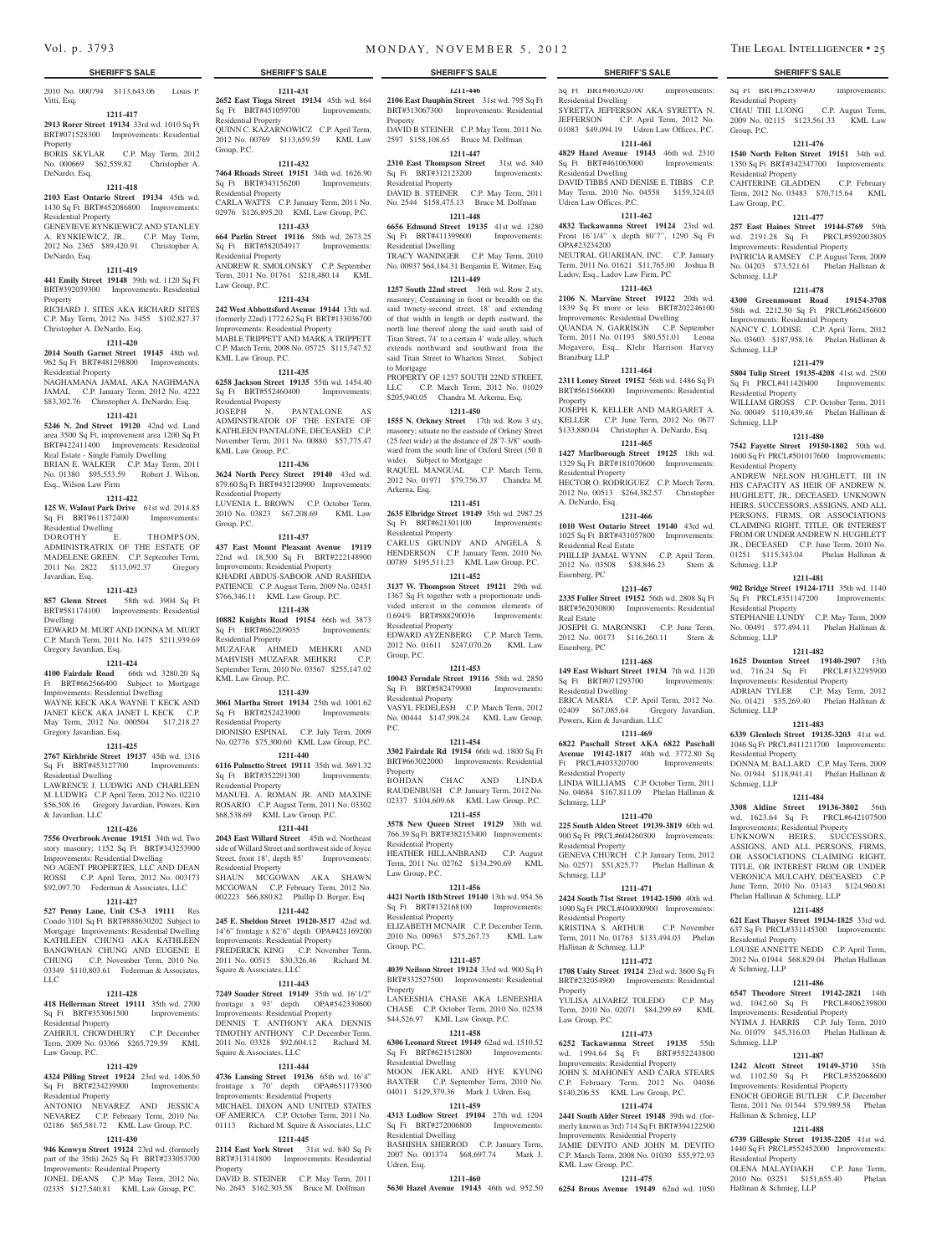# **SHERIFF'S SALE SHERIFF'S SALE SHERIFF'S SALE SHERIFF'S SALE SHERIFF'S SALE**

2010 No. 000794 \$113,643.06 Louis P. Vitti, Esq.

# **1211-417**

**2913 Rorer Street 19134** 33rd wd. 1010 Sq Ft BRT#071528300 Improvements: Residential Property

BORIS SKYLAR C.P. May Term, 2012 No. 000669 \$62,559.82 Christopher A. DeNardo, Esq.

# **1211-418**

**2103 East Ontario Street 19134** 45th wd. 1430 Sq Ft BRT#452086800 Improvements: Residential Property

GENEVIEVE RYNKIEWICZ AND STANLEY A. RYNKIEWICZ, JR.. C.P. May Term, 2012 No. 2365 \$89,420.91 Christopher A. DeNardo, Esq.

# **1211-419**

**441 Emily Street 19148** 39th wd. 1120 Sq Ft BRT#392039300 Improvements: Residential Property RICHARD J. SITES AKA RICHARD SITES

C.P. May Term, 2012 No. 3455 \$102,827.37 Christopher A. DeNardo, Esq.

# **1211-420**

**2014 South Garnet Street 19145** 48th wd. 962 Sq Ft BRT#481298800 Improvements: Residential Property

NAGHAMANA JAMAL AKA NAGHM JAMAL C.P. January Term, 2012 No. 4222 \$83,302.76 Christopher A. DeNardo, Esq.

# **1211-421**

**5246 N. 2nd Street 19120** 42nd wd. Land area 3500 Sq Ft, improvement area 1200 Sq Ft BRT#422411400 Improvements: Residential Real Estate - Single Family Dwelling BRIAN E. WALKER C.P. May Term, 2011 No. 01380 \$95,553.59 Robert J. Wilson, Esq., Wilson Law Firm

# **1211-422**

**125 W. Walnut Park Drive** 61st wd. 2914.85 Sq Ft BRT#611372400 Improvements: Residential Dwelling DOROTHY E. THOMPSON, ADMINISTRATRIX OF THE ESTATE OF MADELENE GREEN. C.P. September Term, 2011 No. 2822 \$113,092.37 Gregory Javardian, Esq.

# **1211-423**

**857 Glenn Street** 58th wd. 3904 Sq Ft BRT#581174100 Improvements: Residential Dwelling EDWARD M. MURT AND DONNA M. MURT

C.P. March Term, 2011 No. 1475 \$211,939.69 Gregory Javardian, Esq.

# **1211-424**

**4100 Fairdale Road** 66th wd. 3280.20 Sq Ft BRT#662566400 Subject to Mortgage Improvements: Residential Dwelling WAYNE KECK AKA WAYNE T KECK AND JANET KECK AKA JANET L KECK C.P. May Term, 2012 No. 000504 \$17,218.27 Gregory Javardian, Esq.

# **1211-425**

**2767 Kirkbride Street 19137** 45th wd. 1316 Sq Ft BRT#453127700 Improvements: Residential Dwelling LAWRENCE J. LUDWIG AND CHARLEEN

M. LUDWIG C.P. April Term, 2012 No. 02210 \$56,508.16 Gregory Javardian, Powers, Kirn & Javardian, LLC

# **1211-426**

**7556 Overbrook Avenue 19151** 34th wd. Two story masonry; 1152 Sq Ft BRT#343253900 Improvements: Residential Dwelling NO AGENT PROPERTIES, LLC AND DEAN ROSSI C.P. April Term, 2012 No. 003173 \$92,097.70 Federman & Associates, LLC

# **1211-427**

**527 Penny Lane, Unit C5-3 19111** Res Condo 3101 Sq Ft BRT#888630202 Subject to Mortgage Improvements: Residential Dwelling KATHLEEN CHUNG AKA KATHLEEN BANGWHAN CHUNG AND EUGENE E CHUNG C.P. November Term, 2010 No. 03349 \$110,803.61 Federman & Associates, LLC

#### **1211-428 418 Hellerman Street 19111** 35th wd. 2700

Sq Ft BRT#353061500 Improvements: Residential Property ZAHRIUL CHOWDHURY C.P. December Term, 2009 No. 03366 \$265,729.59 KML Law Group, P.C.

# **1211-429**

**4324 Pilling Street 19124** 23rd wd. 1406.50 Sq Ft BRT#234239900 Improvements: Residential Property

ANTONIO NEVAREZ AND JESSICA NEVAREZ C.P. February Term, 2010 No. 02186 \$65,581.72 KML Law Group, P.C.

# **1211-430**

**946 Kenwyn Street 19124** 23rd wd. (formerly part of the 35th) 2625 Sq Ft BRT#233053700 Improvements: Residential Property JONEL DEANS C.P. May Term, 2012 No. 02335 \$127,540.81 KML Law Group, P.C.

**1211-431 2652 East Tioga Street 19134** 45th wd. 864 Sq Ft BRT#451059700 Improvements:

Residential Property QUINN C. KAZARNOWICZ C.P. April Term, 2012 No. 00769 \$113,659.59 KML Law Group, P.C.

# **1211-432**

**7464 Rhoads Street 19151** 34th wd. 1626.90 Sq Ft BRT#343156200 Improvements: Residential Property CARLA WATTS C.P. January Term, 2011 No. 02976 \$126,895.20 KML Law Group, P.C.

# **1211-433**

**664 Parlin Street 19116** 58th wd. 2673.25 Sq Ft BRT#582054917 Improvements: Residential Property ANDREW R. SMOLONSKY C.P. September

Term, 2011 No. 01761 \$218,480.14 KML Law Group, P.C. **1211-434**

### **242 West Abbottsford Avenue 19144** 13th wd.

(formerly 22nd) 1772.62 Sq Ft BRT#133036700 Improvements: Residential Property MABLE TRIPPETT AND MARK A TRIPPETT C.P. March Term, 2008 No. 05725 \$115,747.52 KML Law Group, P.C.

# **1211-435**

**6258 Jackson Street 19135** 55th wd. 1454.40 Sq Ft BRT#552460400 Improvements: Residential Property JOSEPH N. PANTALONE AS ADMINSTRATOR OF THE ESTATE OF KATHLEEN PANTALONE, DECEASED C.P. November Term, 2011 No. 00880 \$57,775.47 KML Law Group, P.C.

# **1211-436**

**3624 North Percy Street 19140** 43rd wd. 879.60 Sq Ft BRT#432120900 Improvements: Residential Property LUVENIA L. BROWN C.P. October Term, 2010 No. 03823 \$67,208.69 KML Law Group, P.C.

**1211-437**

**437 East Mount Pleasant Avenue 19119**  22nd wd. 18,500 Sq Ft BRT#222148900 Improvements: Residential Property KHADRI ABDUS-SABOOR AND RASHIDA PATIENCE C.P. August Term, 2009 No. 02451 \$766,346.11 KML Law Group, P.C.

# **1211-438**

**10882 Knights Road 19154** 66th wd. 3873 Sq Ft BRT#662209035 Improvements: Residential Property MUZAFAR AHMED MEHKRI AND MAHVISH MUZAFAR MEHKRI C.P. September Term, 2010 No. 03567 \$255,147.02 KML Law Group, P.C.

# **1211-439**

**3061 Martha Street 19134** 25th wd. 1001.62 Sq Ft BRT#252423900 Improvements: Residential Property DIONISIO ESPINAL C.P. July Term, 2009

# No. 02776 \$75,300.60 KML Law Group, P.C.

**1211-440 6116 Palmetto Street 19111** 35th wd. 3691.32 Sq Ft BRT#352291300 Improvements: Residential Property MANUEL A. ROMAN JR. AND MAXINE ROSARIO C.P. August Term, 2011 No. 03302 \$68,538.69 KML Law Group, P.C.

# **1211-441**

**2043 East Willard Street** 45th wd. Northeast side of Willard Street and northwest side of Joyce<br>Street, front 18', depth 85' Improvements: Street, front 18', depth 85' Residential Property SHAUN MCGOWAN AKA SHAWN MCGOWAN C.P. February Term, 2012 No. 002223 \$66,880.82 Phillip D. Berger, Esq

# **1211-442**

**245 E. Sheldon Street 19120-3517** 42nd wd. 14'6" frontage x 82'6" depth OPA#421169200 Improvements: Residential Property FREDERICK KING C.P. November Term, 2011 No. 00515 \$30,326.46 Richard M. Squire & Associates, LLC

# **1211-443**

**7249 Souder Street 19149** 35th wd. 16'1/2" frontage x 93' depth OPA#542330600 Improvements: Residential Property DENNIS T. ANTHONY AKA DENNIS TIMOTHY ANTHONY C.P. December Term, 2011 No. 03328 \$92,604.12 Richard M. Squire & Associates, LLC

# **1211-444**

**4736 Lansing Street 19136** 65th wd. 16'4" frontage x 70' depth OPA#651173300 Improvements: Residential Property MICHAEL DIXON AND UNITED STATES OF AMERICA C.P. October Term, 2011 No. 01113 Richard M. Squire & Associates, LLC **1211-445**

**2114 East York Street** 31st wd. 840 Sq Ft BRT#313141800 Improvements: Residential Property

DAVID B. STEINER C.P. May Term, 2011 No. 2645 \$162,303.58 Bruce M. Dolfman

**1211-446**

2597 \$158,108.65 Bruce M. Dolfman **1211-447 2310 East Thompson Street** 31st wd. 840 Sq Ft BRT#312123200 Improvements:

DAVID B. STEINER C.P. May Term, 2011 No. 2544 \$158,475.13 Bruce M. Dolfman **1211-448 6656 Edmund Street 19135** 41st wd. 1280<br>
Sq Ft BRT#411399600 Improvements:

TRACY WANINGER C.P. May Term, 2010 No. 00937 \$64,184.31 Benjamin E. Witmer, Esq. **1211-449 1257 South 22nd street** 36th wd. Row 2 sty, masonry; Containing in front or breadth on the said twnety-second street, 18' and extending of that width in length or depth eastward, the north line thereof along the said south said of Titan Street, 74' to a certain 4' wide alley, which extends northward and southward from the said Titan Street to Wharton Street. Subject

PROPERTY OF 1257 SOUTH 22ND STREET, LLC C.P. March Term, 2012 No. 01029 \$205,940.05 Chandra M. Arkema, Esq. **1211-450 1555 N. Orkney Street** 17th wd. Row 3 sty, masonry; situate no the eastside of Orkney Street (25 feet wide) at the distance of 28'7-3/8" southward from the south line of Oxford Street (50 ft

RAQUEL MANGUAL C.P. March Term, 2012 No. 01971 \$79,756.37 Chandra M.

**1211-451 2635 Elbridge Street 19149** 35th wd. 2987.25

CARLUS GRUNDY AND ANGELA S. HENDERSON C.P. January Term, 2010 No. 00789 \$195,511.23 KML Law Group, P.C. **1211-452 3137 W. Thompson Street 19121** 29th wd. 1367 Sq Ft together with a proportionate undivided interest in the common elements of 0.694% BRT#888290036 Improvements:

EDWARD AYZENBERG C.P. March Term, 2012 No. 01611 \$247,070.26 KML Law

**1211-453 10043 Ferndale Street 19116** 58th wd. 2850 Sq Ft BRT#582479900 Improvements:

VASYL FEDELESH C.P. March Term, 2012 No. 00444 \$147,998.24 KML Law Group,

**1211-454 3302 Fairdale Rd 19154** 66th wd. 1800 Sq Ft BRT#663022000 Improvements: Residential

BO HDAN CHAC AND LINDA RAUDENBUSH C.P. January Term, 2012 No. 02337 \$104,609.68 KML Law Group, P.C. **1211-455 3578 New Queen Street 19129** 38th wd. 766.39 Sq Ft BRT#382153400 Improvements:

HEATHER HILLANBRAND C.P. August Term, 2011 No. 02762 \$134,290.69 KML

**1211-456 4421 North 18th Street 19140** 13th wd. 954.56<br>
Sq Ft BRT#132168100 Improvements:

ELIZABETH MCNAIR C.P. December Term, 2010 No. 00963 \$75,267.73 KML Law

**1211-457 4039 Neilson Street 19124** 33rd wd. 900 Sq Ft BRT#332527500 Improvements: Residential

LANEESHIA CHASE AKA LENEESHIA CHASE C.P. October Term, 2010 No. 02538 \$44,526.97 KML Law Group, P.C. **1211-458**

Sq Ft BRT#621512800 Improvements:

MOON JEKARL AND HYE KYUNG BAXTER C.P. September Term, 2010 No. 04011 \$129,379.36 Mark J. Udren, Esq. **1211-459 4313 Ludlow Street 19104** 27th wd. 1204 Sq Ft BRT#272006800 Improvements:

BASHISHA SHERROD C.P. January Term, 2007 No. 001374 \$68,697.74 Mark J.

**1211-460 5630 Hazel Avenue 19143** 46th wd. 952.50

wide). Subject to Mortgage

Sq Ft BRT#621301100 Residential Property

Residential Property

Residential Property

Residential Property

Sq Ft BRT#132168100 Residential Property

Law Group, P.C.

Group, P.C.

Property

Residential Dwelling

Residential Dwelling

Udren, Esq.

Group, P.C.

 $PC$ 

Property

**Property** 

Residential Property

Sq Ft BRT#411399600 Residential Dwelling

to Mortgage

Arkema, Esq.

**2106 East Dauphin Street** 31st wd. 795 Sq Ft BRT#313067300 Improvements: Residential DAVID B STEINER C.P. May Term, 2011 No. Sq Ft BRT#463020700 Improvements: Residential Dwelling SYRETTA JEFFERSON AKA SYRETTA N. JEFFERSON C.P. April Term, 2012 No. 01083 \$49,094.19 Udren Law Offices, P.C.

### **1211-461 4829 Hazel Avenue 19143** 46th wd. 2310 Sq Ft BRT#461063000 Improvements: Residential Dwelling

Sq Ft BRT#621589400 Improvements:

CHAU THI LUONG C.P. August Term, 2009 No. 02115 \$123,561.33 KML Law

**1211-476 1540 North Felton Street 19151** 34th wd. 1350 Sq Ft BRT#342347700 Improvements:

CAHTERINE GLADDEN C.P. February Term, 2012 No. 03483 \$70,715.64 KML

**1211-477 257 East Haines Street 19144-5769** 59th wd. 2191.28 Sq Ft PRCL#592003805 Improvements: Residential Property PATRICIA RAMSEY C.P. August Term, 2009 No. 04203 \$73,521.61 Phelan Hallinan &

**1211-478 4300 Greenmount Road 19154-3708**  58th wd. 2212.50 Sq Ft PRCL#662456600 Improvements: Residential Property NANCY C. LODISE C.P. April Term, 2012 No. 03603 \$187,958.16 Phelan Hallinan &

**1211-479 5804 Tulip Street 19135-4208** 41st wd. 2500 Sq Ft PRCL#411420400 Improvements:

WILLIAM GROSS C.P. October Term, 2011 No. 00049 \$110,439.46 Phelan Hallinan &

**1211-480 7542 Fayette Street 19150-1802** 50th wd. 1600 Sq Ft PRCL#501017600 Improvements:

ANDREW NELSON HUGHLETT, III IN HIS CAPACITY AS HEIR OF ANDREW N. HUGHLETT, JR., DECEASED. UNKNOWN HEIRS, SUCCESSORS, ASSIGNS, AND ALL PERSONS, FIRMS, OR ASSOCIATIONS CLAIMING RIGHT, TITLE, OR INTEREST FROM OR UNDER ANDREW N. HUGHLETT JR., DECEASED C.P. June Term, 2010 No. 01251 \$115,343.04 Phelan Hallinan &

**1211-481 902 Bridge Street 19124-1711** 35th wd. 1140 Sq Ft PRCL#351147200 Improvements:

STEPHANIE LUNDY C.P. May Term, 2009 No. 00491 \$77,494.11 Phelan Hallinan &

**1211-482 1625 Dounton Street 19140-2907** 13th wd. 716.24 Sq Ft PRCL#132295900 Improvements: Residential Property ADRIAN TYLER C.P. May Term, 2012 No. 01421 \$35,269.40 Phelan Hallinan &

**1211-483 6339 Glenloch Street 19135-3203** 41st wd. 1046 Sq Ft PRCL#411211700 Improvements:

DONNA M. BALLARD C.P. May Term, 2009 No. 01944 \$118,941.41 Phelan Hallinan &

**1211-484 3308 Aldine Street 19136-3802** 56th wd. 1623.64 Sq Ft PRCL#642107500 Improvements: Residential Property UNKNOWN HEIRS, SUCCESSORS, ASSIGNS, AND ALL PERSONS, FIRMS, OR ASSOCIATIONS CLAIMING RIGHT. TITLE, OR INTEREST FROM OR UNDER VERONICA MULCAHY, DECEASED C.P. June Term, 2010 No. 03143 \$124,960.81

Phelan Hallinan & Schmieg, LLP

Residential Property

Schmieg, LLP

Hallinan & Schmieg, LLP

Residential Property

& Schmieg, LLP

**1211-485 621 East Thayer Street 19134-1825** 33rd wd. 637 Sq Ft PRCL#331145300 Improvements:

LOUISE ANNETTE NEDD C.P. April Term, 2012 No. 01944 \$68,829.04 Phelan Hallinan

**1211-486 6547 Theodore Street 19142-2821** 14th wd. 1042.60 Sq Ft PRCL#406239800 Improvements: Residential Property NYIMA J. HARRIS C.P. July Term, 2010 No. 01079 \$45,316.03 Phelan Hallinan &

**1211-487 1242 Alcott Street 19149-3710** 35th wd. 1102.50 Sq Ft PRCL#352068600 Improvements: Residential Property ENOCH GEORGE BUTLER C.P. December Term, 2011 No. 01544 \$79,989.58 Phelan

**1211-488 6739 Gillespie Street 19135-2205** 41st wd. 1440 Sq Ft PRCL#552452000 Improvements:

OLENA MALAYDAKH C.P. June Term,<br>2010 No. 03251 \$151,655.40 Phelan 2010 No. 03251 \$151,655.40 Hallinan & Schmieg, LLP

Residential Property

Residential Property

Law Group, P.C.

Schmieg, LLP

Schmieg, LLP

Schmieg, LLP

Schmieg, LLP

Schmieg, LLP

Schmieg, LLP

Schmieg, LLP

Residential Property

Residential Property

Residential Property

Residential Property

Group, P.C.

DAVID TIBBS AND DENISE E. TIBBS C.P. May Term, 2010 No. 04558 \$159,324.03 Udren Law Offices, P.C.

# **1211-462**

**4832 Tackawanna Street 19124** 23rd wd. Front 16'1/4" x depth 80'7", 1290 Sq Ft OPA#23234200 NEUTRAL GUARDIAN, INC. C.P. January

Term, 2011 No. 01621 \$11,765.00 Joshua B Ladov, Esq., Ladov Law Firm, PC **1211-463 2106 N. Marvine Street 19122** 20th wd. 1839 Sq Ft more or less BRT#202246100 Improvements: Residential Dwelling

QUANDA N. GARRISON C.P. September Term, 2011 No. 01193 \$80,551.01 Leona Mogavero, Esq., Klehr Harrison Harvey Branzburg LLP

# **1211-464**

**2311 Loney Street 19152** 56th wd. 1486 Sq Ft BRT#561566000 Improvements: Residential Property JOSEPH K. KELLER AND MARGARET A.

KELLER C.P. June Term, 2012 No. 0677 \$133,880.04 Christopher A. DeNardo, Esq.

# **1211-465**

**1427 Marlborough Street 19125** 18th wd. 1329 Sq Ft BRT#181070600 Improvements: Residential Property HECTOR O. RODRIGUEZ C.P. March Term, 2012 No. 00513 \$264,382.57 Christopher

# A. DeNardo, Esq. **1211-466**

**1010 West Ontario Street 19140** 43rd wd. 1025 Sq Ft BRT#431057800 Improvements: Residential Real Estate PHILLIP JAMAL WYNN C.P. April Term, 2012 No. 03508 \$38,846.23 Stern & Eisenberg, PC

# **1211-467**

**2335 Fuller Street 19152** 56th wd. 2808 Sq Ft BRT#562030800 Improvements: Residential Real Estate JOSEPH G. MARONSKI C.P. June Term, 2012 No. 00173 \$116,260.11 Stern &

Eisenberg, PC **1211-468**

**149 East Wishart Street 19134** 7th wd. 1120 Sq Ft BRT#071293700 Improvements: Residential Dwelling ERICA MARIA C.P. April Term, 2012 No. 02409 \$67,085.64 Gregory Javardian, Powers, Kirn & Javardian, LLC

# **1211-469**

**6822 Paschall Street AKA 6822 Paschall Avenue 19142-1817** 40th wd. 3772.80 Sq Ft PRCL#403320700 Improvements Residential Property LINDA WILLIAMS C.P. October Term, 2011 No. 04684 \$167,811.09 Phelan Hallinan & Schmieg, LLP

# **1211-470**

**225 South Alden Street 19139-3819** 60th wd. 900 Sq Ft PRCL#604260300 Improvements: Residential Property GENEVA CHURCH C.P. January Term, 2012 No. 02571 \$51,825.77 Phelan Hallinan & Schmieg, LLP

#### **1211-471 2424 South 71st Street 19142-1500** 40th wd.

1090 Sq Ft PRCL#404000900 Improvements: Residential Property KRISTINA S. ARTHUR C.P. November Term, 2011 No. 01763 \$133,494.03 Phelan Hallinan & Schmieg, LLP

# **1211-472**

**1708 Unity Street 19124** 23rd wd. 3600 Sq Ft BRT#232054900 Improvements: Residential Property

# YULISA ALVAREZ TOLEDO C.P. May Term, 2010 No. 02071 \$84,299.69 KML Law Group, P.C.

# **1211-473**

**6306 Leonard Street 19149** 62nd wd. 1510.52 **6252 Tackawanna Street 19135** 55th wd. 1994.64 Sq Ft BRT#552243800 Improvements: Residential Property JOHN S. MAHONEY AND CARA STEARS C.P. February Term, 2012 No. 04086 \$140,206.55 KML Law Group, P.C.

> **1211-474 2441 South Alder Street 19148** 39th wd. (formerly known as 3rd) 714 Sq Ft BRT#394122500 Improvements: Residential Property JAMIE DEVITO AND JOHN M. DEVITO C.P. March Term, 2008 No. 01030 \$55,972.93

> **1211-475 6254 Brous Avenue 19149** 62nd wd. 1050

KML Law Group, P.C.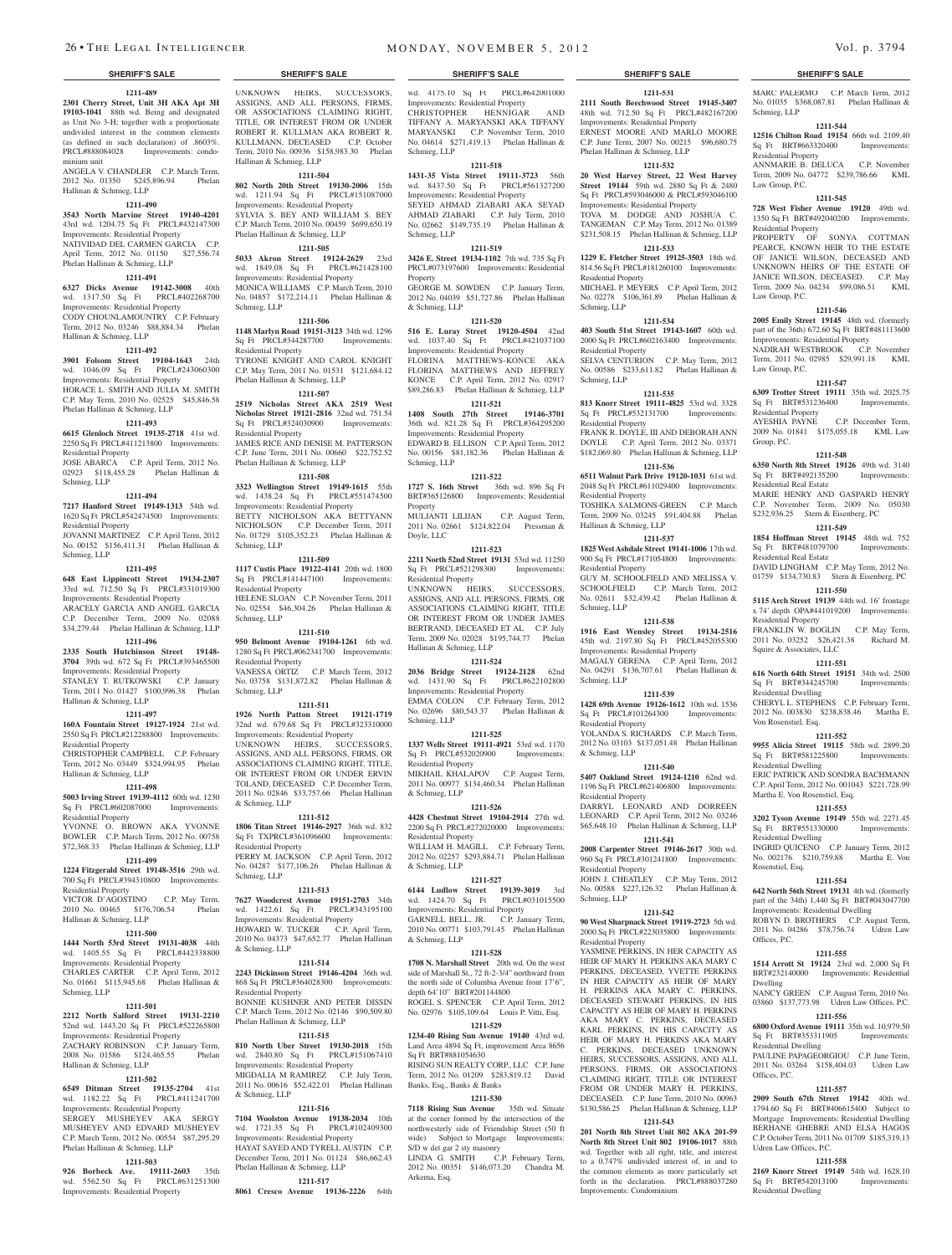# **1211-489**

**2301 Cherry Street, Unit 3H AKA Apt 3H 19103-1041** 88th wd. Being and designated as Unit No 3-H; together with a proportionate undivided interest in the common elements (as defined in such declaration) of .8603%. PRCL#888084028 Improvements: condominium unit

ANGELA V. CHANDLER C.P. March Term, 2012 No. 01350 \$245,896.94 Phelan Hallinan & Schmieg, LLP

#### **1211-490**

**3543 North Marvine Street 19140-4201** 

# 43rd wd. 1204.75 Sq Ft PRCL#432147300 Improvements: Residential Property NATIVIDAD DEL CARMEN GARCIA C.P. April Term, 2012 No. 01150 \$27,556.74

# Phelan Hallinan & Schmieg, LLP **1211-491**

**6327 Dicks Avenue 19142-3008** 40th wd. 1317.50 Sq Ft PRCL#402268700 Improvements: Residential Property CODY CHOUNLAMOUNTRY C.P. February Term, 2012 No. 03246 \$88,884.34 Phelan Hallinan & Schmieg, LLP

#### **1211-492**

**3901 Folsom Street 19104-1643** 24th wd. 1046.09 Sq Ft PRCL#243060300 Improvements: Residential Property HORACE L. SMITH AND JULIA M. SMITH C.P. May Term, 2010 No. 02525 \$45,846.58 Phelan Hallinan & Schmieg, LLP

# **1211-493**

**6615 Glenloch Street 19135-2718** 41st wd. 2250 Sq Ft PRCL#411213800 Improvements: Residential Property

JOSE ABARCA C.P. April Term, 2012 No. 02923 \$118,455.28 Phelan Hallinan & Schmieg, LLP

#### **1211-494**

**7217 Hanford Street 19149-1313** 54th wd. 1620 Sq Ft PRCL#542474500 Improvements: Residential Property

JOVANNI MARTINEZ C.P. April Term, 2012 No. 00152 \$156,411.31 Phelan Hallinan & Schmieg, LLP

#### **1211-495**

**648 East Lippincott Street 19134-2307**  33rd wd. 712.50 Sq Ft PRCL#331019300

Improvements: Residential Property ARACELY GARCIA AND ANGEL GARCIA C.P. December Term, 2009 No. 02088

# \$34,279.44 Phelan Hallinan & Schmieg, LLP **1211-496**

### **2335 South Hutchinson Street 19148- 3704** 39th wd. 672 Sq Ft PRCL#393465500 Improvements: Residential Property STANLEY T. RUTKOWSKI C.P. January Term, 2011 No. 01427 \$100,996.38 Phelan Hallinan & Schmieg, LLP

# **1211-497**

**160A Fountain Street 19127-1924** 21st wd. 2550 Sq Ft PRCL#212288800 Improvements: Residential Property CHRISTOPHER CAMPBELL C.P. February

Term, 2012 No. 03449 \$324,994.95 Phelan Hallinan & Schmieg, LLP

# **1211-498**

**5003 Irving Street 19139-4112** 60th wd. 1230 Sq Ft PRCL#602087000 Improvements: Residential Property

# YVONNE O. BROWN AKA YVONNE BOWLER C.P. March Term, 2012 No. 00758

# \$72,368.33 Phelan Hallinan & Schmieg, LLP

# **1211-499**

**1224 Fitzgerald Street 19148-3516** 29th wd. 700 Sq Ft PRCL#394310800 Improvements: Residential Property

VICTOR D'AGOSTINO C.P. May Term, 2010 No. 00465 \$176,706.54 Phelan Hallinan & Schmieg, LLP

# **1211-500**

**1444 North 53rd Street 19131-4038** 44th wd. 1405.55 Sq Ft PRCL#442338800 Improvements: Residential Property CHARLES CARTER C.P. April Term, 2012

No. 01661 \$115,945.68 Phelan Hallinan & Schmieg, LLP **1211-501**

#### **2212 North Salford Street 19131-2210**  52nd wd. 1443.20 Sq Ft PRCL#522265800 Improvements: Residential Property ZACHARY ROBINSON C.P. January 2008 No. 01586 \$124,465.55 Phelan Hallinan & Schmieg, LLP

### **1211-502**

**6549 Ditman Street 19135-2704** 41st wd. 1182.22 Sq Ft PRCL#411241700 Improvements: Residential Property SERGEY MUSHEYEV AKA SERGY MUSHEYEV AND EDVARD MUSHEYEV C.P. March Term, 2012 No. 00554 \$87,295.29 Phelan Hallinan & Schmieg, LLP

# **1211-503**

**926 Borbeck Ave. 19111-2603** 35th wd. 5562.50 Sq Ft PRCL#631251300 Improvements: Residential Property

UNKNOWN HEIRS, SUCCESSORS, ASSIGNS, AND ALL PERSONS, FIRMS, OR ASSOCIATIONS CLAIMING RIGHT, TITLE, OR INTEREST FROM OR UNDER ROBERT R. KULLMAN AKA ROBERT R. KULLMANN, DECEASED C.P. October Term, 2010 No. 00936 \$158,983.30 Phelan Hallinan & Schmieg, LLP

# **1211-504**

**802 North 20th Street 19130-2006** 15th wd. 1211.94 Sq Ft PRCL#151087000 Improvements: Residential Property SYLVIA S. BEY AND WILLIAM S. BEY C.P. March Term, 2010 No. 00459 \$699,650.19 Phelan Hallinan & Schmieg, LLP

# **1211-505**

**5033 Akron Street 19124-2629** 23rd wd. 1849.08 Sq Ft PRCL#621428100 Improvements: Residential Property MONICA WILLIAMS C.P. March Term, 2010 No. 04857 \$172,214.11 Phelan Hallinan & Schmieg, LLP

# **1211-506**

**1148 Marlyn Road 19151-3123** 34th wd. 1296 Sq Ft PRCL#344287700 Improvements: Residential Property TYRONE KNIGHT AND CAROL KNIGHT C.P. May Term, 2011 No. 01531 \$121,684.12 Phelan Hallinan & Schmieg, LLP

# **1211-507**

**2519 Nicholas Street AKA 2519 West Nicholas Street 19121-2816** 32nd wd. 751.54 Sq Ft PRCL#324030900 Improvements: Residential Property JAMES RICE AND DENISE M. PATTERSON C.P. June Term, 2011 No. 00660 \$22,752.52 Phelan Hallinan & Schmieg, LLP

# **1211-508**

**3323 Wellington Street 19149-1615** 55th wd. 1438.24 Sq Ft PRCL#551474500 Improvements: Residential Property BETTY NICHOLSON AKA BETTYANN NICHOLSON C.P. December Term, 2011 No. 01729 \$105,352.23 Phelan Hallinan & Schmieg, LLP

# **1211-509**

**1117 Custis Place 19122-4141** 20th wd. 1800 Sq Ft PRCL#141447100 Improvements: Residential Property HELENE SLOAN C.P. November Term, 2011 No. 02554 \$46,304.26 Phelan Hallinan & Schmieg, LLP

### **1211-510**

**950 Belmont Avenue 19104-1261** 6th wd. 1280 Sq Ft PRCL#062341700 Improvements: Residential Property VANESSA ORTIZ C.P. March Term, 2012 No. 03758 \$131,872.82 Phelan Hallinan & Schmieg, LLP

#### **1211-511**

**1926 North Patton Street 19121-1719**  32nd wd. 679.68 Sq Ft PRCL#323310000 Improvements: Residential Property UNKNOWN HEIRS, SUCCESSORS, ASSIGNS, AND ALL PERSONS, FIRMS, OR ASSOCIATIONS CLAIMING RIGHT, TITLE, OR INTEREST FROM OR UNDER ERVIN TOLAND, DECEASED C.P. December Term, 2011 No. 02846 \$33,757.66 Phelan Hallinan & Schmieg, LLP

#### **1211-512**

**1806 Titan Street 19146-2927** 36th wd. 832 Sq Ft TXPRCL#361096600 Improvements: Residential Property PERRY M. JACKSON C.P. April Term, 2012 No. 04287 \$177,106.26 Phelan Hallinan & Schmieg, LLP

# **1211-513**

**7627 Woodcrest Avenue 19151-2703** 34th wd. 1422.61 Sq Ft PRCL#343195100 Improvements: Residential Property HOWARD W. TUCKER C.P. April Term, 2010 No. 04373 \$47,652.77 Phelan Hallinan & Schmieg, LLP

# **1211-514**

**2243 Dickinson Street 19146-4204** 36th wd. 868 Sq Ft PRCL#364028300 Improvements: Residential Property BONNIE KUSHNER AND PETER DISSIN C.P. March Term, 2012 No. 02146 \$90,509.80 Phelan Hallinan & Schmieg, LLP

**1211-515**<br>**ber Street 19130-2018** 15th **810 North Uber Street** wd. 2840.80 Sq Ft PRCL#151067410 Improvements: Residential Property MIGDALIA M RAMIREZ C.P. July Term, 2011 No. 00616 \$52,422.01 Phelan Hallinan & Schmieg, LLP

# **1211-516**

**7104 Woolston Avenue 19138-2034** 10th wd. 1721.35 Sq Ft PRCL#102409300 Improvements: Residential Property HAYAT SAYED AND TYRELL AUSTIN C.P. December Term, 2011 No. 01124 \$86,662.43 Phelan Hallinan & Schmieg, LLP **1211-517**

**8061 Cresco Avenue 19136-2226** 64th

# 26 • THE LEGAL INTELLIGENCER MONDAY, NOVEMBER 5, 2012 Vol. p. 3794

# **SHERIFF'S SALE SHERIFF'S SALE SHERIFF'S SALE SHERIFF'S SALE SHERIFF'S SALE**

**1211-531 2111 South Beechwood Street 19145-3407**  48th wd. 712.50 Sq Ft PRCL#482167200 Improvements: Residential Property ERNEST MOORE AND MARLO MOORE C.P. June Term, 2007 No. 00215 \$96,680.75

MARC PALERMO C.P. March Term, 2012 No. 01035 \$368,087.81 Phelan Hallinan &

**1211-544 12516 Chilton Road 19154** 66th wd. 2109.40 Sq Ft BRT#663320400 Improvements:

ANNMARIE B. DELUCA C.P. November Term, 2009 No. 04772 \$239,786.66 KML

**1211-545 728 West Fisher Avenue 19120** 49th wd. 1350 Sq Ft BRT#492040200 Improvements:

PROPERTY OF SONYA COTTM PEARCE, KNOWN HEIR TO THE ESTATE OF JANICE WILSON, DECEASED AND UNKNOWN HEIRS OF THE ESTATE OF JANICE WILSON, DECEASED. C.P. May Term, 2009 No. 04234 \$99,086.51 KML

**1211-546 2005 Emily Street 19145** 48th wd. (formerly part of the 36th) 672.60 Sq Ft BRT#481113600 Improvements: Residential Property<br>NADIRAH WESTBROOK C.P. November

Term, 2011 No. 02985 \$29,991.18 KML

**1211-547 6309 Trotter Street 19111** 35th wd. 2025.75 Sq Ft BRT#531236400 Improvements:

AYESHIA PAYNE C.P. December Term, 2009 No. 01841 \$175,055.18 KML Law

**1211-548 6350 North 8th Street 19126** 49th wd. 3140<br>
Sq Ft BRT#492135200 Improvements:

MARIE HENRY AND GASPARD HENRY C.P. November Term, 2009 No. 05030 \$232,936.25 Stern & Eisenberg, PC **1211-549 1854 Hoffman Street 19145** 48th wd. 752 Sq Ft BRT#481079700 Improvements:

DAVID LINGHAM C.P. May Term, 2012 No. 01759 \$134,730.83 Stern & Eisenberg, PC **1211-550 5115 Arch Street 19139** 44th wd. 16' frontage x 74' depth OPA#441019200 Improvements:

FRANKLIN W. BOGLIN C.P. May Term, 2011 No. 03252 \$26,421.38 Richard M.

**1211-551 616 North 64th Street 19151** 34th wd. 2500 Sq Ft BRT#344245700 Improvements:

CHERYL L. STEPHENS C.P. February Term, 2012 No. 003830 \$238,838.46 Martha E.

**1211-552 9955 Alicia Street 19115** 58th wd. 2899.20 Sq Ft BRT#581225800 Improvements:

ERIC PATRICK AND SONDRA BACHMANN C.P. April Term, 2012 No. 001043 \$221,728.99

**1211-553 3202 Tyson Avenue 19149** 55th wd. 2271.45 Sq Ft BRT#551330000 Improvements:

INGRID QUICENO C.P. January Term, 2012 No. 002176 \$210,759.88 Martha E. Von

**1211-554 642 North 56th Street 19131** 4th wd. (formerly part of the 34th) 1,440 Sq Ft BRT#043047700 Improvements: Residential Dwelling ROBYN D. BROTHERS C.P. August Term, 2011 No. 04286 \$78,756.74 Udren Law

**1211-555 1514 Arrott St 19124** 23rd wd. 2,000 Sq Ft BRT#232140000 Improvements: Residential

NANCY GREEN C.P. August Term, 2010 No. 03860 \$137,773.98 Udren Law Offices, P.C. **1211-556 6800 Oxford Avenue 19111** 35th wd. 10,979.50 Sq Ft BRT#353311905 Improvements:

PAULINE PAPAGEORGIOU C.P. June Term, 2011 No. 03264 \$158,404.03 Udren Law

**1211-557 2909 South 67th Street 19142** 40th wd. 1794.60 Sq Ft BRT#406615400 Subject to Mortgage Improvements: Residential Dwelling BERHANE GHEBRE AND ELSA HAGOS C.P. October Term, 2011 No. 01709 \$185,319.13

**1211-558 2169 Knorr Street 19149** 54th wd. 1628.10 Sq Ft BRT#542013100 Improvements:

Schmieg, LLP

Residential Property

Residential Property

Law Group, P.C.

Law Group, P.C.

Residential Property

Sq Ft BRT#492135200 Residential Real Estate

Residential Real Estate

Residential Property

Residential Dwelling

Von Rosenstiel, Esq.

Residential Dwelling

Residential Dwelling

Rosenstiel, Esq.

Offices, P.C.

Dwelling

Residential Dwelling

Udren Law Offices, P.C.

Residential Dwelling

Offices, P.C.

Martha E. Von Rosenstiel, Esq.

Squire & Associates, LLC

Group, P.C.

NADIRAH WESTBROOK

Law Group, P.C.

**1211-532 20 West Harvey Street, 22 West Harvey Street 19144** 59th wd. 2880 Sq Ft & 2480 Sq Ft PRCL#593046000 & PRCL#593046100

MICHAEL P. MEYERS C.P. April Term, 2012 No. 02278 \$106,361.89 Phelan Hallinan &

**1211-534 403 South 51st Street 19143-1607** 60th wd. 2000 Sq Ft PRCL#602163400 Improvements:

SELVA CENTURION C.P. May Term, 2012 No. 00586 \$233,611.82 Phelan Hallinan &

**1211-535 813 Knorr Street 19111-4825** 53rd wd. 3328 Sq Ft PRCL#532131700 Improvements:

FRANK R. DOYLE, III AND DEBORAH ANN DOYLE C.P. April Term, 2012 No. 03371 \$182,069.80 Phelan Hallinan & Schmieg, LLP **1211-536 6511 Walnut Park Drive 19120-1031** 61st wd. 2048 Sq Ft PRCL#611029400 Improvements:

TOSHIKA SALMONS-GREEN C.P. March Term, 2009 No. 03245 \$91,404.88 Phelan

**1211-537 1825 West Ashdale Street 19141-1006** 17th wd. 900 Sq Ft PRCL#171054800 Improvements:

GUY M. SCHOOLFIELD AND MELISSA V. SCHOOLFIELD C.P. March Term, 2012 No. 02611 \$32,439.42 Phelan Hallinan &

**1211-538 1916 East Wensley Street 19134-2516**  45th wd. 2197.80 Sq Ft PRCL#452055300 Improvements: Residential Property MAGALY GERENA C.P. April Term, 2012 No. 04291 \$136,707.61 Phelan Hallinan &

**1211-539 1428 69th Avenue 19126-1612** 10th wd. 1536 Sq Ft PRCL#101264300 Improvements:

YOLANDA S. RICHARDS C.P. March Term, 2012 No. 03103 \$137,051.48 Phelan Hallinan

**1211-540 5407 Oakland Street 19124-1210** 62nd wd. 1196 Sq Ft PRCL#621406800 Improvements:

DARRYL LEONARD AND DORREEN LEONARD C.P. April Term, 2012 No. 03246 \$65,648.10 Phelan Hallinan & Schmieg, LLP **1211-541 2008 Carpenter Street 19146-2617** 30th wd. 960 Sq Ft PRCL#301241800 Improvements:

JOHN J. CHEATLEY C.P. May Term, 2012 No. 00588 \$227,126.32 Phelan Hallinan &

**1211-542 90 West Sharpnack Street 19119-2723** 5th wd. 2000 Sq Ft PRCL#223035800 Improvements:

YASMINE PERKINS, IN HER CAPACITY AS HEIR OF MARY H. PERKINS AKA MARY C PERKINS, DECEASED, YVETTE PERKINS IN HER CAPACITY AS HEIR OF MARY H. PERKINS AKA MARY C. PERKINS, DECEASED STEWART PERKINS, IN HIS CAPACITY AS HEIR OF MARY H. PERKINS AKA MARY C. PERKINS, DECEASED KARL PERKINS, IN HIS CAPACITY AS HEIR OF MARY H. PERKINS AKA MARY PERKINS, DECEASED UNKNOWN HEIRS, SUCCESSORS, ASSIGNS, AND ALL PERSONS, FIRMS, OR ASSOCIATIONS CLAIMING RIGHT, TITLE OR INTEREST FROM OR UNDER MARY H. PERKINS, DECEASED. C.P. June Term, 2010 No. 00963 \$130,586.25 Phelan Hallinan & Schmieg, LLP **1211-543 201 North 8th Street Unit 802 AKA 201-59 North 8th Street Unit 802 19106-1017** 88th wd. Together with all right, title, and interest to a 0.747% undivided interest of, in and to the common elements as more particularly set forth in the declaration. PRCL#888037280

Phelan Hallinan & Schmieg, LLP

Improvements: Residential Property TOVA M. DODGE AND JOSHUA C. TANGEMAN C.P. May Term, 2012 No. 01389 \$231,508.15 Phelan Hallinan & Schmieg, LLP **1211-533 1229 E. Fletcher Street 19125-3503** 18th wd. 814.56 Sq Ft PRCL#181260100 Improvements:

Residential Property

Residential Property

Residential Property

Residential Property

Residential Property

Schmieg, LLP

Schmieg, LLP

Residential Property

& Schmieg, LLP

Residential Property

Residential Property

Residential Property

Improvements: Condominium

Schmieg, LLP

Hallinan & Schmieg, LLP

Schmieg, LLP

Schmieg, LLP

wd. 4175.10 Sq Ft PRCL#642001000 Improvements: Residential Property CHRISTOPHER HENNIGAR AND TIFFANY A. MARYANSKI AKA TIFFANY MARYANSKI C.P. November Term, 2010 No. 04614 \$271,419.13 Phelan Hallinan & Schmieg, LLP

#### **1211-518**

**1431-35 Vista Street 19111-3723** 56th wd. 8437.50 Sq Ft PRCL#561327200 Improvements: Residential Property SEYED AHMAD ZIABARI AKA SEYAD AHMAD ZIABARI C.P. July Term, 2010 No. 02662 \$149,735.19 Phelan Hallinan & Schmieg, LLP

# **1211-519**

**3426 E. Street 19134-1102** 7th wd. 735 Sq Ft PRCL#073197600 Improvements: Residential Property

GEORGE M. SOWDEN C.P. January Term, 2012 No. 04039 \$51,727.86 Phelan Hallinan & Schmieg, LLP

# **1211-520**

**516 E. Luray Street 19120-4504** 42nd wd. 1037.40 Sq Ft PRCL#421037100 Improvements: Residential Property FLORINA MATTHEWS-KONCE AKA FLORINA MATTHEWS AND JEFFREY

KONCE C.P. April Term, 2012 No. 02917 \$89,286.83 Phelan Hallinan & Schmieg, LLP **1211-521**

**1408 South 27th Street 19146-3701**  36th wd. 821.28 Sq Ft PRCL#364295200 Improvements: Residential Property EDWARD B. ELLISON C.P. April Term, 2012

No. 00156 \$81,182.36 Phelan Hallinan & Schmieg, LLP **1211-522**

#### **1727 S. 16th Street** 36th wd. 896 Sq Ft BRT#365126800 Improvements: Residential Property

MULJANTI LILIJAN C.P. August Term, 2011 No. 02661 \$124,822.04 Pressman &

# Doyle, LLC

**1211-523 2211 North 52nd Street 19131** 53rd wd. 11250 Sq Ft PRCL#521298300 Improvements: Residential Property UNKNOWN HEIRS, SUCCESSORS, ASSIGNS, AND ALL PERSONS, FIRMS, OR ASSOCIATIONS CLAIMING RIGHT, TITLE OR INTEREST FROM OR UNDER JAMES BERTRAND, DECEASED ET AL C.P. July Term, 2009 No. 02028 \$195,744.77 Phelan Hallinan & Schmieg, LLP

# **1211-524**

**2036 Bridge Street 19124-2128** 62nd wd. 1431.90 Sq Ft PRCL#622102800 Improvements: Residential Property EMMA COLON C.P. February Term, 2012 No. 02696 \$80,543.37 Phelan Hallinan & Schmieg, LLP

### **1211-525**

**1337 Wells Street 19111-4921** 53rd wd. 1170 Sq Ft PRCL#532020900 Improvements: Residential Property MIKHAIL KHALAPOV C.P. August Term,

2011 No. 00977 \$134,460.34 Phelan Hallinan & Schmieg, LLP

**1211-526 4428 Chestnut Street 19104-2914** 27th wd. 2200 Sq Ft PRCL#272020000 Improvements: Residential Property WILLIAM H. MAGILL C.P. February Term,

2012 No. 02257 \$293,884.71 Phelan Hallinan & Schmieg, LLP

# **1211-527**

**6144 Ludlow Street 19139-3019** 3rd wd. 1424.70 Sq Ft PRCL#031015500 Improvements: Residential Property GARNELL BELL, JR. C.P. January Term, 2010 No. 00771 \$103,791.45 Phelan Hallinan & Schmieg, LLP

# **1211-528**

**1708 N. Marshall Street** 20th wd. On the west side of Marshall St., 72 ft-2-3/4" northward from the north side of Columbia Avenue front 17'6", depth 64'10" BRT#201144800 ROGEL S. SPENCER C.P. April Term, 2012 No. 02976 \$105,109.64 Louis P. Vitti, Esq.

# **1211-529 1234-40 Rising Sun Avenue 19140** 43rd wd.

RISING SUN REALTY CORP., LLC C.P. June Term, 2012 No. 01209 \$283,819.12 David

**1211-530 7118 Rising Sun Avenue** 35th wd. Situate at the corner formed by the intersection of the northwesterly side of Friendship Street (50 ft wide) Subject to Mortgage Improvements:

LINDA G. SMITH C.P. February Term, 2012 No. 00351 \$146,073.20 Chandra M.

Sq Ft BRT#881054630

Banks, Esq., Banks & Banks

S/D w det gar 2 sty masonry

Arkema, Esq.

Sq Ft, improvement Area 8656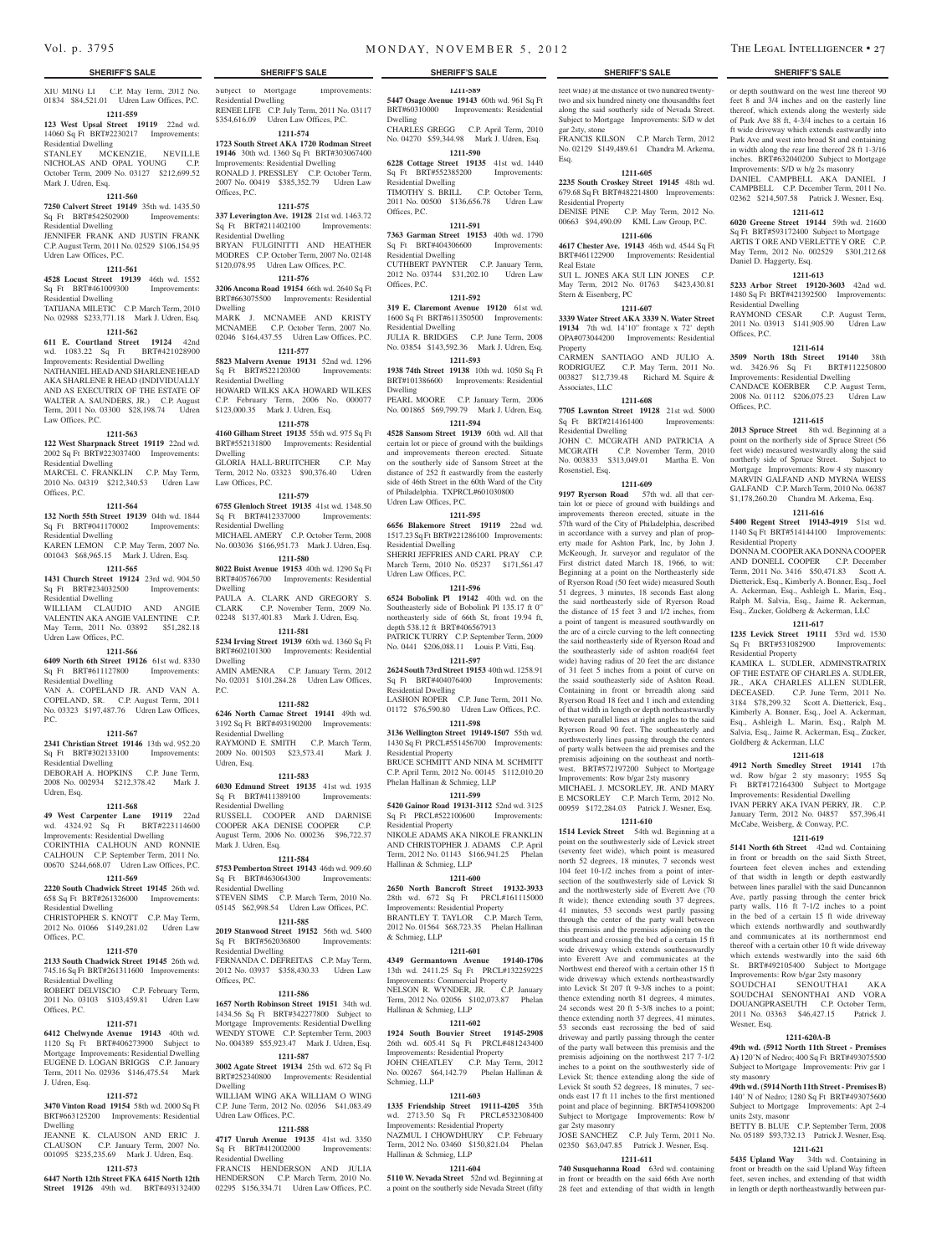# **SHERIFF'S SALE SHERIFF'S SALE SHERIFF'S SALE SHERIFF'S SALE SHERIFF'S SALE**

XIU MING LI C.P. May Term, 2012 No. 01834 \$84,521.01 Udren Law Offices, P.C. **1211-559**

**123 West Upsal Street 19119** 22nd wd. 14060 Sq Ft BRT#2230217 Improvements: Residential Dwelling

STANLEY MCKENZIE, NEVILLE NICHOLAS AND OPAL YOUNG C.P. October Term, 2009 No. 03127 \$212,699.52 Mark J. Udren, Esq.

#### **1211-560**

Udren Law Offices, P.C.

**7250 Calvert Street 19149** 35th wd. 1435.50 Sq Ft BRT#542502900 Improvements: Residential Dwelling JENNIFER FRANK AND JUSTIN FRANK C.P. August Term, 2011 No. 02529 \$106,154.95

# **1211-561**

**4528 Locust Street 19139** 46th wd. 1552 Sq Ft BRT#461009300 Improvements:

Residential Dwelling TATIJANA MILETIC C.P. March Term, 2010 No. 02988 \$233,771.18 Mark J. Udren, Esq.

# **1211-562**

**611 E. Courtland Street 19124** 42nd wd. 1083.22 Sq Ft Improvements: Residential Dwelling NATHANIEL HEAD AND SHARLENE HEAD AKA SHARLENE R HEAD (INDIVIDUALLY AND AS EXECUTRIX OF THE ESTATE OF WALTER A. SAUNDERS, JR.) C.P. August Term, 2011 No. 03300 \$28,198.74 Udren Law Offices, P.C.

#### **1211-563**

**122 West Sharpnack Street 19119** 22nd wd. 2002 Sq Ft BRT#223037400 Improvements: Residential Dwelling

MARCEL C. FRANKLIN C.P. May Term, 2010 No. 04319 \$212,340.53 Udren Law Offices, P.C.

#### **1211-564**

**132 North 55th Street 19139** 04th wd. 1844 Sq Ft BRT#041170002 Improvements: Residential Dwelling KAREN LEMON C.P. May Term, 2007 No. 001043 \$68,965.15 Mark J. Udren, Esq.

# **1211-565**

**1431 Church Street 19124** 23rd wd. 904.50 Sq Ft BRT#234032500 Improvements: Residential Dwelling WILLIAM CLAUDIO AND ANGIE

VALENTIN AKA ANGIE VALENTINE C.P. May Term, 2011 No. 03892 \$51,282.18 Udren Law Offices, P.C.

# **1211-566**

**6409 North 6th Street 19126** 61st wd. 8330 Sq Ft BRT#611127800 Improvements:

Residential Dwelling VAN A. COPELAND JR. AND VAN A. COPELAND, SR. C.P. August Term, 2011 No. 03323 \$197,487.76 Udren Law Offices, P.C.

### **1211-567**

**2341 Christian Street 19146** 13th wd. 952.20 Sq Ft BRT#302133100 Improvements: Residential Dwelling DEBORAH A. HOPKINS C.P. June Term,

2008 No. 002934 \$212,378.42 Mark J. Udren, Esq.

# **1211-568**

**49 West Carpenter Lane 19119** 22nd wd. 4324.92 Sq Ft BRT#223114600 Improvements: Residential Dwelling CORINTHIA CALHOUN AND RONNIE CALHOUN C.P. September Term, 2011 No. 00670 \$244,668.07 Udren Law Offices, P.C.

# **1211-569**

**2220 South Chadwick Street 19145** 26th wd. 658 Sq Ft BRT#261326000 Improvements: Residential Dwelling

CHRISTOPHER S. KNOTT C.P. May Term, 2012 No. 01066 \$149,281.02 Udren Law Offices, P.C.

# **1211-570**

**2133 South Chadwick Street 19145** 26th wd. 745.16 Sq Ft BRT#261311600 Improvements: Residential Dwelling ROBERT DELVISCIO C.P. February Term,

2011 No. 03103 \$103,459.81 Udren Law Offices, P.C.

# **1211-571**

**6412 Chelwynde Avenue 19143** 40th wd. 1120 Sq Ft BRT#406273900 Subject to Mortgage Improvements: Residential Dwelling EUGENE D. LOGAN BRIGGS C.P. January Term, 2011 No. 02936 \$146,475.54 Mark J. Udren, Esq.

# **1211-572**

**3470 Vinton Road 19154** 58th wd. 2000 Sq Ft BRT#663125200 Improvements: Residential Dwelling JEANNE K. CLAUSON AND ERIC J.

# CLAUSON C.P. January Term, 2007 No. 001095 \$235,235.69 Mark J. Udren, Esq. **1211-573**

**6447 North 12th Street FKA 6415 North 12th Street 19126** 49th wd. BRT#493132400 Subject to Mortgage Improvements: Residential Dwelling RENEE LIFE C.P. July Term, 2011 No. 03117

\$354,616.09 Udren Law Offices, P.C. **1211-574 1723 South Street AKA 1720 Rodman Street** 

**19146** 30th wd. 1360 Sq Ft BRT#303067400 Improvements: Residential Dwelling RONALD J. PRESSLEY C.P. October Term, 2007 No. 00419 \$385,352.79 Udren Law Offices, P.C.

# **1211-575**

**337 Leverington Ave. 19128** 21st wd. 1463.72 Sq Ft BRT#211402100 Improvements: Residential Dwelling BRYAN FULGINITTI AND HEATHE MODRES C.P. October Term, 2007 No. 02148

# \$120,078.95 Udren Law Offices, P.C.

**1211-576 3206 Ancona Road 19154** 66th wd. 2640 Sq Ft BRT#663075500 Improvements: Residential Dwelling MARK J. MCNAMEE AND KRISTY MCNAMEE C.P. October Term, 2007 No.

02046 \$164,437.55 Udren Law Offices, P.C. **1211-577 5823 Malvern Avenue 19131** 52nd wd. 1296

Sq Ft BRT#522120300 Improvements: Residential Dwelling HOWARD WILKS AKA HOWARD WILKES C.P. February Term, 2006 No. 000077 \$123,000.35 Mark J. Udren, Esq.

# **1211-578**

**4160 Gilham Street 19135** 55th wd. 975 Sq Ft BRT#552131800 Improvements: Residential Dwelling GLORIA HALL-BRUITCHER C.P. May Term, 2012 No. 03323 \$90,376.40 Udren

# **1211-579**

Law Offices, P.C.

**6755 Glenloch Street 19135** 41st wd. 1348.50<br> **Sq** Ft BRT#412337000 Improvements: Sq Ft BRT#412337000 Residential Dwelling MICHAEL AMERY C.P. October Term, 2008 No. 003036 \$166,951.73 Mark J. Udren, Esq.

**1211-580 8022 Buist Avenue 19153** 40th wd. 1290 Sq Ft BRT#405766700 Improvements: Residential

Dwelling PAULA A. CLARK AND GREGORY S. CLARK C.P. November Term, 2009 No. 02248 \$137,401.83 Mark J. Udren, Esq.

**1211-581**

**5234 Irving Street 19139** 60th wd. 1360 Sq Ft BRT#602101300 Improvements: Residential Dwelling AMIN AMENRA C.P. January Term, 2012 No. 02031 \$101,284.28 Udren Law Offices,

# **1211-582**

P.C.

**6246 North Camac Street 19141** 49th wd. 3192 Sq Ft BRT#493190200 Improvements: Residential Dwelling RAYMOND E. SMITH C.P. March Term, 2009 No. 001503 \$23,573.41 Mark J. Udren, Esq.

# **1211-583**

**6030 Edmund Street 19135** 41st wd. 1935 Sq Ft BRT#411389100 Residential Dwelling RUSSELL COOPER AND DARNISE COOPER AKA DENISE COOPER C.P. August Term, 2006 No. 000236 \$96,722.37 Mark J. Udren, Esq.

# **1211-584**

**5753 Pemberton Street 19143** 46th wd. 909.60<br>
Sq Ft BRT#463064300 Improvements: Sq Ft BRT#463064300 Residential Dwelling

STEVEN SIMS C.P. March Term, 2010 No. 05145 \$62,998.54 Udren Law Offices, P.C.

# **1211-585**

**2019 Stanwood Street 19152** 56th wd. 5400<br>
Sq Ft BRT#562036800 Improvements:  $\overline{Sq}$  Ft BRT#562036800 Residential Dwelling FERNANDA C. DEFREITAS C.P. May Term, 2012 No. 03937 \$358,430.33 Udren Law Offices, P.C.

### **1211-586**

**1657 North Robinson Street 19151** 34th wd. 1434.56 Sq Ft BRT#342277800 Subject to Mortgage Improvements: Residential Dwelling WENDY STOWE C.P. September Term, 2003 No. 004389 \$55,923.47 Mark J. Udren, Esq.

# **1211-587**

**3002 Agate Street 19134** 25th wd. 672 Sq Ft BRT#252340800 Improvements: Residential Dwelling WILLIAM WING AKA WILLIAM O WING C.P. June Term, 2012 No. 02056 \$41,083.49 Udren Law Offices, P.C.

# **1211-588**

**4717 Unruh Avenue 19135** 41st wd. 3350 Sq Ft BRT#412002000 Improvements: Residential Dwelling FRANCIS HENDERSON AND JULIA

HENDERSON C.P. March Term, 2010 No. 02295 \$156,334.71 Udren Law Offices, P.C.

Vol. p. 3795 MONDAY, NOVEMBER 5, 2012 THE LEGAL INTELLIGENCER • 27

feet wide) at the distance of two hundred twentytwo and six hundred ninety one thousandths feet along the said southerly side of Nevada Street. Subject to Mortgage Improvements: S/D w det

or depth southward on the west line thereof 90 feet 8 and 3/4 inches and on the easterly line thereof, which extends along the westerly side of Park Ave 88 ft, 4-3/4 inches to a certain 16 ft wide driveway which extends eastwardly into Park Ave and west into broad St and containing in width along the rear line thereof 28 ft 1-3/16 inches. BRT#632040200 Subject to Mortgage Improvements: S/D w b/g 2s masonry DANIEL CAMPBELL AKA DANIEL J CAMPBELL C.P. December Term, 2011 No. 02362 \$214,507.58 Patrick J. Wesner, Esq. **1211-612 6020 Greene Street 19144** 59th wd. 21600 Sq Ft BRT#593172400 Subject to Mortgage ARTIS T ORE AND VERLETTE Y ORE C.P. May Term, 2012 No. 002529 \$301,212.68

Daniel D. Haggerty, Esq.

Residential Dwelling<br>RAYMOND CESAR

Offices, P.C.

Offices, P.C.

Residential Property

Residential Property

Goldberg & Ackerman, LLC

Wesner, Esq.

sty masonry

units 2sty, masonr

**1211-613 5233 Arbor Street 19120-3603** 42nd wd. 1480 Sq Ft BRT#421392500 Improvements:

2011 No. 03913 \$141,905.90 Udren Law

**1211-614 3509 North 18th Street 19140** 38th wd. 3426.96 Sq Ft BRT#112250800 Improvements: Residential Dwelling CANDACE KOERBER C.P. August Term, 2008 No. 01112 \$206,075.23 Udren Law

**1211-615** 2013 Spruce Street 8th wd. Beginning at a point on the northerly side of Spruce Street (56 feet wide) measured westwardly along the said northerly side of Spruce Street. Subject to Mortgage Improvements: Row 4 sty masonry MARVIN GALFAND AND MYRNA WEISS GALFAND C.P. March Term, 2010 No. 06387 \$1,178,260.20 Chandra M. Arkema, Esq. **1211-616 5400 Regent Street 19143-4919** 51st wd. 1140 Sq Ft BRT#514144100 Improvements:

DONNA M. COOPERAKA DONNA COOPER AND DONELL COOPER C.P. December Term, 2011 No. 3416 \$50,471.83 Scott A. Dietterick, Esq., Kimberly A. Bonner, Esq., Joel A. Ackerman, Esq., Ashleigh L. Marin, Esq., Ralph M. Salvia, Esq., Jaime R. Ackerman, Esq., Zucker, Goldberg & Ackerman, LLC **1211-617 1235 Levick Street 19111** 53rd wd. 1530 Sq Ft BRT#531082900 Improvements:

KAMIKA L. SUDLER, ADMINSTRATRIX OF THE ESTATE OF CHARLES A. SUDLER, JR., AKA CHARLES ALLEN SUDLER, DECEASED. C.P. June Term, 2011 No. 3184 \$78,299.32 Scott A. Dietterick, Esq., Kimberly A. Bonner, Esq., Joel A. Ackerman, Esq., Ashleigh L. Marin, Esq., Ralph M. Salvia, Esq., Jaime R. Ackerman, Esq., Zucker,

**1211-618 4912 North Smedley Street 19141** 17th wd. Row b/gar 2 sty masonry; 1955 Sq Ft BRT#172164300 Subject to Mortgage Improvements: Residential Dwelling IVAN PERRY AKA IVAN PERRY, JR. C.P. January Term, 2012 No. 04857 \$57,396.41 McCabe, Weisberg, & Conway, P.C. **1211-619 5141 North 6th Street** 42nd wd. Containing in front or breadth on the said Sixth Street, fourteen feet eleven inches and extending of that width in length or depth eastwardly between lines parallel with the said Duncannon Ave, partly passing through the center brick party walls, 116 ft 7-1/2 inches to a point in the bed of a certain 15 ft wide driveway which extends northwardly and southwardly and communicates at its northernmost end thereof with a certain other 10 ft wide driveway which extends westwardly into the said 6th St. BRT#492105400 Subject to Mortgage Improvements: Row b/gar 2sty masonry<br>SOUDCHAI SENOUTHAI AKA SOUDCHAI SENOUTHAI SOUDCHAI SENONTHAI AND VORA DOUANGPRASEUTH C.P. October Term, 2011 No. 03363 \$46,427.15 Patrick J.

**1211-620A-B 49th wd. (5912 North 11th Street - Premises A)** 120'N of Nedro; 400 Sq Ft BRT#493075500 Subject to Mortgage Improvements: Priv gar 1

**49th wd. (5914 North 11th Street - Premises B)**  140' N of Nedro; 1280 Sq Ft BRT#493075600 Subject to Mortgage Improvements: Apt 2-4

BETTY B. BLUE C.P. September Term, 2008 No. 05189 \$93,732.13 Patrick J. Wesner, Esq. **1211-621 5435 Upland Way** 34th wd. Containing in front or breadth on the said Upland Way fifteen feet, seven inches, and extending of that width in length or depth northeastwardly between par-

C.P. August Term,

FRANCIS KILSON C.P. March Term, 2012 No. 02129 \$149,489.61 Chandra M. Arkema,

**1211-605 2235 South Croskey Street 19145** 48th wd. 679.68 Sq Ft BRT#482214800 Improvements:

DENISE PINE C.P. May Term, 2012 No. 00663 \$94,490.09 KML Law Group, P.C. **1211-606 4617 Chester Ave. 19143** 46th wd. 4544 Sq Ft BRT#461122900 Improvements: Residential

SUI L. JONES AKA SUI LIN JONES C.P. May Term, 2012 No. 01763 \$423,430.81

**1211-607 3339 Water Street AKA 3339 N. Water Street 19134** 7th wd. 14'10" frontage x 72' depth OPA#073044200 Improvements: Residential

CARMEN SANTIAGO AND JULIO A. RODRIGUEZ C.P. May Term, 2011 No. 003827 \$12,739.48 Richard M. Squire &

**1211-608 7705 Lawnton Street 19128** 21st wd. 5000 Sq Ft BRT#214161400 Improvements:

JOHN C. MCGRATH AND PATRICIA A MCGRATH C.P. November Term, 2010 No. 003833 \$313,049.01 Martha E. Von

**1211-609 9197 Ryerson Road** 57th wd. all that certain lot or piece of ground with buildings and improvements thereon erected, situate in the 57th ward of the City of Philadelphia, described in accordance with a survey and plan of property made for Ashton Park, Inc, by John J. McKeough, Jr. surveyor and regulator of the First district dated March 18, 1966, to wit: Beginning at a point on the Northeasterly side of Ryerson Road (50 feet wide) measured South 51 degrees, 3 minutes, 18 seconds East along the said northeasterly side of Ryerson Road the distance of 15 feet 3 and 1/2 inches, from a point of tangent is measured southwardly on the arc of a circle curving to the left connecting the said northeasterly side of Ryerson Road and the southeasterly side of ashton road(64 feet wide) having radius of 20 feet the arc distance of 31 feet 5 inches from a point of curve on the ssaid southeasterly side of Ashton Road. Containing in front or brreadth along said Ryerson Road 18 feet and 1 inch and extending of that width in length or depth northeastwardly between parallel lines at right angles to the said Ryerson Road 90 feet. The southeasterly and northwesterly lines passing through the centers of party walls between the aid premises and the premisis adjoining on the southeast and northwest. BRT#572197200 Subject to Mortgage Improvements: Row b/gar 2sty masonry MICHAEL J. MCSORLEY, JR. AND MARY E MCSORLEY C.P. March Term, 2012 No. 00959 \$172,284.03 Patrick J. Wesner, Esq. **1211-610 1514 Levick Street** 54th wd. Beginning at a point on the southwesterly side of Levick street (seventy feet wide), which point is measured north 52 degrees, 18 minutes, 7 seconds west 104 feet 10-1/2 inches from a point of intersection of the southwesterly side of Levick St and the northwesterly side of Everett Ave (70 ft wide); thence extending south 37 degrees, 41 minutes, 53 seconds west partly passing through the center of the party wall between this premisis and the premisis adjoining on the southeast and crossing the bed of a certain 15 ft wide driveway which extends southeaswardly into Everett Ave and communicates at the Northwest end thereof with a certain other 15 ft wide driveway which extends northeastwardly into Levick St 207 ft 9-3/8 inches to a point; thence extending north 81 degrees, 4 minutes, 24 seconds west 20 ft 5-3/8 inches to a point; thence extending north 37 degrees, 41 minutes, 53 seconds east recrossing the bed of said driveway and partly passing through the center of the party wall between this premisis and the premisis adjoining on the northwest 217 7-1/2 inches to a point on the southwesterly side of Levick St; thence extending along the side of Levick St south 52 degrees, 18 minutes, 7 seconds east 17 ft 11 inches to the first mentioned point and place of beginning. BRT#541098200 Subject to Mortgage Improvements: Row b/

gar 2sty, stone

Residential Property

Stern & Eisenberg, PC

Real Estate

Property

Associates, LLC

Residential Dwelling

Rosenstiel, Esq.

Esq.

**1211-589 5447 Osage Avenue 19143** 60th wd. 961 Sq Ft BRT#60310000 Improvements: Residential Dwelling CHARLES GREGG C.P. April Term, 2010

No. 04270 \$59,344.98 Mark J. Udren, Esq. **1211-590**

**6228 Cottage Street 19135** 41st wd. 1440 Sq Ft BRT#552385200 Improvements: Residential Dwelling TIMOTHY S. BRILL C.P. October Term, 2011 No. 00500 \$136,656.78 Udren Law

# **1211-591**

Offices, P.C.

**7363 Garman Street 19153** 40th wd. 1790 Sq Ft BRT#404306600 Improvements: Residential Dwelling CUTHBERT PAYNTER C.P. January Term,

2012 No. 03744 \$31,202.10 Udren Law Offices, P.C. **1211-592**

### **319 E. Claremont Avenue 19120** 61st wd. 1600 Sq Ft BRT#611350500 Improvements: Residential Dwelling

JULIA R. BRIDGES C.P. June Term, 2008 No. 03854 \$143,592.36 Mark J. Udren, Esq. **1211-593**

**1938 74th Street 19138** 10th wd. 1050 Sq Ft BRT#101386600 Improvements: Residential Dwelling PEARL MOORE C.P. January Term, 2006

No. 001865 \$69,799.79 Mark J. Udren, Esq. **1211-594**

**4528 Sansom Street 19139** 60th wd. All that certain lot or piece of ground with the buildings and improvements thereon erected. Situate on the southerly side of Sansom Street at the distance of 252 ft eastwardly from the easterly side of 46th Street in the 60th Ward of the City of Philadelphia. TXPRCL#601030800 Udren Law Offices, P.C.

# **1211-595**

**6656 Blakemore Street 19119** 22nd wd. 1517.23 Sq Ft BRT#221286100 Improvements: Residential Dwelling SHERRI JEFFRIES AND CARL PRAY C.P. March Term, 2010 No. 05237 \$171,561.47 Udren Law Offices, P.C.

# **1211-596**

**6524 Bobolink Pl 19142** 40th wd. on the Southeasterly side of Bobolink Pl 135.17 ft 0" northeasterly side of 66th St, front 19.94 ft, depth 538.12 ft BRT#406567913 PATRICK TURRY C.P. September Term, 2009 No. 0441 \$206,088.11 Louis P. Vitti, Esq.

# **1211-597**

**2624 South 73rd Street 19153** 40th wd. 1258.91 Sq Ft BRT#404076400 Improvements: Residential Dwelling LASHON ROPER C.P. June Term, 2011 No.

01172 \$76,590.80 Udren Law Offices, P.C. **1211-598**

**3136 Wellington Street 19149-1507** 55th wd. 1430 Sq Ft PRCL#551456700 Improvements: Residential Property BRUCE SCHMITT AND NINA M. SCHMITT C.P. April Term, 2012 No. 00145 \$112,010.20

Phelan Hallinan & Schmieg, LLP **1211-599**

**5420 Gainor Road 19131-3112** 52nd wd. 3125 Sq Ft PRCL#522100600 Improvements: Residential Property NIKOLE ADAMS AKA NIKOLE FRANKLIN AND CHRISTOPHER J. ADAMS C.P. April Term, 2012 No. 01143 \$166,941.25 Phelan Hallinan & Schmieg, LLP

# **1211-600**

**2650 North Bancroft Street 19132-3933**  28th wd. 672 Sq Ft PRCL#161115000 Improvements: Residential Property BRANTLEY T. TAYLOR C.P. March Term, 2012 No. 01564 \$68,723.35 Phelan Hallinan & Schmieg, LLP

13th wd. 2411.25 Sq Ft PRCL#132259225 Improvements: Commercial Property NELSON R. WYNDER, JR. C.P. January Term, 2012 No. 02056 \$102,073.87 Phelan

**1211-602 1924 South Bouvier Street 19145-2908**  26th wd. 605.41 Sq Ft PRCL#481243400

**1211-603 1335 Friendship Street 19111-4205** 35th wd. 2713.50 Sq Ft PRCL#532308400 Improvements: Residential Property NAZMUL I CHOWDHURY C.P. February Term, 2012 No. 03460 \$150,821.04 Phelan

gar 2sty masonry

JOSE SANCHEZ C.P. July Term, 2011 No. 02350 \$63,047.85 Patrick J. Wesner, Esq. **1211-611 740 Susquehanna Road** 63rd wd. containing in front or breadth on the said 66th Ave north 28 feet and extending of that width in length

**1211-604 5110 W. Nevada Street** 52nd wd. Beginning at a point on the southerly side Nevada Street (fifty

Improvements: Residential Property JOHN CHEATLEY C.P. May Term, 2012 No. 00267 \$64,142.79 Phelan Hallinan &

# **1211-601 4349 Germantown Avenue 19140-1706**

Hallinan & Schmieg, LLP

Hallinan & Schmieg, LLP

Schmieg, LLP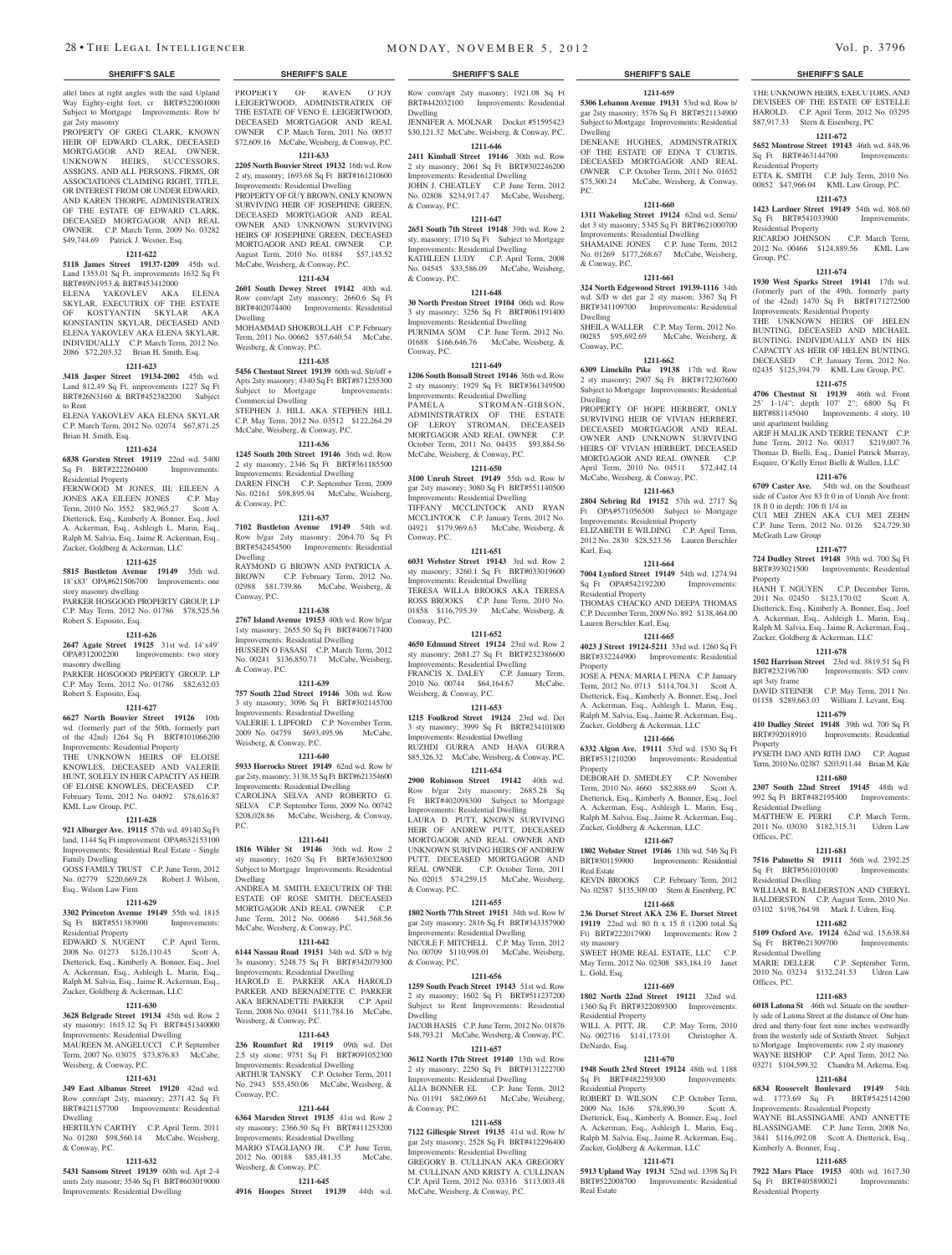allel lines at right angles with the said Upland Way Eighty-eight feet, cr BRT#522001000 Subject to Mortgage Improvements: Row b/ gar 2sty masonry

PROPERTY OF GREG CLARK, KNOWN HEIR OF EDWARD CLARK, DECEASED MORTGAGOR AND REAL OWNER, UNKNOWN HEIRS, SUCCESSORS, ASSIGNS, AND ALL PERSONS, FIRMS, O ASSOCIATIONS CLAIMING RIGHT, TITLE, OR INTEREST FROM OR UNDER EDWARD, AND KAREN THORPE, ADMINISTRATRIX OF THE ESTATE OF EDWARD CLARK. DECEASED MORTGAGOR AND REAL OWNER. C.P. March Term, 2009 No. 03282 \$49,744.69 Patrick J. Wesner, Esq.

# **1211-622**

**5118 James Street 19137-1209** 45th wd. Land 1353.01 Sq Ft, improvements 1632 Sq Ft BRT#89N1953 & BRT#453412000 ELENA YAKOVLEV AKA ELENA SKYLAR, EXECUTRIX OF THE ESTATE OF KOSTYANTIN SKYLAR AKA KONSTANTIN SKYLAR, DECEASED AND

ELENA YAKOVLEV AKA ELENA SKYLAR. INDIVIDUALLY C.P. March Term, 2012 No. 2086 \$72,203.32 Brian H. Smith, Esq. **1211-623**

**3418 Jasper Street 19134-2002** 45th wd. Land 812.49 Sq Ft, improvements 1227 Sq Ft BRT#26N3160 & BRT#452382200 Subject to Rent

ELENA YAKOVLEV AKA ELENA SKYLAR C.P. March Term, 2012 No. 02074 \$67,871.25 Brian H. Smith, Esq.

# **1211-624**

**6838 Gorsten Street 19119** 22nd wd. 5400 Sq Ft BRT#222260400 Improvements: Residential Property

FERNWOOD M JONES, III; EILEEN A JONES AKA EILEEN JONES C.P. May Term, 2010 No. 3552 \$82,965.27 Scott A. Dietterick, Esq., Kimberly A. Bonner, Esq., Joel A. Ackerman, Esq., Ashleigh L. Marin, Esq., Ralph M. Salvia, Esq., Jaime R. Ackerman, Esq., Zucker, Goldberg & Ackerman, LLC

# **1211-625**

**5815 Bustleton Avenue 19149** 35th wd. 18'x83' OPA#621506700 Improvements: one story masonry dwelling PARKER HOSGOOD PROPERTY GROUP, LP C.P. May Term, 2012 No. 01786 \$78,525.56 Robert S. Esposito, Esq.

# **1211-626**

**2647 Agate Street 19125** 31st wd. 14'x49' OPA#312002200 Improvements: two story masonry dwelling

PARKER HOSGOOD PRPERTY GROUP, LP C.P. May Term, 2012 No. 01786 \$82,632.03 Robert S. Esposito, Esq.

# **1211-627**

**6627 North Bouvier Street 19126** 10th wd. (formerly part of the 50th, formerly part of the 42nd) 1264 Sq Ft BRT#101066200 Improvements: Residential Property THE UNKNOWN HEIRS OF ELOISE KNOWLES, DECEASED AND VALERIE

HUNT, SOLELY IN HER CAPACITY AS HEIR OF ELOISE KNOWLES, DECEASED C.P. February Term, 2012 No. 04092 \$78,616.87 KML Law Group, P.C. **1211-628**

# **921 Alburger Ave. 19115** 57th wd. 49140 Sq Ft land, 1144 Sq Ft improvement OPA#632153100 Improvements: Residential Real Estate - Single

Family Dwelling GOSS FAMILY TRUST C.P. June Term, 2012 No. 02779 \$220,669.28 Robert J. Wilson, Esq., Wilson Law Firm

# **1211-629**

**3302 Princeton Avenue 19149** 55th wd. 1815 Sq Ft BRT#551383900 Improvements:

Residential Property EDWARD S. NUGENT C.P. April Term, 2008 No. 01273 \$126,110.45 Scott A. Dietterick, Esq., Kimberly A. Bonner, Esq., Joel A. Ackerman, Esq., Ashleigh L. Marin, Esq., Ralph M. Salvia, Esq., Jaime R. Ackerman, Esq., Zucker, Goldberg & Ackerman, LLC

# **1211-630**

**3628 Belgrade Street 19134** 45th wd. Row 2 sty masonry; 1615.12 Sq Ft BRT#451340000 Improvements: Residential Dwelling MAUREEN M. ANGELUCCI C.P. Term, 2007 No. 03075 \$73,876.83 McCabe, Weisberg, & Conway, P.C.

### **1211-631**

**349 East Albanus Street 19120** 42nd wd. Row conv/apt 2sty, masonry; 2371.42 Sq Ft BRT#421157700 Improvements: Residential Dwelling

HERTILYN CARTHY C.P. April Term, 2011 No. 01280 \$98,560.14 McCabe, Weisberg, & Conway, P.C.

# **1211-632**

**5431 Sansom Street 19139** 60th wd. Apt 2-4 units 2sty masonr; 3546 Sq Ft BRT#603019000 Improvements: Residential Dwelling

PROPERTY OF RAVEN O'JOY LEIGERTWOOD, ADMINISTRATRIX OF THE ESTATE OF VENO E. LEIGERTWOOD, DECEASED MORTGAGOR AND REAL OWNER C.P. March Term, 2011 No. 00537 \$72,609.16 McCabe, Weisberg, & Conway, P.C.

# **1211-633**

**2205 North Bouvier Street 19132** 16th wd. Row 2 sty, masonry; 1693.68 Sq Ft BRT#161210600 Improvements: Residential Dwelling

PROPERTY OF GUY BROWN, ONLY KNOWN SURVIVING HEIR OF JOSEPHINE GREEN, DECEASED MORTGAGOR AND REAL OWNER AND UNKNOWN SURVIVING HEIRS OF JOSEPHINE GREEN, DECEASED MORTGAGOR AND REAL OWNER C.P. August Term, 2010 No. 01884 \$57,145.52 McCabe, Weisberg, & Conway, P.C.

# **1211-634**

**2601 South Dewey Street 19142** 40th wd. Row conv/apt 2sty masonry; 2660.6 Sq Ft BRT#402074400 Improvements: Residential Dwelling MOHAMMAD SHOKROLLAH C.P. February Term, 2011 No. 00662 \$57,640.54 McCabe, Weisberg, & Conway, P.C.

# **1211-635**

**5456 Chestnut Street 19139** 60th wd. Str/off + Apts 2sty masonry; 4340 Sq Ft BRT#871255300<br>Subject to Mortgage Improvements: Subject to Mortgage Commercial Dwelling STEPHEN J. HILL AKA STEPHEN HILL C.P. May Term, 2012 No. 03512 \$122,264.29 McCabe, Weisberg, & Conway, P.C.

# **1211-636**

**1245 South 20th Street 19146** 36th wd. Row 2 sty masonry; 2346 Sq Ft BRT#361185500 Improvements: Residential Dwelling DAREN FINCH C.P. September Term, 2009 No. 02161 \$98,895.94 McCabe, Weisberg, & Conway, P.C.

#### **1211-637**

**7102 Bustleton Avenue 19149** 54th wd. Row b/gar 2sty masonry; 2064.70 Sq Ft BRT#542454500 Improvements: Residential Dwelling RAYMOND G BROWN AND PATRICIA A. BROWN C.P. February Term, 2012 No. 02988 \$81,739.86 McCabe, Weisberg, &

Conway, P.C. **1211-638**

**2767 Island Avenue 19153** 40th wd. Row b/gar 1sty masonry; 2655.50 Sq Ft BRT#406717400 Improvements: Residential Dwelling HUSSEIN O FASASI C.P. March Term, 2012 No. 00241 \$136,850.71 McCabe, Weisberg, & Conway, P.C.

# **1211-639**

**757 South 22nd Street 19146** 30th wd. Row 3 sty masonry; 3096 Sq Ft BRT#302145700 Improvements: Residential Dwelling VALERIE L LIPFORD C.P. November Term, 2009 No. 04759 \$693,495.96 McCabe,

# **1211-640**

Weisberg, & Conway, P.C.

**5933 Horrocks Street 19149** 62nd wd. Row b/ gar 2sty, masonry; 3138.35 Sq Ft BRT#621354600 Improvements: Residential Dwelling CAROLINA SELVA AND ROBERTO G. SELVA C.P. September Term, 2009 No. 00742 \$208,028.86 McCabe, Weisberg, & Conway, P.C.

# **1211-641**

**1816 Wilder St 19146** 36th wd. Row 2 sty masonry; 1620 Sq Ft BRT#363032800 Subject to Mortgage Improvements: Residential Dwelling ANDREA M. SMITH, EXECUTRIX OF THE ESTATE OF ROSE SMITH, DECEASED MORTGAGOR AND REAL OWNER C.P. June Term, 2012 No. 00686 \$41,568.56 McCabe, Weisberg, & Conway, P.C.

# **1211-642**

**6144 Nassau Road 19151** 34th wd. S/D w b/g 3s masonry; 5248.75 Sq Ft BRT#342079300 Improvements: Residential Dwelling HAROLD E. PARKER AKA HAROLD

PARKER AND BERNADETTE C. PARKER AKA BERNADETTE PARKER C.P. April Term, 2008 No. 03041 \$111,784.16 McCabe, Weisberg, & Conway, P.C.

# **1211-643**

**236 Roumfort Rd 19119** 09th wd. Det 2.5 sty stone; 9751 Sq Ft BRT#091052300 Improvements: Residential Dwelling ARTHUR TANSKY C.P. October Term, 2011 No. 2943 \$55,450.06 McCabe, Weisberg, & Conway, P.C.

# **1211-644**

**6364 Marsden Street 19135** 41st wd. Row 2 sty masonry; 2366.50 Sq Ft BRT#411253200 Improvements: Residential Dwelling MARIO STAGLIANO JR. C.P. June Term,<br>2012 No. 00188 \$85,481.35 McCabe, 2012 No. 00188 \$85,481.35

# Weisberg, & Conway, P.C. **1211-645**

**4916 Hoopes Street 19139** 44th wd.

Row conv/apt 2sty masonry; 1921.08 Sq Ft BRT#442032100 Improvements: Residential

Dwelling JENNIFER A. MOLNAR Docket #51595423 \$30,121.32 McCabe, Weisberg, & Conway, P.C.

**1211-646 2411 Kimball Street 19146** 30th wd. Row

2 sty masonry; 2061 Sq Ft BRT#302246200 Improvements: Residential Dwelling JOHN J. CHEATLEY C.P. June Term, 2012

No. 02808 \$234,917.47 McCabe, Weisberg, & Conway, P.C. **1211-647**

# **2651 South 7th Street 19148** 39th wd. Row 2 sty, masonry; 1710 Sq Ft Subject to Mortgage Improvements: Residential Dwelling KATHLEEN LUDY C.P. April Term, 2008

No. 04545 \$33,586.09 McCabe, Weisberg, & Conway, P.C. **1211-648**

**30 North Preston Street 19104** 06th wd. Row 3 sty masonry; 3256 Sq Ft BRT#061191400 Improvements: Residential Dwelling PURNIMA SOM C.P. June Term, 2012 No. 01688 \$166,646.76 McCabe, Weisberg, & Conway, P.C.

# **1211-649**

**1206 South Bonsall Street 19146** 36th wd. Row 2 sty masonry; 1929 Sq Ft BRT#361349500 Improvements: Residential Dwelling STROMAN-GIBSON, ADMINISTRATRIX OF THE ESTATE OF LEROY STROMAN, DECEASED MORTGAGOR AND REAL OWNER C.P. October Term, 2011 No. 04435 \$93,884.56 McCabe, Weisberg, & Conway, P.C.

# **1211-650**

**3100 Unruh Street 19149** 55th wd. Row b/ gar 2sty masonry; 3080 Sq Ft BRT#551140500 Improvements: Residential Dwelling TIFFANY MCCLINTOCK AND RYAN MCCLINTOCK C.P. January Term, 2012 No. 04921 \$179,969.63 McCabe, Weisberg, & Conway, P.C.

# **1211-651**

**6031 Webster Street 19143** 3rd wd. Row 2 sty masonry; 3260.1 Sq Ft BRT#033019600 Improvements: Residential Dwelling TERESA WILLA BROOKS AKA TERESA ROSS BROOKS C.P. June Term, 2010 No. 01858 \$116,795.39 McCabe, Weisberg, & Conway, P.C.

### **1211-652**

**4650 Edmund Street 19124** 23rd wd. Row 2 sty masonry; 2681.27 Sq Ft BRT#232386600 Improvements: Residential Dwelling FRANCIS X. DALEY C.P. January Term,<br>2010 No. 00744 \$64.164.67 McCabe. 2010 No. 00744 \$64,164.67 Weisberg, & Conway, P.C.

# **1211-653**

**1215 Foulkrod Street 19124** 23rd wd. Det 3 sty masonry; 3999 Sq Ft BRT#234101800 Improvements: Residential Dwelling RUZHDI GURRA AND HAVA GURRA \$85,326.32 McCabe, Weisberg, & Conway, P.C.

# **1211-654**

**2900 Robinson Street 19142** 40th wd. Row b/gar 2sty masonry; 2685.28 Sq Ft BRT#402098300 Subject to Mortgage Improvements: Residential Dwelling LAURA D. PUTT, KNOWN SURVIVING HEIR OF ANDREW PUTT, DECEASED MORTGAGOR AND REAL OWNER AND UNKNOWN SURIVING HEIRS OF ANDREW PUTT, DECEASED MORTGAGOR AND REAL OWNER. C.P. October Term, 2011 No. 02015 \$74,259.15 McCabe, Weisberg, & Conway, P.C.

# **1211-655**

**1802 North 77th Street 19151** 34th wd. Row b/ gar 2sty masonry; 2816 Sq Ft BRT#343357900 Improvements: Residential Dwelling NICOLE F. MITCHELL C.P. May Term, 2012 No. 00709 \$110,998.01 McCabe, Weisberg,

# **1211-656**

& Conway, P.C.

**1259 South Peach Street 19143** 51st wd. Row 2 sty masonry; 1602 Sq Ft BRT#511237200 Subject to Rent Improvements: Residential Dwelling

JACOB HASIS C.P. June Term, 2012 No. 01876 \$48,793.21 McCabe, Weisberg, & Conway, P.C.

# **1211-657**

**3612 North 17th Street 19140** 13th wd. Row 2 sty masonry; 2250 Sq Ft BRT#131222700 Improvements: Residential Dwelling ALIA BONNER EL C.P. June Term, 2012 No. 01191 \$82,069.61 McCabe, Weisberg, & Conway, P.C.

### **1211-658**

**7122 Gillespie Street 19135** 41st wd. Row b/ gar 2sty masonry; 2528 Sq Ft BRT#412296400 Improvements: Residential Dwelling GREGORY B. CULLINAN AKA GREGORY M. CULLINAN AND KRISTY A. CULLINAN C.P. April Term, 2012 No. 03316 \$113,003.48 McCabe, Weisberg, & Conway, P.C.

# **SHERIFF'S SALE SHERIFF'S SALE SHERIFF'S SALE SHERIFF'S SALE SHERIFF'S SALE**

**1211-659 5306 Lebanon Avenue 19131** 53rd wd. Row b/ gar 2sty masonry; 3576 Sq Ft BRT#521134900 Subject to Mortgage Improvements: Residential Dwelling

THE UNKNOWN HEIRS, EXECUTORS, AND DEVISEES OF THE ESTATE OF ESTELLE HAROLD. C.P. April Term, 2012 No. 03295 \$87,917.33 Stern & Eisenberg, PC **1211-672 5652 Montrose Street 19143** 46th wd. 848.96 Sq Ft BRT#463144700 Improvements:

ETTA K. SMITH C.P. July Term, 2010 No. 00852 \$47,966.04 KML Law Group, P.C. **1211-673 1423 Lardner Street 19149** 54th wd. 868.60 Sq Ft BRT#541033900 Improvements:

RICARDO JOHNSON C.P. March Term, 2012 No. 00466 \$124,889.56 KML Law

**1211-674 1930 West Sparks Street 19141** 17th wd. (formerly part of the 49th, formerly party of the 42nd) 1470 Sq Ft BRT#171272500 Improvements: Residential Property THE UNKNOWN HEIRS OF HELEN BUNTING, DECEASED AND MICHAEL BUNTING, INDIVIDUALLY AND IN HIS CAPACITY AS HEIR OF HELEN BUNTING, DECEASED C.P. January Term, 2012 No. 02435 \$125,394.79 KML Law Group, P.C. **1211-675 4706 Chestnut St 19139** 46th wd. Front 25' 1-1/4"; depth 107' 2"; 6800 Sq Ft BRT#881145040 Improvements: 4 story, 10

ARIF H MALIK AND TERRE TENANT C.P. June Term, 2012 No. 00317 \$219,007.76 Thomas D. Bielli, Esq., Daniel Patrick Murray, Esquire, O'Kelly Ernst Bielli & Wallen, LLC **1211-676 6709 Caster Ave.** 54th wd. on the Southeast side of Castor Ave 83 ft 0 in of Unruh Ave front:

CUI MEI ZHEN AKA CUI MEI ZEHN C.P. June Term, 2012 No. 0126 \$24,729.30

**1211-677 724 Dudley Street 19148** 39th wd. 700 Sq Ft BRT#393021500 Improvements: Residential

HANH T. NGUYEN C.P. December Term, 2011 No. 02450 \$123,170.02 Scott A. Dietterick, Esq., Kimberly A. Bonner, Esq., Joel A. Ackerman, Esq., Ashleigh L. Marin, Esq., Ralph M. Salvia, Esq., Jaime R. Ackerman, Esq., Zucker, Goldberg & Ackerman, LLC **1211-678 1502 Harrison Street** 23rd wd. 3819.51 Sq Ft BRT#232196700 Improvements: S/D conv.

DAVID STEINER C.P. May Term, 2011 No. 01158 \$289,663.03 William J. Levant, Esq. **1211-679 410 Dudley Street 19148** 39th wd. 700 Sq Ft BRT#392018910 Improvements: Residential

PYSETH DAO AND RITH DAO C.P. August Term, 2010 No. 02387 \$203,911.44 Brian M. Kile **1211-680 2307 South 22nd Street 19145** 48th wd. 992 Sq Ft BRT#482195400 Improvements:

MATTHEW E. PERRI C.P. March Term, 2011 No. 03030 \$182,315.31 Udren Law

**1211-681 7516 Palmetto St 19111** 56th wd. 2392.25 Sq Ft BRT#561010100 Improvements:

WILLIAM R. BALDERSTON AND CHERYL BALDERSTON C.P. August Term, 2010 No. 03102 \$198,764.98 Mark J. Udren, Esq. **1211-682 5109 Oxford Ave. 19124** 62nd wd. 15,638.84 Sq Ft BRT#621309700 Improvements:

MARIE DELLER C.P. September Term, 2010 No. 03234 \$132,241.53 Udren Law

**1211-683 6018 Latona St** 46th wd. Situate on the southerly side of Latona Street at the distance of One hundred and thirty-four feet nine inches westwardly from the westerly side of Sixtieth Street. Subject to Mortgage Improvements: row 2 sty masonry WAYNE BISHOP C.P. April Term, 2012 No. 03271 \$104,599.32 Chandra M. Arkema, Esq. **1211-684 6834 Roosevelt Boulevard 19149** 54th wd. 1773.69 Sq Ft BRT#542514200 Improvements: Residential Property WAYNE BLASSINGAME AND ANNETTE BLASSINGAME C.P. June Term, 2008 No. 3841 \$116,092.08 Scott A. Dietterick, Esq.,

Residential Property

Residential Property

unit apartment building

18 ft 0 in depth: 106 ft 1/4 in

McGrath Law Group

Property

apt 3sty frame

**Property** 

Residential Dwelling

Residential Dwelling

Residential Dwelling

Kimberly A. Bonner, Esq.,

Residential Property

**1211-685 7922 Mars Place 19153** 40th wd. 1617.30 Sq Ft BRT#405890021 Improvements:

Offices, P.C.

Offices, P.C.

Group, P.C.

DENEANE HUGHES, ADMINSTRATRIX OF THE ESTATE OF EDNA T CURTIS, DECEASED MORTGAGOR AND REAL OWNER C.P. October Term, 2011 No. 01652 \$75,300.24 McCabe, Weisberg, & Conway, P.C.

# **1211-660**

**1311 Wakeling Street 19124** 62nd wd. Semi/ det 3 sty masonry; 5345 Sq Ft BRT#621000700 Improvements: Residential Dwelling SHAMAINE JONES C.P. June Term, 2012 No. 01269 \$177,268.67 McCabe, Weisberg, & Conway, P.C.

# **1211-661**

**324 North Edgewood Street 19139-1116** 34th wd. S/D w det gar 2 sty mason; 3367 Sq Ft BRT#341109700 Improvements: Residential Dwelling SHEILA WALLER C.P. May Term, 2012 No. 00285 \$95,692.69 McCabe, Weisberg, & Conway, P.C.

**1211-662 6309 Limekiln Pike 19138** 17th wd. Row 2 sty masonry; 2907 Sq Ft BRT#172307600 Subject to Mortgage Improvements: Residential

PROPERTY OF HOPE HERBERT, ONLY SURVIVING HEIR OF VIVIAN HERBERT, DECEASED MORTGAGOR AND REAL OWNER AND UNKNOWN SURVIVING HEIRS OF VIVIAN HERBERT, DECEASED MORTGAGOR AND REAL OWNER C.P. April Term, 2010 No. 04511 \$72,442.14 McCabe, Weisberg, & Conway, P.C. **1211-663 2804 Sebring Rd 19152** 57th wd. 2717 Sq Ft OPA#571056500 Subject to Mortgage Improvements: Residential Property ELIZABETH E WILDING C.P. April Term, 2012 No. 2830 \$28,523.56 Lauren Berschler

**1211-664 7004 Lynford Street 19149** 54th wd. 1274.94 Sq Ft OPA#542192200 Improvements:

THOMAS CHACKO AND DEEPA THOMAS C.P. December Term, 2009 No. 892 \$138,464.00

**1211-665 4023 J Street 19124-5211** 33rd wd. 1260 Sq Ft BRT#332244900 Improvements: Residential

JOSE A. PENA; MARIA I. PENA C.P. January Term, 2012 No. 0713 \$114,704.31 Scott A. Dietterick, Esq., Kimberly A. Bonner, Esq., Joel A. Ackerman, Esq., Ashleigh L. Marin, Esq., Ralph M. Salvia, Esq., Jaime R. Ackerman, Esq., Zucker, Goldberg & Ackerman, LLC **1211-666 6332 Algon Ave. 19111** 53rd wd. 1530 Sq Ft BRT#531210200 Improvements: Residential

DEBORAH D. SMEDLEY C.P. November Term, 2010 No. 4660 \$82,888.69 Scott A. Dietterick, Esq., Kimberly A. Bonner, Esq., Joel A. Ackerman, Esq., Ashleigh L. Marin, Esq., Ralph M. Salvia, Esq., Jaime R. Ackerman, Esq., Zucker, Goldberg & Ackerman, LLC **1211-667 1802 Webster Street 19146** 13th wd. 546 Sq Ft BRT#301159900 Improvements: Residential

KEVIN BROOKS C.P. February Term, 2012 No. 02587 \$135,309.00 Stern & Eisenberg, PC **1211-668 236 Dorset Street AKA 236 E. Dorset Street 19119** 22nd wd. 80 ft x 15 ft (1200 total Sq Ft) BRT#222017900 Improvements: Row 2

SWEET HOME REAL ESTATE, LLC C.P. May Term, 2012 No. 02308 \$83,184.19 Janet

**1211-669 1802 North 22nd Street 19121** 32nd wd. 1360 Sq Ft BRT#322089300 Improvements:

WILL A. PITT, JR. C.P. May Term, 2010 No. 002716 \$141,173.01 Christopher A.

**1211-670 1948 South 23rd Street 19124** 48th wd. 1188 Sq Ft BRT#482259300 Improvements:

ROBERT D. WILSON C.P. October Term, 2009 No. 1636 \$78,890.39 Scott A. Dietterick, Esq., Kimberly A. Bonner, Esq., Joel A. Ackerman, Esq., Ashleigh L. Marin, Esq., Ralph M. Salvia, Esq., Jaime R. Ackerman, Esq., Zucker, Goldberg & Ackerman, LLC **1211-671 5913 Upland Way 19131** 52nd wd. 1398 Sq Ft BRT#522008700 Improvements: Residential

Dwelling

Karl, Esq.

**Property** 

**Property** 

Real Estate

sty masonry

L. Gold, Esq.

DeNardo, Esq.

Real Estate

Residential Property

Residential Property

Residential Property

Lauren Berschler Karl, Esq.